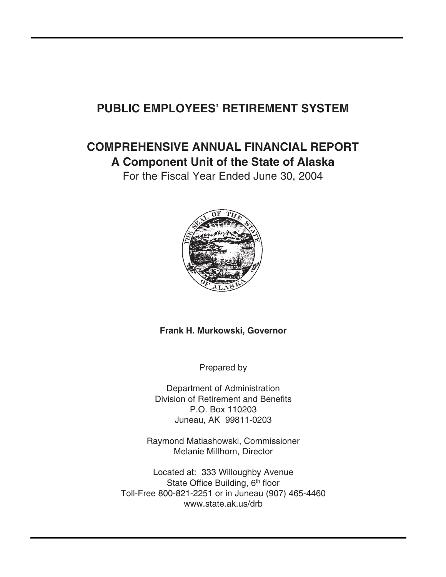# **PUBLIC EMPLOYEES' RETIREMENT SYSTEM**

# **COMPREHENSIVE ANNUAL FINANCIAL REPORT A Component Unit of the State of Alaska**

For the Fiscal Year Ended June 30, 2004



**Frank H. Murkowski, Governor**

Prepared by

Department of Administration Division of Retirement and Benefits P.O. Box 110203 Juneau, AK 99811-0203

Raymond Matiashowski, Commissioner Melanie Millhorn, Director

Located at: 333 Willoughby Avenue State Office Building, 6<sup>th</sup> floor Toll-Free 800-821-2251 or in Juneau (907) 465-4460 www.state.ak.us/drb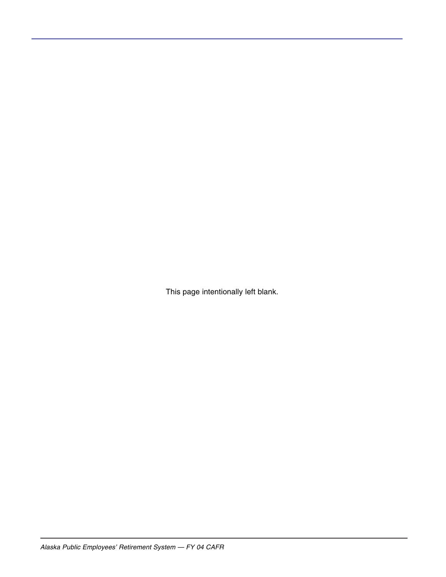This page intentionally left blank.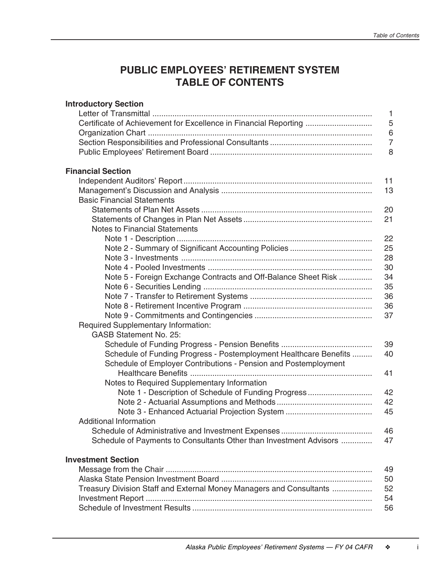# **PUBLIC EMPLOYEES' RETIREMENT SYSTEM TABLE OF CONTENTS**

| <b>Introductory Section</b>                                         |                |
|---------------------------------------------------------------------|----------------|
|                                                                     | 1              |
| Certificate of Achievement for Excellence in Financial Reporting    | 5              |
|                                                                     | 6              |
|                                                                     | $\overline{7}$ |
|                                                                     | 8              |
| <b>Financial Section</b>                                            |                |
|                                                                     | 11             |
|                                                                     | 13             |
| <b>Basic Financial Statements</b>                                   |                |
|                                                                     | 20             |
|                                                                     | 21             |
| <b>Notes to Financial Statements</b>                                |                |
|                                                                     | 22             |
|                                                                     | 25             |
|                                                                     | 28             |
|                                                                     | 30             |
| Note 5 - Foreign Exchange Contracts and Off-Balance Sheet Risk      | 34             |
|                                                                     | 35             |
|                                                                     | 36             |
|                                                                     | 36             |
|                                                                     | 37             |
| <b>Required Supplementary Information:</b>                          |                |
| <b>GASB Statement No. 25:</b>                                       |                |
|                                                                     | 39             |
| Schedule of Funding Progress - Postemployment Healthcare Benefits   | 40             |
| Schedule of Employer Contributions - Pension and Postemployment     |                |
|                                                                     | 41             |
| Notes to Required Supplementary Information                         |                |
| Note 1 - Description of Schedule of Funding Progress                | 42             |
|                                                                     | 42             |
|                                                                     | 45             |
| <b>Additional Information</b>                                       |                |
|                                                                     | 46             |
| Schedule of Payments to Consultants Other than Investment Advisors  | 47             |
| <b>Investment Section</b>                                           |                |
|                                                                     | 49             |
|                                                                     | 50             |
| Treasury Division Staff and External Money Managers and Consultants | 52             |
|                                                                     | 54             |
|                                                                     | 56             |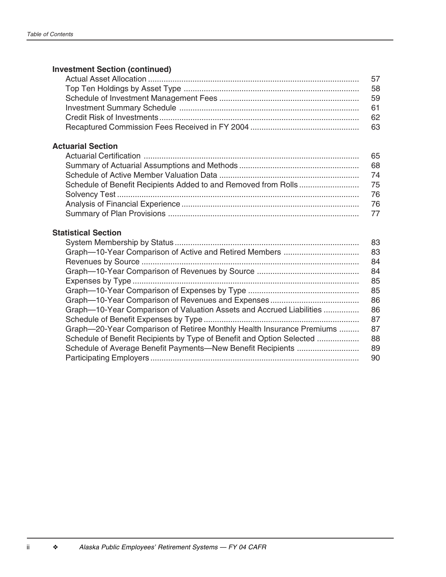# **Investment Section (continued)**

| -58 |
|-----|
|     |
|     |
|     |
|     |

#### **Actuarial Section**

#### **Statistical Section**

|                                                                       | 83 |
|-----------------------------------------------------------------------|----|
|                                                                       | 83 |
|                                                                       | 84 |
|                                                                       | 84 |
|                                                                       | 85 |
|                                                                       | 85 |
|                                                                       | 86 |
| Graph-10-Year Comparison of Valuation Assets and Accrued Liabilities  | 86 |
|                                                                       | 87 |
| Graph-20-Year Comparison of Retiree Monthly Health Insurance Premiums | 87 |
| Schedule of Benefit Recipients by Type of Benefit and Option Selected | 88 |
|                                                                       | 89 |
|                                                                       | 90 |
|                                                                       |    |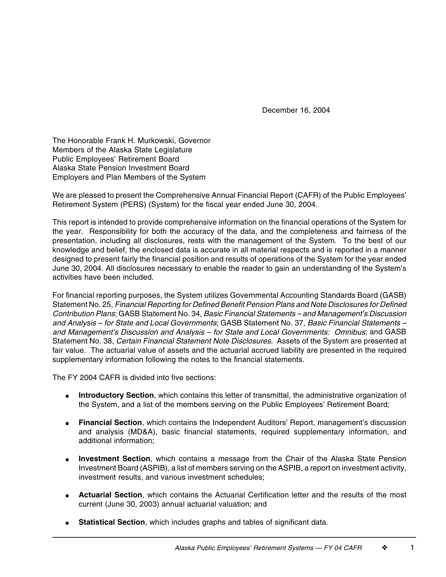December 16, 2004

The Honorable Frank H. Murkowski, Governor Members of the Alaska State Legislature Public Employees' Retirement Board Alaska State Pension Investment Board Employers and Plan Members of the System

We are pleased to present the Comprehensive Annual Financial Report (CAFR) of the Public Employees' Retirement System (PERS) (System) for the fiscal year ended June 30, 2004.

This report is intended to provide comprehensive information on the financial operations of the System for the year. Responsibility for both the accuracy of the data, and the completeness and fairness of the presentation, including all disclosures, rests with the management of the System. To the best of our knowledge and belief, the enclosed data is accurate in all material respects and is reported in a manner designed to present fairly the financial position and results of operations of the System for the year ended June 30, 2004. All disclosures necessary to enable the reader to gain an understanding of the System's activities have been included.

For financial reporting purposes, the System utilizes Governmental Accounting Standards Board (GASB) Statement No. 25, Financial Reporting for Defined Benefit Pension Plans and Note Disclosures for Defined Contribution Plans; GASB Statement No. 34, Basic Financial Statements – and Management's Discussion and Analysis – for State and Local Governments; GASB Statement No. 37, Basic Financial Statements – and Management's Discussion and Analysis – for State and Local Governments: Omnibus; and GASB Statement No. 38, Certain Financial Statement Note Disclosures. Assets of the System are presented at fair value. The actuarial value of assets and the actuarial accrued liability are presented in the required supplementary information following the notes to the financial statements.

The FY 2004 CAFR is divided into five sections:

- **Introductory Section**, which contains this letter of transmittal, the administrative organization of the System, and a list of the members serving on the Public Employees' Retirement Board;
- **Financial Section**, which contains the Independent Auditors' Report, management's discussion and analysis (MD&A), basic financial statements, required supplementary information, and additional information;
- **Investment Section**, which contains a message from the Chair of the Alaska State Pension Investment Board (ASPIB), a list of members serving on the ASPIB, a report on investment activity, investment results, and various investment schedules;
- **Actuarial Section**, which contains the Actuarial Certification letter and the results of the most current (June 30, 2003) annual actuarial valuation; and
- **Statistical Section**, which includes graphs and tables of significant data.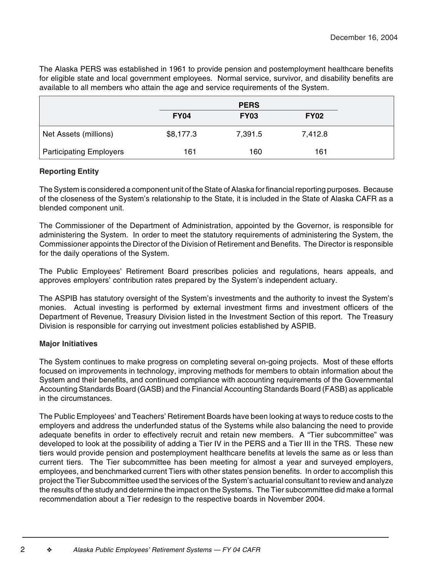The Alaska PERS was established in 1961 to provide pension and postemployment healthcare benefits for eligible state and local government employees. Normal service, survivor, and disability benefits are available to all members who attain the age and service requirements of the System.

|                                |             | <b>PERS</b> |             |  |  |  |
|--------------------------------|-------------|-------------|-------------|--|--|--|
|                                | <b>FY04</b> | <b>FY03</b> | <b>FY02</b> |  |  |  |
| Net Assets (millions)          | \$8,177.3   | 7,391.5     | 7,412.8     |  |  |  |
| <b>Participating Employers</b> | 161         | 160         | 161         |  |  |  |

#### **Reporting Entity**

The System is considered a component unit of the State of Alaska for financial reporting purposes. Because of the closeness of the System's relationship to the State, it is included in the State of Alaska CAFR as a blended component unit.

The Commissioner of the Department of Administration, appointed by the Governor, is responsible for administering the System. In order to meet the statutory requirements of administering the System, the Commissioner appoints the Director of the Division of Retirement and Benefits. The Director is responsible for the daily operations of the System.

The Public Employees' Retirement Board prescribes policies and regulations, hears appeals, and approves employers' contribution rates prepared by the System's independent actuary.

The ASPIB has statutory oversight of the System's investments and the authority to invest the System's monies. Actual investing is performed by external investment firms and investment officers of the Department of Revenue, Treasury Division listed in the Investment Section of this report. The Treasury Division is responsible for carrying out investment policies established by ASPIB.

#### **Major Initiatives**

The System continues to make progress on completing several on-going projects. Most of these efforts focused on improvements in technology, improving methods for members to obtain information about the System and their benefits, and continued compliance with accounting requirements of the Governmental Accounting Standards Board (GASB) and the Financial Accounting Standards Board (FASB) as applicable in the circumstances.

The Public Employees' and Teachers' Retirement Boards have been looking at ways to reduce costs to the employers and address the underfunded status of the Systems while also balancing the need to provide adequate benefits in order to effectively recruit and retain new members. A "Tier subcommittee" was developed to look at the possibility of adding a Tier IV in the PERS and a Tier III in the TRS. These new tiers would provide pension and postemployment healthcare benefits at levels the same as or less than current tiers. The Tier subcommittee has been meeting for almost a year and surveyed employers, employees, and benchmarked current Tiers with other states pension benefits. In order to accomplish this project the Tier Subcommittee used the services of the System's actuarial consultant to review and analyze the results of the study and determine the impact on the Systems. The Tier subcommittee did make a formal recommendation about a Tier redesign to the respective boards in November 2004.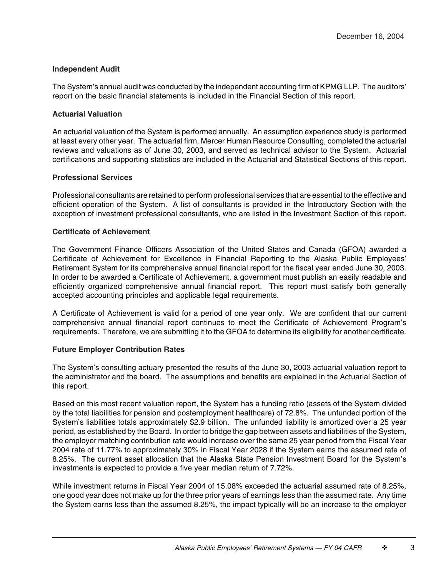#### **Independent Audit**

The System's annual audit was conducted by the independent accounting firm of KPMG LLP. The auditors' report on the basic financial statements is included in the Financial Section of this report.

#### **Actuarial Valuation**

An actuarial valuation of the System is performed annually. An assumption experience study is performed at least every other year. The actuarial firm, Mercer Human Resource Consulting, completed the actuarial reviews and valuations as of June 30, 2003, and served as technical advisor to the System. Actuarial certifications and supporting statistics are included in the Actuarial and Statistical Sections of this report.

#### **Professional Services**

Professional consultants are retained to perform professional services that are essential to the effective and efficient operation of the System. A list of consultants is provided in the Introductory Section with the exception of investment professional consultants, who are listed in the Investment Section of this report.

#### **Certificate of Achievement**

The Government Finance Officers Association of the United States and Canada (GFOA) awarded a Certificate of Achievement for Excellence in Financial Reporting to the Alaska Public Employees' Retirement System for its comprehensive annual financial report for the fiscal year ended June 30, 2003. In order to be awarded a Certificate of Achievement, a government must publish an easily readable and efficiently organized comprehensive annual financial report. This report must satisfy both generally accepted accounting principles and applicable legal requirements.

A Certificate of Achievement is valid for a period of one year only. We are confident that our current comprehensive annual financial report continues to meet the Certificate of Achievement Program's requirements. Therefore, we are submitting it to the GFOA to determine its eligibility for another certificate.

#### **Future Employer Contribution Rates**

The System's consulting actuary presented the results of the June 30, 2003 actuarial valuation report to the administrator and the board. The assumptions and benefits are explained in the Actuarial Section of this report.

Based on this most recent valuation report, the System has a funding ratio (assets of the System divided by the total liabilities for pension and postemployment healthcare) of 72.8%. The unfunded portion of the System's liabilities totals approximately \$2.9 billion. The unfunded liability is amortized over a 25 year period, as established by the Board. In order to bridge the gap between assets and liabilities of the System, the employer matching contribution rate would increase over the same 25 year period from the Fiscal Year 2004 rate of 11.77% to approximately 30% in Fiscal Year 2028 if the System earns the assumed rate of 8.25%. The current asset allocation that the Alaska State Pension Investment Board for the System's investments is expected to provide a five year median return of 7.72%.

While investment returns in Fiscal Year 2004 of 15.08% exceeded the actuarial assumed rate of 8.25%, one good year does not make up for the three prior years of earnings less than the assumed rate. Any time the System earns less than the assumed 8.25%, the impact typically will be an increase to the employer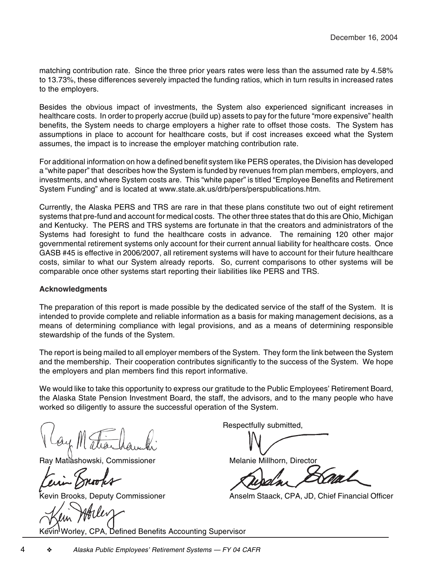matching contribution rate. Since the three prior years rates were less than the assumed rate by 4.58% to 13.73%, these differences severely impacted the funding ratios, which in turn results in increased rates to the employers.

Besides the obvious impact of investments, the System also experienced significant increases in healthcare costs. In order to properly accrue (build up) assets to pay for the future "more expensive" health benefits, the System needs to charge employers a higher rate to offset those costs. The System has assumptions in place to account for healthcare costs, but if cost increases exceed what the System assumes, the impact is to increase the employer matching contribution rate.

For additional information on how a defined benefit system like PERS operates, the Division has developed a "white paper" that describes how the System is funded by revenues from plan members, employers, and investments, and where System costs are. This "white paper" is titled "Employee Benefits and Retirement System Funding" and is located at www.state.ak.us/drb/pers/perspublications.htm.

Currently, the Alaska PERS and TRS are rare in that these plans constitute two out of eight retirement systems that pre-fund and account for medical costs. The other three states that do this are Ohio, Michigan and Kentucky. The PERS and TRS systems are fortunate in that the creators and administrators of the Systems had foresight to fund the healthcare costs in advance. The remaining 120 other major governmental retirement systems only account for their current annual liability for healthcare costs. Once GASB #45 is effective in 2006/2007, all retirement systems will have to account for their future healthcare costs, similar to what our System already reports. So, current comparisons to other systems will be comparable once other systems start reporting their liabilities like PERS and TRS.

#### **Acknowledgments**

The preparation of this report is made possible by the dedicated service of the staff of the System. It is intended to provide complete and reliable information as a basis for making management decisions, as a means of determining compliance with legal provisions, and as a means of determining responsible stewardship of the funds of the System.

The report is being mailed to all employer members of the System. They form the link between the System and the membership. Their cooperation contributes significantly to the success of the System. We hope the employers and plan members find this report informative.

We would like to take this opportunity to express our gratitude to the Public Employees' Retirement Board, the Alaska State Pension Investment Board, the staff, the advisors, and to the many people who have worked so diligently to assure the successful operation of the System.

Ray Matiashowski, Commissioner Mulletton Melanie Millhorn, Director

Respectfully submitted,

Kevin Brooks, Deputy Commissioner **Anselm Staack, CPA, JD, Chief Financial Officer** 

Kevin<sup>I</sup> Worley, CPA, Defined Benefits Accounting Supervisor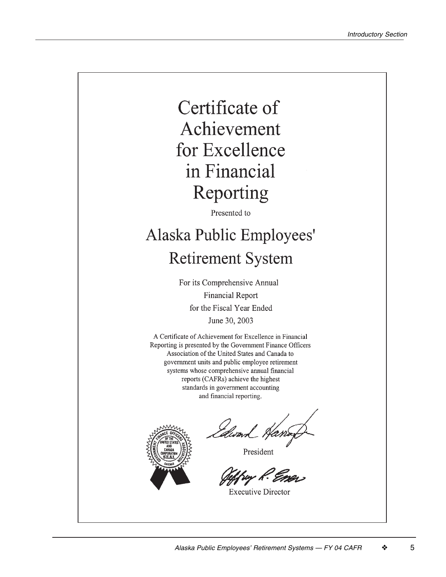# Certificate of Achievement for Excellence in Financial Reporting

Presented to

# Alaska Public Employees' **Retirement System**

For its Comprehensive Annual **Financial Report** for the Fiscal Year Ended June 30, 2003

A Certificate of Achievement for Excellence in Financial Reporting is presented by the Government Finance Officers Association of the United States and Canada to government units and public employee retirement systems whose comprehensive annual financial reports (CAFRs) achieve the highest standards in government accounting and financial reporting.



dword Han

President

**Executive Director**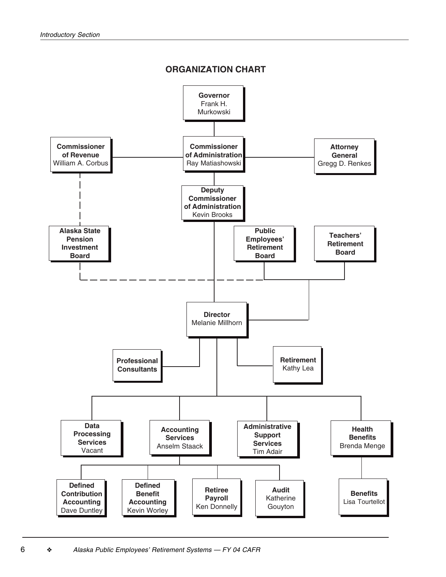#### **ORGANIZATION CHART**

December 16, 2004

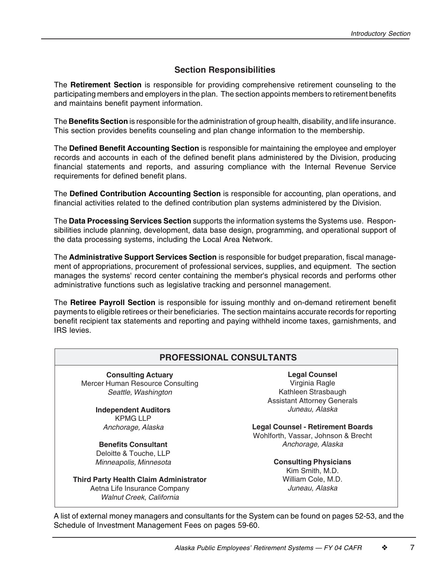### **Section Responsibilities**

The **Retirement Section** is responsible for providing comprehensive retirement counseling to the participating members and employers in the plan. The section appoints members to retirement benefits and maintains benefit payment information.

The **Benefits Section** is responsible for the administration of group health, disability, and life insurance. This section provides benefits counseling and plan change information to the membership.

The **Defined Benefit Accounting Section** is responsible for maintaining the employee and employer records and accounts in each of the defined benefit plans administered by the Division, producing financial statements and reports, and assuring compliance with the Internal Revenue Service requirements for defined benefit plans.

The **Defined Contribution Accounting Section** is responsible for accounting, plan operations, and financial activities related to the defined contribution plan systems administered by the Division.

The **Data Processing Services Section** supports the information systems the Systems use. Responsibilities include planning, development, data base design, programming, and operational support of the data processing systems, including the Local Area Network.

The **Administrative Support Services Section** is responsible for budget preparation, fiscal management of appropriations, procurement of professional services, supplies, and equipment. The section manages the systems' record center containing the member's physical records and performs other administrative functions such as legislative tracking and personnel management.

The **Retiree Payroll Section** is responsible for issuing monthly and on-demand retirement benefit payments to eligible retirees or their beneficiaries. The section maintains accurate records for reporting benefit recipient tax statements and reporting and paying withheld income taxes, garnishments, and IRS levies.

| PROFESSIONAL CONSULTANTS                                 |                                                                                 |  |  |  |
|----------------------------------------------------------|---------------------------------------------------------------------------------|--|--|--|
| <b>Consulting Actuary</b>                                | <b>Legal Counsel</b>                                                            |  |  |  |
| Mercer Human Resource Consulting                         | Virginia Ragle                                                                  |  |  |  |
| Seattle, Washington                                      | Kathleen Strasbaugh                                                             |  |  |  |
|                                                          | <b>Assistant Attorney Generals</b>                                              |  |  |  |
| <b>Independent Auditors</b><br><b>KPMG LLP</b>           | Juneau, Alaska                                                                  |  |  |  |
| Anchorage, Alaska                                        | <b>Legal Counsel - Retirement Boards</b><br>Wohlforth, Vassar, Johnson & Brecht |  |  |  |
| <b>Benefits Consultant</b>                               | Anchorage, Alaska                                                               |  |  |  |
| Deloitte & Touche, LLP                                   |                                                                                 |  |  |  |
| Minneapolis, Minnesota                                   | <b>Consulting Physicians</b><br>Kim Smith, M.D.                                 |  |  |  |
| <b>Third Party Health Claim Administrator</b>            | William Cole, M.D.                                                              |  |  |  |
| Aetna Life Insurance Company<br>Walnut Creek, California | Juneau, Alaska                                                                  |  |  |  |

A list of external money managers and consultants for the System can be found on pages 52-53, and the Schedule of Investment Management Fees on pages 59-60.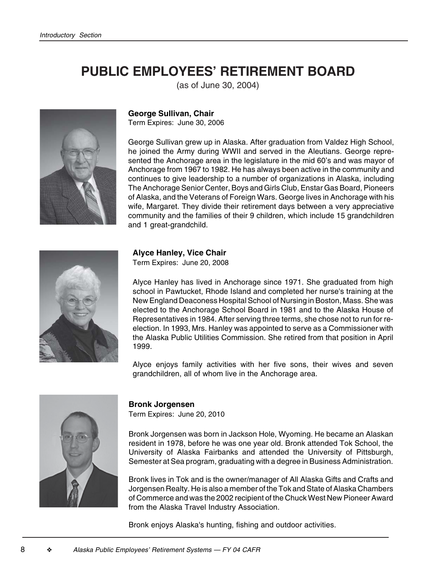# **PUBLIC EMPLOYEES' RETIREMENT BOARD**

(as of June 30, 2004)



**George Sullivan, Chair**

Term Expires: June 30, 2006

George Sullivan grew up in Alaska. After graduation from Valdez High School, he joined the Army during WWII and served in the Aleutians. George represented the Anchorage area in the legislature in the mid 60's and was mayor of Anchorage from 1967 to 1982. He has always been active in the community and continues to give leadership to a number of organizations in Alaska, including The Anchorage Senior Center, Boys and Girls Club, Enstar Gas Board, Pioneers of Alaska, and the Veterans of Foreign Wars. George lives in Anchorage with his wife, Margaret. They divide their retirement days between a very appreciative community and the families of their 9 children, which include 15 grandchildren and 1 great-grandchild.

December 16, 2004



# **Alyce Hanley, Vice Chair**

Term Expires: June 20, 2008

Alyce Hanley has lived in Anchorage since 1971. She graduated from high school in Pawtucket, Rhode Island and completed her nurse's training at the New England Deaconess Hospital School of Nursing in Boston, Mass. She was elected to the Anchorage School Board in 1981 and to the Alaska House of Representatives in 1984. After serving three terms, she chose not to run for reelection. In 1993, Mrs. Hanley was appointed to serve as a Commissioner with the Alaska Public Utilities Commission. She retired from that position in April 1999.

Alyce enjoys family activities with her five sons, their wives and seven grandchildren, all of whom live in the Anchorage area.



#### **Bronk Jorgensen**

Term Expires: June 20, 2010

Bronk Jorgensen was born in Jackson Hole, Wyoming. He became an Alaskan resident in 1978, before he was one year old. Bronk attended Tok School, the University of Alaska Fairbanks and attended the University of Pittsburgh, Semester at Sea program, graduating with a degree in Business Administration.

Bronk lives in Tok and is the owner/manager of All Alaska Gifts and Crafts and Jorgensen Realty. He is also a member of the Tok and State of Alaska Chambers of Commerce and was the 2002 recipient of the Chuck West New Pioneer Award from the Alaska Travel Industry Association.

Bronk enjoys Alaska's hunting, fishing and outdoor activities.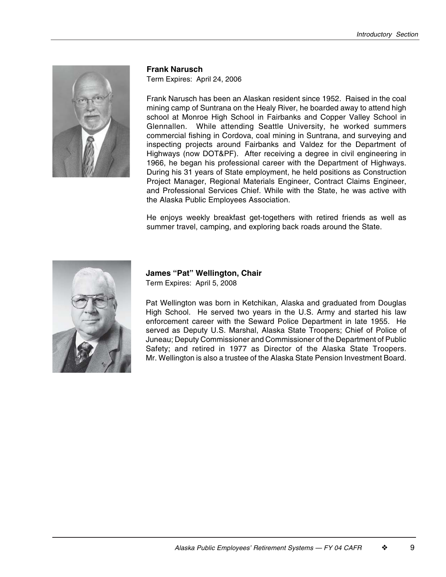

**Frank Narusch**

Term Expires: April 24, 2006

Frank Narusch has been an Alaskan resident since 1952. Raised in the coal mining camp of Suntrana on the Healy River, he boarded away to attend high school at Monroe High School in Fairbanks and Copper Valley School in Glennallen. While attending Seattle University, he worked summers commercial fishing in Cordova, coal mining in Suntrana, and surveying and inspecting projects around Fairbanks and Valdez for the Department of Highways (now DOT&PF). After receiving a degree in civil engineering in 1966, he began his professional career with the Department of Highways. During his 31 years of State employment, he held positions as Construction Project Manager, Regional Materials Engineer, Contract Claims Engineer, and Professional Services Chief. While with the State, he was active with the Alaska Public Employees Association.

He enjoys weekly breakfast get-togethers with retired friends as well as summer travel, camping, and exploring back roads around the State.



**James "Pat" Wellington, Chair** Term Expires: April 5, 2008

Pat Wellington was born in Ketchikan, Alaska and graduated from Douglas High School. He served two years in the U.S. Army and started his law enforcement career with the Seward Police Department in late 1955. He served as Deputy U.S. Marshal, Alaska State Troopers; Chief of Police of Juneau; Deputy Commissioner and Commissioner of the Department of Public Safety; and retired in 1977 as Director of the Alaska State Troopers. Mr. Wellington is also a trustee of the Alaska State Pension Investment Board.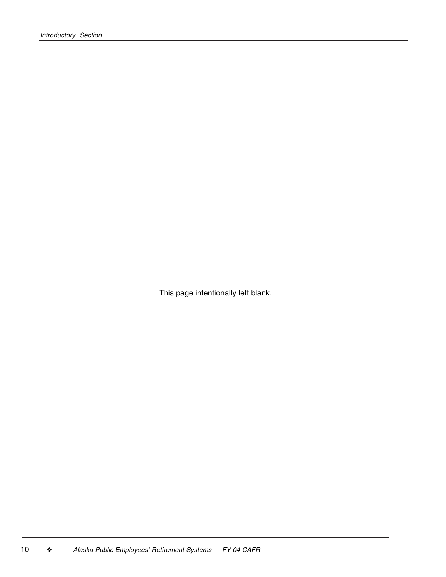This page intentionally left blank.

December 16, 2004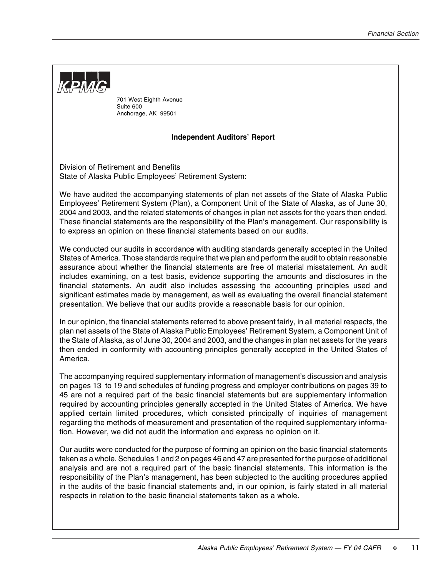

701 West Eighth Avenue Suite 600 Anchorage, AK 99501

#### **Independent Auditors' Report**

Division of Retirement and Benefits State of Alaska Public Employees' Retirement System:

We have audited the accompanying statements of plan net assets of the State of Alaska Public Employees' Retirement System (Plan), a Component Unit of the State of Alaska, as of June 30, 2004 and 2003, and the related statements of changes in plan net assets for the years then ended. These financial statements are the responsibility of the Plan's management. Our responsibility is to express an opinion on these financial statements based on our audits.

We conducted our audits in accordance with auditing standards generally accepted in the United States of America. Those standards require that we plan and perform the audit to obtain reasonable assurance about whether the financial statements are free of material misstatement. An audit includes examining, on a test basis, evidence supporting the amounts and disclosures in the financial statements. An audit also includes assessing the accounting principles used and significant estimates made by management, as well as evaluating the overall financial statement presentation. We believe that our audits provide a reasonable basis for our opinion.

In our opinion, the financial statements referred to above present fairly, in all material respects, the plan net assets of the State of Alaska Public Employees' Retirement System, a Component Unit of the State of Alaska, as of June 30, 2004 and 2003, and the changes in plan net assets for the years then ended in conformity with accounting principles generally accepted in the United States of America.

The accompanying required supplementary information of management's discussion and analysis on pages 13 to 19 and schedules of funding progress and employer contributions on pages 39 to 45 are not a required part of the basic financial statements but are supplementary information required by accounting principles generally accepted in the United States of America. We have applied certain limited procedures, which consisted principally of inquiries of management regarding the methods of measurement and presentation of the required supplementary information. However, we did not audit the information and express no opinion on it.

Our audits were conducted for the purpose of forming an opinion on the basic financial statements taken as a whole. Schedules 1 and 2 on pages 46 and 47 are presented for the purpose of additional analysis and are not a required part of the basic financial statements. This information is the responsibility of the Plan's management, has been subjected to the auditing procedures applied in the audits of the basic financial statements and, in our opinion, is fairly stated in all material respects in relation to the basic financial statements taken as a whole.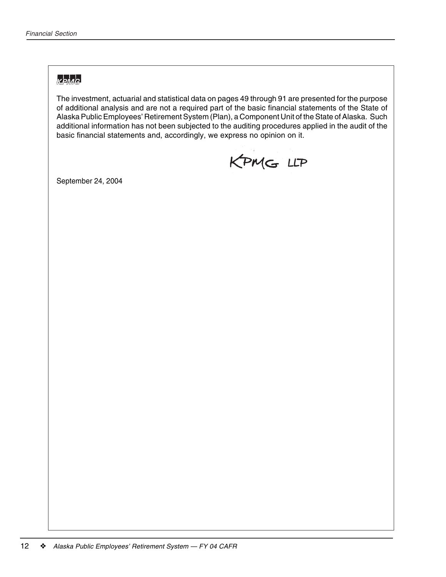# KPMG

The investment, actuarial and statistical data on pages 49 through 91 are presented for the purpose of additional analysis and are not a required part of the basic financial statements of the State of Alaska Public Employees' Retirement System (Plan), a Component Unit of the State of Alaska. Such additional information has not been subjected to the auditing procedures applied in the audit of the basic financial statements and, accordingly, we express no opinion on it.

KPMG LLP

September 24, 2004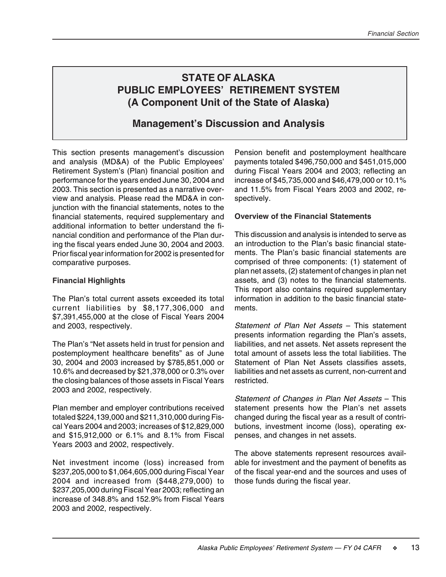# **Management's Discussion and Analysis**

This section presents management's discussion and analysis (MD&A) of the Public Employees' Retirement System's (Plan) financial position and performance for the years ended June 30, 2004 and 2003. This section is presented as a narrative overview and analysis. Please read the MD&A in conjunction with the financial statements, notes to the financial statements, required supplementary and additional information to better understand the financial condition and performance of the Plan during the fiscal years ended June 30, 2004 and 2003. Prior fiscal year information for 2002 is presented for comparative purposes.

#### **Financial Highlights**

The Plan's total current assets exceeded its total current liabilities by \$8,177,306,000 and \$7,391,455,000 at the close of Fiscal Years 2004 and 2003, respectively.

The Plan's "Net assets held in trust for pension and postemployment healthcare benefits" as of June 30, 2004 and 2003 increased by \$785,851,000 or 10.6% and decreased by \$21,378,000 or 0.3% over the closing balances of those assets in Fiscal Years 2003 and 2002, respectively.

Plan member and employer contributions received totaled \$224,139,000 and \$211,310,000 during Fiscal Years 2004 and 2003; increases of \$12,829,000 and \$15,912,000 or 6.1% and 8.1% from Fiscal Years 2003 and 2002, respectively.

Net investment income (loss) increased from \$237,205,000 to \$1,064,605,000 during Fiscal Year 2004 and increased from (\$448,279,000) to \$237,205,000 during Fiscal Year 2003; reflecting an increase of 348.8% and 152.9% from Fiscal Years 2003 and 2002, respectively.

Pension benefit and postemployment healthcare payments totaled \$496,750,000 and \$451,015,000 during Fiscal Years 2004 and 2003; reflecting an increase of \$45,735,000 and \$46,479,000 or 10.1% and 11.5% from Fiscal Years 2003 and 2002, respectively.

#### **Overview of the Financial Statements**

This discussion and analysis is intended to serve as an introduction to the Plan's basic financial statements. The Plan's basic financial statements are comprised of three components: (1) statement of plan net assets, (2) statement of changes in plan net assets, and (3) notes to the financial statements. This report also contains required supplementary information in addition to the basic financial statements.

Statement of Plan Net Assets – This statement presents information regarding the Plan's assets, liabilities, and net assets. Net assets represent the total amount of assets less the total liabilities. The Statement of Plan Net Assets classifies assets, liabilities and net assets as current, non-current and restricted.

Statement of Changes in Plan Net Assets – This statement presents how the Plan's net assets changed during the fiscal year as a result of contributions, investment income (loss), operating expenses, and changes in net assets.

The above statements represent resources available for investment and the payment of benefits as of the fiscal year-end and the sources and uses of those funds during the fiscal year.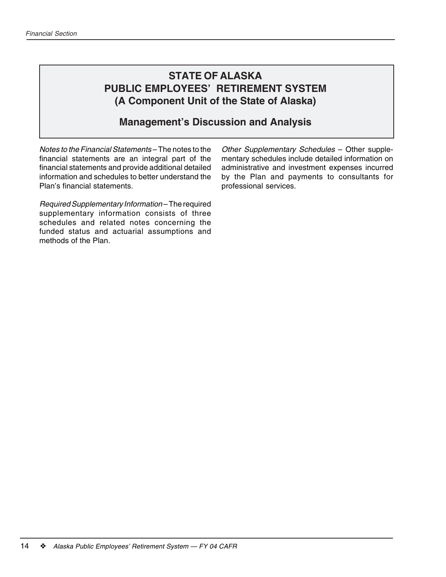# **Management's Discussion and Analysis**

Notes to the Financial Statements – The notes to the financial statements are an integral part of the financial statements and provide additional detailed information and schedules to better understand the Plan's financial statements.

Required Supplementary Information – The required supplementary information consists of three schedules and related notes concerning the funded status and actuarial assumptions and methods of the Plan.

Other Supplementary Schedules – Other supplementary schedules include detailed information on administrative and investment expenses incurred by the Plan and payments to consultants for professional services.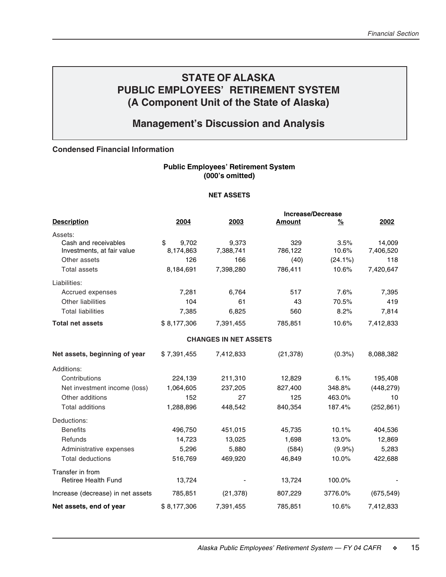# **Management's Discussion and Analysis**

#### **Condensed Financial Information**

#### **Public Employees' Retirement System (000's omitted)**

#### **NET ASSETS**

|                                   |             |                              | <b>Increase/Decrease</b> |            |            |
|-----------------------------------|-------------|------------------------------|--------------------------|------------|------------|
| <b>Description</b>                | 2004        | 2003                         | <b>Amount</b>            | %          | 2002       |
| Assets:                           |             |                              |                          |            |            |
| Cash and receivables              | \$<br>9,702 | 9,373                        | 329                      | 3.5%       | 14,009     |
| Investments, at fair value        | 8,174,863   | 7,388,741                    | 786,122                  | 10.6%      | 7,406,520  |
| Other assets                      | 126         | 166                          | (40)                     | $(24.1\%)$ | 118        |
| <b>Total assets</b>               | 8,184,691   | 7,398,280                    | 786,411                  | 10.6%      | 7,420,647  |
| Liabilities:                      |             |                              |                          |            |            |
| Accrued expenses                  | 7,281       | 6,764                        | 517                      | 7.6%       | 7,395      |
| <b>Other liabilities</b>          | 104         | 61                           | 43                       | 70.5%      | 419        |
| <b>Total liabilities</b>          | 7,385       | 6,825                        | 560                      | 8.2%       | 7,814      |
| <b>Total net assets</b>           | \$8,177,306 | 7,391,455                    | 785,851                  | 10.6%      | 7,412,833  |
|                                   |             | <b>CHANGES IN NET ASSETS</b> |                          |            |            |
| Net assets, beginning of year     | \$7,391,455 | 7,412,833                    | (21, 378)                | $(0.3\%)$  | 8,088,382  |
| Additions:                        |             |                              |                          |            |            |
| Contributions                     | 224,139     | 211,310                      | 12,829                   | 6.1%       | 195,408    |
| Net investment income (loss)      | 1,064,605   | 237,205                      | 827,400                  | 348.8%     | (448, 279) |
| Other additions                   | 152         | 27                           | 125                      | 463.0%     | 10         |
| <b>Total additions</b>            | 1,288,896   | 448,542                      | 840,354                  | 187.4%     | (252, 861) |
| Deductions:                       |             |                              |                          |            |            |
| <b>Benefits</b>                   | 496,750     | 451,015                      | 45,735                   | 10.1%      | 404,536    |
| Refunds                           | 14,723      | 13,025                       | 1,698                    | 13.0%      | 12,869     |
| Administrative expenses           | 5,296       | 5,880                        | (584)                    | $(9.9\%)$  | 5,283      |
| <b>Total deductions</b>           | 516,769     | 469,920                      | 46,849                   | 10.0%      | 422,688    |
| Transfer in from                  |             |                              |                          |            |            |
| <b>Retiree Health Fund</b>        | 13,724      |                              | 13,724                   | 100.0%     |            |
| Increase (decrease) in net assets | 785,851     | (21, 378)                    | 807,229                  | 3776.0%    | (675, 549) |
| Net assets, end of year           | \$8,177,306 | 7,391,455                    | 785,851                  | 10.6%      | 7,412,833  |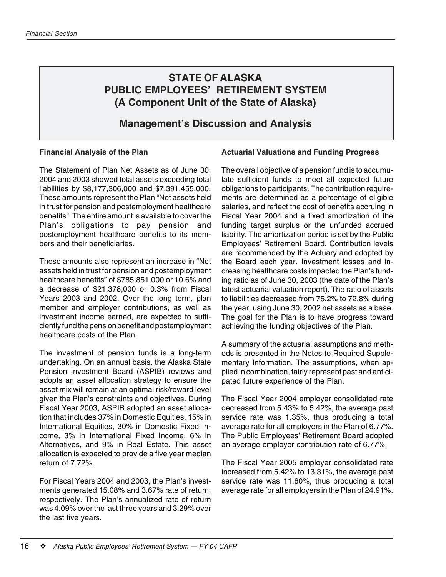# **Management's Discussion and Analysis**

#### **Financial Analysis of the Plan**

The Statement of Plan Net Assets as of June 30, 2004 and 2003 showed total assets exceeding total liabilities by \$8,177,306,000 and \$7,391,455,000. These amounts represent the Plan "Net assets held in trust for pension and postemployment healthcare benefits". The entire amount is available to cover the Plan's obligations to pay pension and postemployment healthcare benefits to its members and their beneficiaries.

These amounts also represent an increase in "Net assets held in trust for pension and postemployment healthcare benefits" of \$785,851,000 or 10.6% and a decrease of \$21,378,000 or 0.3% from Fiscal Years 2003 and 2002. Over the long term, plan member and employer contributions, as well as investment income earned, are expected to sufficiently fund the pension benefit and postemployment healthcare costs of the Plan.

The investment of pension funds is a long-term undertaking. On an annual basis, the Alaska State Pension Investment Board (ASPIB) reviews and adopts an asset allocation strategy to ensure the asset mix will remain at an optimal risk/reward level given the Plan's constraints and objectives. During Fiscal Year 2003, ASPIB adopted an asset allocation that includes 37% in Domestic Equities, 15% in International Equities, 30% in Domestic Fixed Income, 3% in International Fixed Income, 6% in Alternatives, and 9% in Real Estate. This asset allocation is expected to provide a five year median return of 7.72%.

For Fiscal Years 2004 and 2003, the Plan's investments generated 15.08% and 3.67% rate of return, respectively. The Plan's annualized rate of return was 4.09% over the last three years and 3.29% over the last five years.

#### **Actuarial Valuations and Funding Progress**

The overall objective of a pension fund is to accumulate sufficient funds to meet all expected future obligations to participants. The contribution requirements are determined as a percentage of eligible salaries, and reflect the cost of benefits accruing in Fiscal Year 2004 and a fixed amortization of the funding target surplus or the unfunded accrued liability. The amortization period is set by the Public Employees' Retirement Board. Contribution levels are recommended by the Actuary and adopted by the Board each year. Investment losses and increasing healthcare costs impacted the Plan's funding ratio as of June 30, 2003 (the date of the Plan's latest actuarial valuation report). The ratio of assets to liabilities decreased from 75.2% to 72.8% during the year, using June 30, 2002 net assets as a base. The goal for the Plan is to have progress toward achieving the funding objectives of the Plan.

A summary of the actuarial assumptions and methods is presented in the Notes to Required Supplementary Information. The assumptions, when applied in combination, fairly represent past and anticipated future experience of the Plan.

The Fiscal Year 2004 employer consolidated rate decreased from 5.43% to 5.42%, the average past service rate was 1.35%, thus producing a total average rate for all employers in the Plan of 6.77%. The Public Employees' Retirement Board adopted an average employer contribution rate of 6.77%.

The Fiscal Year 2005 employer consolidated rate increased from 5.42% to 13.31%, the average past service rate was 11.60%, thus producing a total average rate for all employers in the Plan of 24.91%.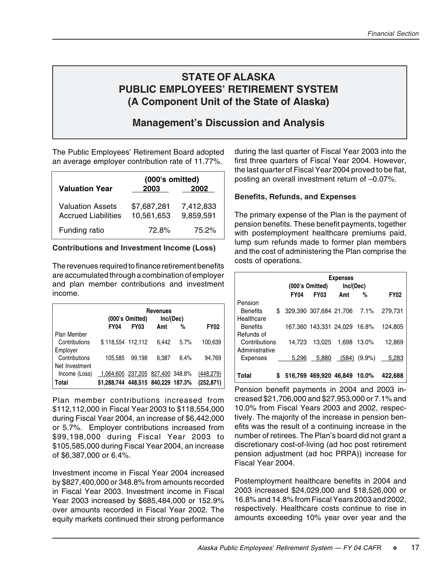# **Management's Discussion and Analysis**

The Public Employees' Retirement Board adopted an average employer contribution rate of 11.77%.

|                                                | (000's omitted)           |                        |  |  |  |
|------------------------------------------------|---------------------------|------------------------|--|--|--|
| <b>Valuation Year</b>                          | 2003                      | 2002                   |  |  |  |
| Valuation Assets<br><b>Accrued Liabilities</b> | \$7,687,281<br>10,561,653 | 7,412,833<br>9,859,591 |  |  |  |
| Funding ratio                                  | 72.8%                     | 75.2%                  |  |  |  |

#### **Contributions and Investment Income (Loss)**

The revenues required to finance retirement benefits are accumulated through a combination of employer and plan member contributions and investment income.

|                |                                    | <b>Revenues</b> |       |           |             |  |  |  |
|----------------|------------------------------------|-----------------|-------|-----------|-------------|--|--|--|
|                |                                    | (000's Omitted) |       | Inc/(Dec) |             |  |  |  |
|                | <b>FY04</b>                        | <b>FY03</b>     | Amt   | %         | <b>FY02</b> |  |  |  |
| Plan Member    |                                    |                 |       |           |             |  |  |  |
| Contributions  | \$118,554 112,112                  |                 | 6.442 | 5.7%      | 100,639     |  |  |  |
| Employer       |                                    |                 |       |           |             |  |  |  |
| Contributions  | 105.585                            | 99.198          | 6.387 | 6.4%      | 94.769      |  |  |  |
| Net Investment |                                    |                 |       |           |             |  |  |  |
| Income (Loss)  | 1,064,605 237,205 827,400 348.8%   |                 |       |           | (448, 279)  |  |  |  |
| Total          | \$1,288,744 448,515 840,229 187.3% |                 |       |           | (252, 871)  |  |  |  |

Plan member contributions increased from \$112,112,000 in Fiscal Year 2003 to \$118,554,000 during Fiscal Year 2004, an increase of \$6,442,000 or 5.7%. Employer contributions increased from \$99,198,000 during Fiscal Year 2003 to \$105,585,000 during Fiscal Year 2004, an increase of \$6,387,000 or 6.4%.

Investment income in Fiscal Year 2004 increased by \$827,400,000 or 348.8% from amounts recorded in Fiscal Year 2003. Investment income in Fiscal Year 2003 increased by \$685,484,000 or 152.9% over amounts recorded in Fiscal Year 2002. The equity markets continued their strong performance

during the last quarter of Fiscal Year 2003 into the first three quarters of Fiscal Year 2004. However, the last quarter of Fiscal Year 2004 proved to be flat, posting an overall investment return of –0.07%.

#### **Benefits, Refunds, and Expenses**

The primary expense of the Plan is the payment of pension benefits. These benefit payments, together with postemployment healthcare premiums paid, lump sum refunds made to former plan members and the cost of administering the Plan comprise the costs of operations.

|                 |    |             | <b>Expenses</b>              |           |                   |             |  |  |
|-----------------|----|-------------|------------------------------|-----------|-------------------|-------------|--|--|
|                 |    |             | (000's Omitted)              | Inc/(Dec) |                   |             |  |  |
|                 |    | <b>FY04</b> | <b>FY03</b>                  | Amt       | %                 | <b>FY02</b> |  |  |
| Pension         |    |             |                              |           |                   |             |  |  |
| <b>Benefits</b> | \$ |             | 329.390 307.684 21.706 7.1%  |           |                   | 279.731     |  |  |
| Healthcare      |    |             |                              |           |                   |             |  |  |
| <b>Benefits</b> |    |             | 167.360 143.331 24.029 16.8% |           |                   | 124.805     |  |  |
| Refunds of      |    |             |                              |           |                   |             |  |  |
| Contributions   |    | 14.723      | 13.025                       |           | 1,698 13.0%       | 12,869      |  |  |
| Administrative  |    |             |                              |           |                   |             |  |  |
| Expenses        |    | 5.296       | 5,880                        |           | $(584)$ $(9.9\%)$ | 5,283       |  |  |
|                 |    |             |                              |           |                   |             |  |  |
| Total           | S  |             | 516.769 469.920 46.849 10.0% |           |                   | 422.688     |  |  |

Pension benefit payments in 2004 and 2003 increased \$21,706,000 and \$27,953,000 or 7.1% and 10.0% from Fiscal Years 2003 and 2002, respectively. The majority of the increase in pension benefits was the result of a continuing increase in the number of retirees. The Plan's board did not grant a discretionary cost-of-living (ad hoc post retirement pension adjustment (ad hoc PRPA)) increase for Fiscal Year 2004.

Postemployment healthcare benefits in 2004 and 2003 increased \$24,029,000 and \$18,526,000 or 16.8% and 14.8% from Fiscal Years 2003 and 2002, respectively. Healthcare costs continue to rise in amounts exceeding 10% year over year and the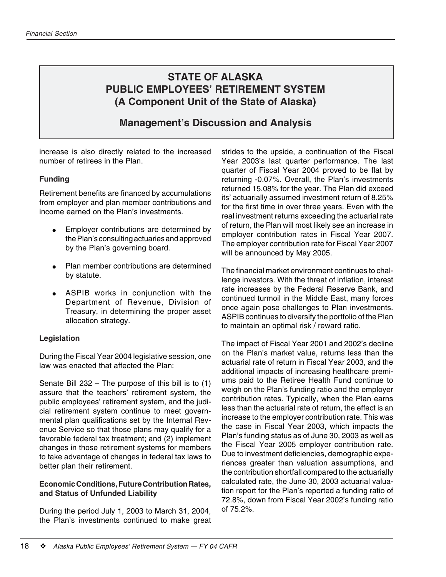# **Management's Discussion and Analysis**

increase is also directly related to the increased number of retirees in the Plan.

#### **Funding**

Retirement benefits are financed by accumulations from employer and plan member contributions and income earned on the Plan's investments.

- Employer contributions are determined by the Plan's consulting actuaries and approved by the Plan's governing board.
- **Plan member contributions are determined** by statute.
- ASPIB works in conjunction with the Department of Revenue, Division of Treasury, in determining the proper asset allocation strategy.

#### **Legislation**

During the Fiscal Year 2004 legislative session, one law was enacted that affected the Plan:

Senate Bill 232 – The purpose of this bill is to (1) assure that the teachers' retirement system, the public employees' retirement system, and the judicial retirement system continue to meet governmental plan qualifications set by the Internal Revenue Service so that those plans may qualify for a favorable federal tax treatment; and (2) implement changes in those retirement systems for members to take advantage of changes in federal tax laws to better plan their retirement.

#### **Economic Conditions, Future Contribution Rates, and Status of Unfunded Liability**

During the period July 1, 2003 to March 31, 2004, the Plan's investments continued to make great strides to the upside, a continuation of the Fiscal Year 2003's last quarter performance. The last quarter of Fiscal Year 2004 proved to be flat by returning -0.07%. Overall, the Plan's investments returned 15.08% for the year. The Plan did exceed its' actuarially assumed investment return of 8.25% for the first time in over three years. Even with the real investment returns exceeding the actuarial rate of return, the Plan will most likely see an increase in employer contribution rates in Fiscal Year 2007. The employer contribution rate for Fiscal Year 2007 will be announced by May 2005.

The financial market environment continues to challenge investors. With the threat of inflation, interest rate increases by the Federal Reserve Bank, and continued turmoil in the Middle East, many forces once again pose challenges to Plan investments. ASPIB continues to diversify the portfolio of the Plan to maintain an optimal risk / reward ratio.

The impact of Fiscal Year 2001 and 2002's decline on the Plan's market value, returns less than the actuarial rate of return in Fiscal Year 2003, and the additional impacts of increasing healthcare premiums paid to the Retiree Health Fund continue to weigh on the Plan's funding ratio and the employer contribution rates. Typically, when the Plan earns less than the actuarial rate of return, the effect is an increase to the employer contribution rate. This was the case in Fiscal Year 2003, which impacts the Plan's funding status as of June 30, 2003 as well as the Fiscal Year 2005 employer contribution rate. Due to investment deficiencies, demographic experiences greater than valuation assumptions, and the contribution shortfall compared to the actuarially calculated rate, the June 30, 2003 actuarial valuation report for the Plan's reported a funding ratio of 72.8%, down from Fiscal Year 2002's funding ratio of 75.2%.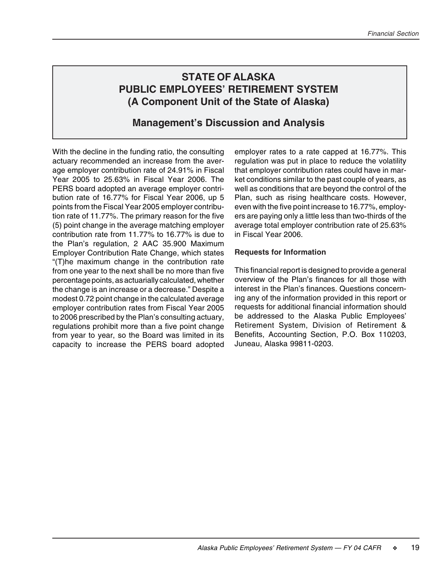# **Management's Discussion and Analysis**

With the decline in the funding ratio, the consulting actuary recommended an increase from the average employer contribution rate of 24.91% in Fiscal Year 2005 to 25.63% in Fiscal Year 2006. The PERS board adopted an average employer contribution rate of 16.77% for Fiscal Year 2006, up 5 points from the Fiscal Year 2005 employer contribution rate of 11.77%. The primary reason for the five (5) point change in the average matching employer contribution rate from 11.77% to 16.77% is due to the Plan's regulation, 2 AAC 35.900 Maximum Employer Contribution Rate Change, which states "(T)he maximum change in the contribution rate from one year to the next shall be no more than five percentage points, as actuarially calculated, whether the change is an increase or a decrease." Despite a modest 0.72 point change in the calculated average employer contribution rates from Fiscal Year 2005 to 2006 prescribed by the Plan's consulting actuary, regulations prohibit more than a five point change from year to year, so the Board was limited in its capacity to increase the PERS board adopted

employer rates to a rate capped at 16.77%. This regulation was put in place to reduce the volatility that employer contribution rates could have in market conditions similar to the past couple of years, as well as conditions that are beyond the control of the Plan, such as rising healthcare costs. However, even with the five point increase to 16.77%, employers are paying only a little less than two-thirds of the average total employer contribution rate of 25.63% in Fiscal Year 2006.

#### **Requests for Information**

This financial report is designed to provide a general overview of the Plan's finances for all those with interest in the Plan's finances. Questions concerning any of the information provided in this report or requests for additional financial information should be addressed to the Alaska Public Employees' Retirement System, Division of Retirement & Benefits, Accounting Section, P.O. Box 110203, Juneau, Alaska 99811-0203.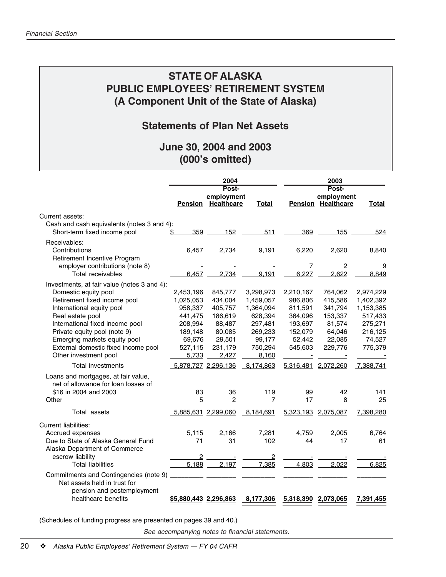# **Statements of Plan Net Assets**

# **June 30, 2004 and 2003 (000's omitted)**

|                                             | 2004<br>Post-<br>employment |                                                                                                                        |                | 2003<br>Post- |                           |              |
|---------------------------------------------|-----------------------------|------------------------------------------------------------------------------------------------------------------------|----------------|---------------|---------------------------|--------------|
|                                             |                             |                                                                                                                        |                |               |                           |              |
|                                             |                             |                                                                                                                        |                |               | employment                |              |
|                                             | <b>Pension</b>              | <b>Healthcare</b>                                                                                                      | <b>Total</b>   |               | <b>Pension Healthcare</b> | <b>Total</b> |
| Current assets:                             |                             |                                                                                                                        |                |               |                           |              |
| Cash and cash equivalents (notes 3 and 4):  |                             |                                                                                                                        |                |               |                           |              |
| Short-term fixed income pool                | 359<br>\$                   | 152                                                                                                                    | 511            | 369           | 155                       | 524          |
|                                             |                             |                                                                                                                        |                |               |                           |              |
| Receivables:                                |                             |                                                                                                                        |                |               |                           |              |
| Contributions                               | 6,457                       | 2,734                                                                                                                  | 9,191          | 6,220         | 2,620                     | 8,840        |
| Retirement Incentive Program                |                             |                                                                                                                        |                |               |                           |              |
| employer contributions (note 8)             |                             |                                                                                                                        |                |               | 2                         | 9            |
| <b>Total receivables</b>                    | 6.457                       | 2,734                                                                                                                  | 9,191          | 6,227         | 2,622                     | 8,849        |
| Investments, at fair value (notes 3 and 4): |                             |                                                                                                                        |                |               |                           |              |
| Domestic equity pool                        | 2,453,196                   | 845,777                                                                                                                | 3,298,973      | 2,210,167     | 764,062                   | 2,974,229    |
| Retirement fixed income pool                | 1,025,053                   | 434,004                                                                                                                | 1,459,057      | 986,806       | 415,586                   | 1,402,392    |
| International equity pool                   | 958,337                     | 405,757                                                                                                                | 1,364,094      | 811,591       | 341,794                   | 1,153,385    |
| Real estate pool                            | 441,475                     | 186,619                                                                                                                | 628,394        | 364,096       | 153,337                   | 517,433      |
| International fixed income pool             | 208,994                     | 88,487                                                                                                                 | 297,481        | 193,697       | 81,574                    | 275,271      |
| Private equity pool (note 9)                | 189,148                     | 80,085                                                                                                                 | 269,233        | 152,079       | 64,046                    | 216,125      |
| Emerging markets equity pool                | 69,676                      | 29,501                                                                                                                 | 99,177         | 52,442        | 22,085                    | 74,527       |
| External domestic fixed income pool         | 527,115                     | 231,179                                                                                                                | 750,294        | 545,603       | 229,776                   | 775,379      |
| Other investment pool                       | 5,733                       | 2,427                                                                                                                  | 8,160          |               |                           |              |
| <b>Total investments</b>                    |                             | 5,878,727 2,296,136                                                                                                    | 8,174,863      |               | 5,316,481 2,072,260       | 7,388,741    |
| Loans and mortgages, at fair value,         |                             |                                                                                                                        |                |               |                           |              |
| net of allowance for loan losses of         |                             |                                                                                                                        |                |               |                           |              |
| \$16 in 2004 and 2003                       | 83                          | 36                                                                                                                     | 119            | 99            | 42                        | 141          |
| Other                                       | 5                           | $\mathbf{2}$                                                                                                           | $\overline{7}$ | 17            | 8                         | 25           |
| Total assets                                | 5,885,631 2,299,060         |                                                                                                                        | 8,184,691      |               | 5,323,193 2,075,087       | 7,398,280    |
| Current liabilities:                        |                             |                                                                                                                        |                |               |                           |              |
| Accrued expenses                            | 5,115                       | 2,166                                                                                                                  | 7,281          | 4,759         | 2,005                     | 6,764        |
| Due to State of Alaska General Fund         | 71                          | 31                                                                                                                     | 102            | 44            | 17                        | 61           |
| Alaska Department of Commerce               |                             |                                                                                                                        |                |               |                           |              |
| escrow liability                            | $\overline{c}$              |                                                                                                                        | 2              |               |                           |              |
| <b>Total liabilities</b>                    | 5,188                       | 2,197                                                                                                                  | 7,385          | 4,803         | 2,022                     | 6,825        |
| Commitments and Contingencies (note 9)      |                             | <u> 1990 - Johann John Harry Harry Harry Harry Harry Harry Harry Harry Harry Harry Harry Harry Harry Harry Harry H</u> |                |               |                           |              |
| Net assets held in trust for                |                             |                                                                                                                        |                |               |                           |              |
| pension and postemployment                  |                             |                                                                                                                        |                |               |                           |              |
| healthcare benefits                         | \$5,880,443 2,296,863       |                                                                                                                        | 8,177,306      | 5,318,390     | 2,073,065                 | 7,391,455    |
|                                             |                             |                                                                                                                        |                |               |                           |              |

(Schedules of funding progress are presented on pages 39 and 40.)

See accompanying notes to financial statements.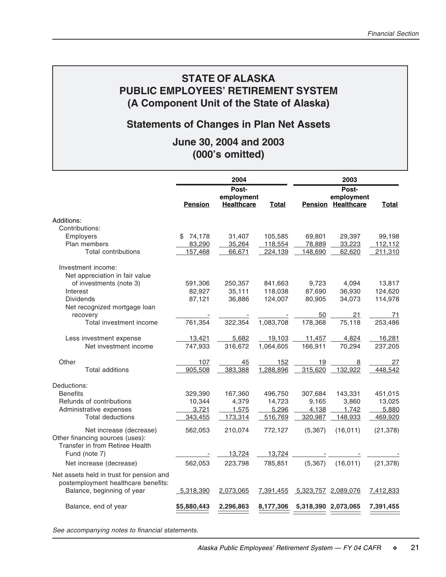# **Statements of Changes in Plan Net Assets**

# **June 30, 2004 and 2003 (000's omitted)**

|                                                                                                               |                | 2004                            |              |                     | 2003                                    |              |  |  |
|---------------------------------------------------------------------------------------------------------------|----------------|---------------------------------|--------------|---------------------|-----------------------------------------|--------------|--|--|
|                                                                                                               |                | Post-                           |              | Post-               |                                         |              |  |  |
|                                                                                                               | <b>Pension</b> | employment<br><b>Healthcare</b> | <b>Total</b> |                     | employment<br><b>Pension Healthcare</b> | <b>Total</b> |  |  |
| Additions:                                                                                                    |                |                                 |              |                     |                                         |              |  |  |
| Contributions:                                                                                                |                |                                 |              |                     |                                         |              |  |  |
| Employers                                                                                                     | 74,178         | 31,407                          | 105,585      | 69,801              | 29,397                                  | 99,198       |  |  |
| Plan members                                                                                                  | 83,290         | 35,264                          | 118,554      | 78,889              | 33,223                                  | 112,112      |  |  |
| <b>Total contributions</b>                                                                                    | 157,468        | 66,671                          | 224,139      | 148,690             | 62,620                                  | 211,310      |  |  |
| Investment income:                                                                                            |                |                                 |              |                     |                                         |              |  |  |
| Net appreciation in fair value                                                                                |                |                                 |              |                     |                                         |              |  |  |
| of investments (note 3)                                                                                       | 591,306        | 250,357                         | 841,663      | 9,723               | 4,094                                   | 13,817       |  |  |
| Interest                                                                                                      | 82,927         | 35,111                          | 118,038      | 87,690              | 36,930                                  | 124,620      |  |  |
| <b>Dividends</b>                                                                                              | 87,121         | 36,886                          | 124,007      | 80,905              | 34,073                                  | 114,978      |  |  |
| Net recognized mortgage loan                                                                                  |                |                                 |              |                     |                                         |              |  |  |
| recovery                                                                                                      |                |                                 |              | 50                  | 21                                      | 71           |  |  |
| Total investment income                                                                                       | 761,354        | 322,354                         | 1,083,708    | 178,368             | 75,118                                  | 253,486      |  |  |
| Less investment expense                                                                                       | 13,421         | 5,682                           | 19,103       | 11,457              | 4.824                                   | 16,281       |  |  |
| Net investment income                                                                                         | 747,933        | 316,672                         | 1,064,605    | 166,911             | 70,294                                  | 237,205      |  |  |
| Other                                                                                                         | 107            | 45                              | 152          | 19                  | 8                                       | 27           |  |  |
| <b>Total additions</b>                                                                                        | 905,508        | 383,388                         | 1,288,896    | 315,620             | 132,922                                 | 448,542      |  |  |
| Deductions:                                                                                                   |                |                                 |              |                     |                                         |              |  |  |
| <b>Benefits</b>                                                                                               | 329,390        | 167,360                         | 496,750      | 307,684             | 143,331                                 | 451,015      |  |  |
| Refunds of contributions                                                                                      | 10,344         | 4,379                           | 14,723       | 9,165               | 3,860                                   | 13,025       |  |  |
| Administrative expenses                                                                                       | 3,721          | 1,575                           | 5,296        | 4,138               | 1,742                                   | 5,880        |  |  |
| <b>Total deductions</b>                                                                                       | 343,455        | 173,314                         | 516,769      | 320,987             | 148,933                                 | 469,920      |  |  |
| Net increase (decrease)<br>Other financing sources (uses):                                                    | 562,053        | 210,074                         | 772,127      | (5, 367)            | (16, 011)                               | (21, 378)    |  |  |
| Transfer in from Retiree Health                                                                               |                |                                 |              |                     |                                         |              |  |  |
| Fund (note 7)                                                                                                 |                | 13,724                          | 13,724       |                     |                                         |              |  |  |
| Net increase (decrease)                                                                                       | 562,053        | 223,798                         | 785,851      | (5, 367)            | (16, 011)                               | (21, 378)    |  |  |
| Net assets held in trust for pension and<br>postemployment healthcare benefits:<br>Balance, beginning of year | 5,318,390      | 2,073,065                       | 7,391,455    | 5,323,757 2,089,076 |                                         | 7,412,833    |  |  |
| Balance, end of year                                                                                          | \$5,880,443    | 2,296,863                       | 8,177,306    |                     | 5,318,390 2,073,065                     | 7,391,455    |  |  |
|                                                                                                               |                |                                 |              |                     |                                         |              |  |  |

See accompanying notes to financial statements.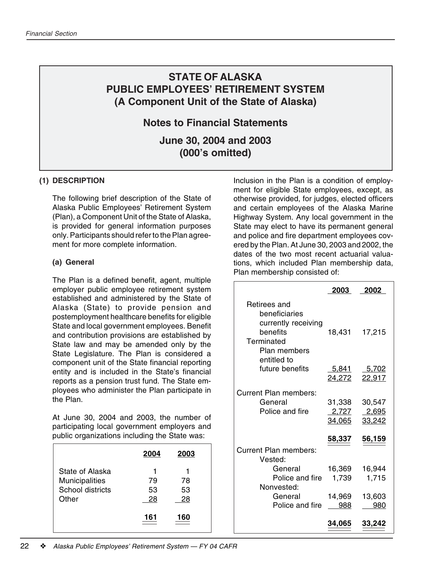# **Notes to Financial Statements**

**June 30, 2004 and 2003 (000's omitted)**

#### **(1) DESCRIPTION**

The following brief description of the State of Alaska Public Employees' Retirement System (Plan), a Component Unit of the State of Alaska, is provided for general information purposes only. Participants should refer to the Plan agreement for more complete information.

#### **(a) General**

The Plan is a defined benefit, agent, multiple employer public employee retirement system established and administered by the State of Alaska (State) to provide pension and postemployment healthcare benefits for eligible State and local government employees. Benefit and contribution provisions are established by State law and may be amended only by the State Legislature. The Plan is considered a component unit of the State financial reporting entity and is included in the State's financial reports as a pension trust fund. The State employees who administer the Plan participate in the Plan.

At June 30, 2004 and 2003, the number of participating local government employers and public organizations including the State was:

|                       | 2004 | 2003 |
|-----------------------|------|------|
| State of Alaska       | 1    |      |
| <b>Municipalities</b> | 79   | 78   |
| School districts      | 53   | 53   |
| Other                 | 28   | 28   |
|                       | 161  | 160  |

Inclusion in the Plan is a condition of employment for eligible State employees, except, as otherwise provided, for judges, elected officers and certain employees of the Alaska Marine Highway System. Any local government in the State may elect to have its permanent general and police and fire department employees covered by the Plan. At June 30, 2003 and 2002, the dates of the two most recent actuarial valuations, which included Plan membership data, Plan membership consisted of:

|                       | 2003   | 2002         |
|-----------------------|--------|--------------|
| Retirees and          |        |              |
| beneficiaries         |        |              |
| currently receiving   |        |              |
| benefits              | 18,431 | 17,215       |
| Terminated            |        |              |
| Plan members          |        |              |
| entitled to           |        |              |
| future benefits       | 5,841  | $-5,702$     |
|                       | 24,272 | 22,917       |
|                       |        |              |
| Current Plan members: |        |              |
| General               | 31,338 | 30,547       |
| Police and fire       | 2,727  | <u>2,695</u> |
|                       | 34,065 | 33,242       |
|                       | 58,337 | 56,159       |
| Current Plan members: |        |              |
| Vested:               |        |              |
| General               | 16,369 | 16,944       |
| Police and fire       | 1,739  | 1,715        |
| Nonvested:            |        |              |
| General               | 14,969 | 13,603       |
| Police and fire       | 988    | 980          |
|                       |        |              |
|                       | 34,065 | 33,242       |
|                       |        |              |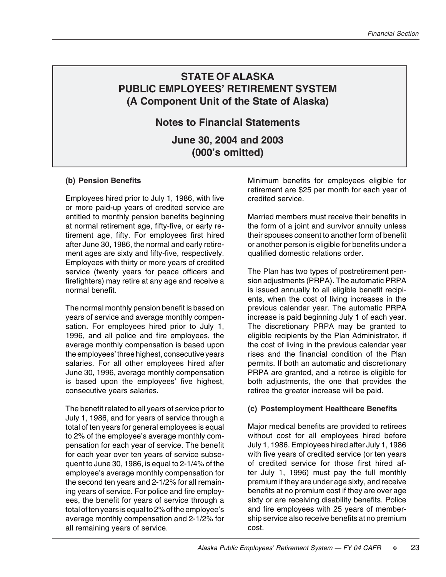# **Notes to Financial Statements**

**June 30, 2004 and 2003 (000's omitted)**

#### **(b) Pension Benefits**

Employees hired prior to July 1, 1986, with five or more paid-up years of credited service are entitled to monthly pension benefits beginning at normal retirement age, fifty-five, or early retirement age, fifty. For employees first hired after June 30, 1986, the normal and early retirement ages are sixty and fifty-five, respectively. Employees with thirty or more years of credited service (twenty years for peace officers and firefighters) may retire at any age and receive a normal benefit.

The normal monthly pension benefit is based on years of service and average monthly compensation. For employees hired prior to July 1, 1996, and all police and fire employees, the average monthly compensation is based upon the employees' three highest, consecutive years salaries. For all other employees hired after June 30, 1996, average monthly compensation is based upon the employees' five highest, consecutive years salaries.

The benefit related to all years of service prior to July 1, 1986, and for years of service through a total of ten years for general employees is equal to 2% of the employee's average monthly compensation for each year of service. The benefit for each year over ten years of service subsequent to June 30, 1986, is equal to 2-1/4% of the employee's average monthly compensation for the second ten years and 2-1/2% for all remaining years of service. For police and fire employees, the benefit for years of service through a total of ten years is equal to 2% of the employee's average monthly compensation and 2-1/2% for all remaining years of service.

Minimum benefits for employees eligible for retirement are \$25 per month for each year of credited service.

Married members must receive their benefits in the form of a joint and survivor annuity unless their spouses consent to another form of benefit or another person is eligible for benefits under a qualified domestic relations order.

The Plan has two types of postretirement pension adjustments (PRPA). The automatic PRPA is issued annually to all eligible benefit recipients, when the cost of living increases in the previous calendar year. The automatic PRPA increase is paid beginning July 1 of each year. The discretionary PRPA may be granted to eligible recipients by the Plan Administrator, if the cost of living in the previous calendar year rises and the financial condition of the Plan permits. If both an automatic and discretionary PRPA are granted, and a retiree is eligible for both adjustments, the one that provides the retiree the greater increase will be paid.

#### **(c) Postemployment Healthcare Benefits**

Major medical benefits are provided to retirees without cost for all employees hired before July 1, 1986. Employees hired after July 1, 1986 with five years of credited service (or ten years of credited service for those first hired after July 1, 1996) must pay the full monthly premium if they are under age sixty, and receive benefits at no premium cost if they are over age sixty or are receiving disability benefits. Police and fire employees with 25 years of membership service also receive benefits at no premium cost.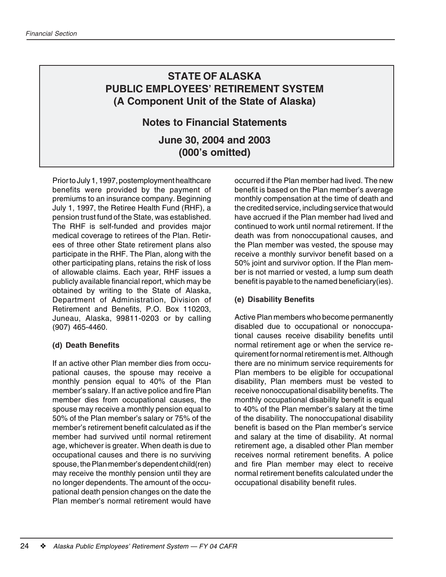## **Notes to Financial Statements**

# **June 30, 2004 and 2003 (000's omitted)**

Prior to July 1, 1997, postemployment healthcare benefits were provided by the payment of premiums to an insurance company. Beginning July 1, 1997, the Retiree Health Fund (RHF), a pension trust fund of the State, was established. The RHF is self-funded and provides major medical coverage to retirees of the Plan. Retirees of three other State retirement plans also participate in the RHF. The Plan, along with the other participating plans, retains the risk of loss of allowable claims. Each year, RHF issues a publicly available financial report, which may be obtained by writing to the State of Alaska, Department of Administration, Division of Retirement and Benefits, P.O. Box 110203, Juneau, Alaska, 99811-0203 or by calling (907) 465-4460.

#### **(d) Death Benefits**

If an active other Plan member dies from occupational causes, the spouse may receive a monthly pension equal to 40% of the Plan member's salary. If an active police and fire Plan member dies from occupational causes, the spouse may receive a monthly pension equal to 50% of the Plan member's salary or 75% of the member's retirement benefit calculated as if the member had survived until normal retirement age, whichever is greater. When death is due to occupational causes and there is no surviving spouse, the Plan member's dependent child(ren) may receive the monthly pension until they are no longer dependents. The amount of the occupational death pension changes on the date the Plan member's normal retirement would have

occurred if the Plan member had lived. The new benefit is based on the Plan member's average monthly compensation at the time of death and the credited service, including service that would have accrued if the Plan member had lived and continued to work until normal retirement. If the death was from nonoccupational causes, and the Plan member was vested, the spouse may receive a monthly survivor benefit based on a 50% joint and survivor option. If the Plan member is not married or vested, a lump sum death benefit is payable to the named beneficiary(ies).

#### **(e) Disability Benefits**

Active Plan members who become permanently disabled due to occupational or nonoccupational causes receive disability benefits until normal retirement age or when the service requirement for normal retirement is met. Although there are no minimum service requirements for Plan members to be eligible for occupational disability, Plan members must be vested to receive nonoccupational disability benefits. The monthly occupational disability benefit is equal to 40% of the Plan member's salary at the time of the disability. The nonoccupational disability benefit is based on the Plan member's service and salary at the time of disability. At normal retirement age, a disabled other Plan member receives normal retirement benefits. A police and fire Plan member may elect to receive normal retirement benefits calculated under the occupational disability benefit rules.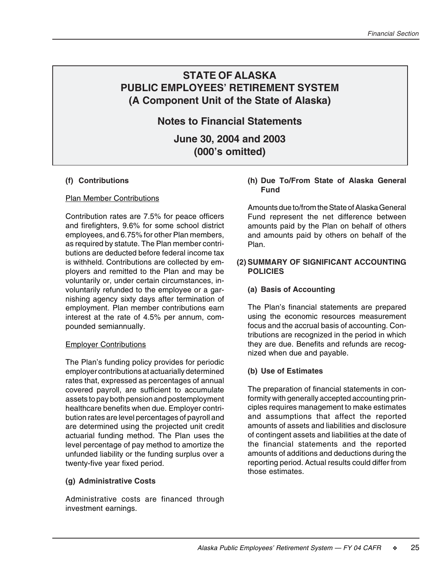# **Notes to Financial Statements**

**June 30, 2004 and 2003 (000's omitted)**

#### **(f) Contributions**

#### Plan Member Contributions

Contribution rates are 7.5% for peace officers and firefighters, 9.6% for some school district employees, and 6.75% for other Plan members, as required by statute. The Plan member contributions are deducted before federal income tax is withheld. Contributions are collected by employers and remitted to the Plan and may be voluntarily or, under certain circumstances, involuntarily refunded to the employee or a garnishing agency sixty days after termination of employment. Plan member contributions earn interest at the rate of 4.5% per annum, compounded semiannually.

#### Employer Contributions

The Plan's funding policy provides for periodic employer contributions at actuarially determined rates that, expressed as percentages of annual covered payroll, are sufficient to accumulate assets to pay both pension and postemployment healthcare benefits when due. Employer contribution rates are level percentages of payroll and are determined using the projected unit credit actuarial funding method. The Plan uses the level percentage of pay method to amortize the unfunded liability or the funding surplus over a twenty-five year fixed period.

#### **(g) Administrative Costs**

Administrative costs are financed through investment earnings.

#### **(h) Due To/From State of Alaska General Fund**

Amounts due to/from the State of Alaska General Fund represent the net difference between amounts paid by the Plan on behalf of others and amounts paid by others on behalf of the Plan.

#### **(2) SUMMARY OF SIGNIFICANT ACCOUNTING POLICIES**

#### **(a) Basis of Accounting**

The Plan's financial statements are prepared using the economic resources measurement focus and the accrual basis of accounting. Contributions are recognized in the period in which they are due. Benefits and refunds are recognized when due and payable.

#### **(b) Use of Estimates**

The preparation of financial statements in conformity with generally accepted accounting principles requires management to make estimates and assumptions that affect the reported amounts of assets and liabilities and disclosure of contingent assets and liabilities at the date of the financial statements and the reported amounts of additions and deductions during the reporting period. Actual results could differ from those estimates.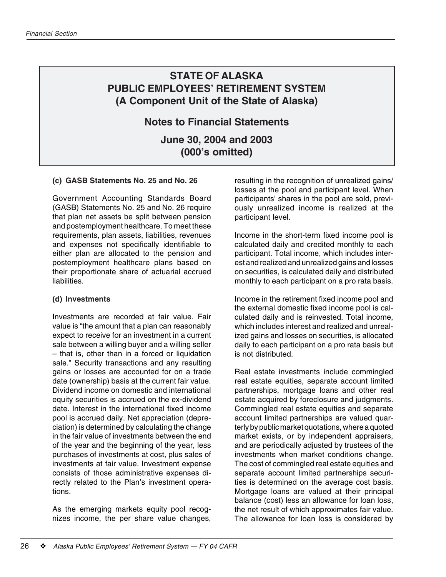## **Notes to Financial Statements**

**June 30, 2004 and 2003 (000's omitted)**

#### **(c) GASB Statements No. 25 and No. 26**

Government Accounting Standards Board (GASB) Statements No. 25 and No. 26 require that plan net assets be split between pension and postemployment healthcare. To meet these requirements, plan assets, liabilities, revenues and expenses not specifically identifiable to either plan are allocated to the pension and postemployment healthcare plans based on their proportionate share of actuarial accrued liabilities.

#### **(d) Investments**

Investments are recorded at fair value. Fair value is "the amount that a plan can reasonably expect to receive for an investment in a current sale between a willing buyer and a willing seller – that is, other than in a forced or liquidation sale." Security transactions and any resulting gains or losses are accounted for on a trade date (ownership) basis at the current fair value. Dividend income on domestic and international equity securities is accrued on the ex-dividend date. Interest in the international fixed income pool is accrued daily. Net appreciation (depreciation) is determined by calculating the change in the fair value of investments between the end of the year and the beginning of the year, less purchases of investments at cost, plus sales of investments at fair value. Investment expense consists of those administrative expenses directly related to the Plan's investment operations.

As the emerging markets equity pool recognizes income, the per share value changes, resulting in the recognition of unrealized gains/ losses at the pool and participant level. When participants' shares in the pool are sold, previously unrealized income is realized at the participant level.

Income in the short-term fixed income pool is calculated daily and credited monthly to each participant. Total income, which includes interest and realized and unrealized gains and losses on securities, is calculated daily and distributed monthly to each participant on a pro rata basis.

Income in the retirement fixed income pool and the external domestic fixed income pool is calculated daily and is reinvested. Total income, which includes interest and realized and unrealized gains and losses on securities, is allocated daily to each participant on a pro rata basis but is not distributed.

Real estate investments include commingled real estate equities, separate account limited partnerships, mortgage loans and other real estate acquired by foreclosure and judgments. Commingled real estate equities and separate account limited partnerships are valued quarterly by public market quotations, where a quoted market exists, or by independent appraisers, and are periodically adjusted by trustees of the investments when market conditions change. The cost of commingled real estate equities and separate account limited partnerships securities is determined on the average cost basis. Mortgage loans are valued at their principal balance (cost) less an allowance for loan loss, the net result of which approximates fair value. The allowance for loan loss is considered by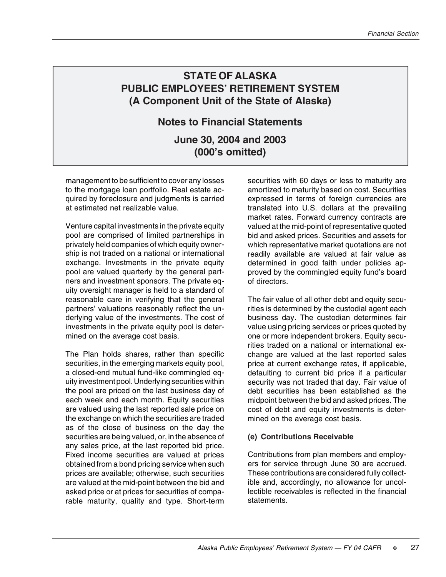# **Notes to Financial Statements**

# **June 30, 2004 and 2003 (000's omitted)**

management to be sufficient to cover any losses to the mortgage loan portfolio. Real estate acquired by foreclosure and judgments is carried at estimated net realizable value.

Venture capital investments in the private equity pool are comprised of limited partnerships in privately held companies of which equity ownership is not traded on a national or international exchange. Investments in the private equity pool are valued quarterly by the general partners and investment sponsors. The private equity oversight manager is held to a standard of reasonable care in verifying that the general partners' valuations reasonably reflect the underlying value of the investments. The cost of investments in the private equity pool is determined on the average cost basis.

The Plan holds shares, rather than specific securities, in the emerging markets equity pool, a closed-end mutual fund-like commingled equity investment pool. Underlying securities within the pool are priced on the last business day of each week and each month. Equity securities are valued using the last reported sale price on the exchange on which the securities are traded as of the close of business on the day the securities are being valued, or, in the absence of any sales price, at the last reported bid price. Fixed income securities are valued at prices obtained from a bond pricing service when such prices are available; otherwise, such securities are valued at the mid-point between the bid and asked price or at prices for securities of comparable maturity, quality and type. Short-term

securities with 60 days or less to maturity are amortized to maturity based on cost. Securities expressed in terms of foreign currencies are translated into U.S. dollars at the prevailing market rates. Forward currency contracts are valued at the mid-point of representative quoted bid and asked prices. Securities and assets for which representative market quotations are not readily available are valued at fair value as determined in good faith under policies approved by the commingled equity fund's board of directors.

The fair value of all other debt and equity securities is determined by the custodial agent each business day. The custodian determines fair value using pricing services or prices quoted by one or more independent brokers. Equity securities traded on a national or international exchange are valued at the last reported sales price at current exchange rates, if applicable, defaulting to current bid price if a particular security was not traded that day. Fair value of debt securities has been established as the midpoint between the bid and asked prices. The cost of debt and equity investments is determined on the average cost basis.

#### **(e) Contributions Receivable**

Contributions from plan members and employers for service through June 30 are accrued. These contributions are considered fully collectible and, accordingly, no allowance for uncollectible receivables is reflected in the financial statements.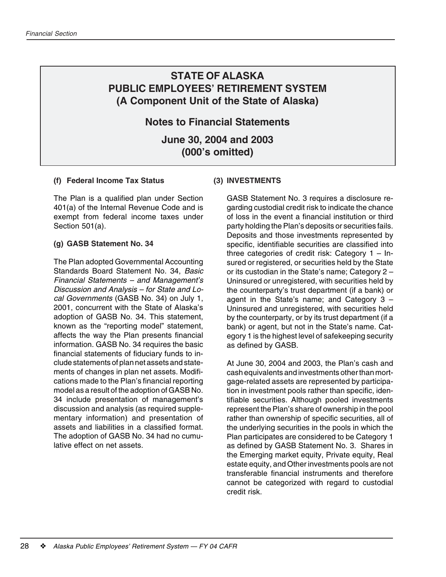### **Notes to Financial Statements**

**June 30, 2004 and 2003 (000's omitted)**

#### **(f) Federal Income Tax Status**

The Plan is a qualified plan under Section 401(a) of the Internal Revenue Code and is exempt from federal income taxes under Section 501(a).

#### **(g) GASB Statement No. 34**

The Plan adopted Governmental Accounting Standards Board Statement No. 34, Basic Financial Statements – and Management's Discussion and Analysis – for State and Local Governments (GASB No. 34) on July 1, 2001, concurrent with the State of Alaska's adoption of GASB No. 34. This statement, known as the "reporting model" statement, affects the way the Plan presents financial information. GASB No. 34 requires the basic financial statements of fiduciary funds to include statements of plan net assets and statements of changes in plan net assets. Modifications made to the Plan's financial reporting model as a result of the adoption of GASB No. 34 include presentation of management's discussion and analysis (as required supplementary information) and presentation of assets and liabilities in a classified format. The adoption of GASB No. 34 had no cumulative effect on net assets.

#### **(3) INVESTMENTS**

GASB Statement No. 3 requires a disclosure regarding custodial credit risk to indicate the chance of loss in the event a financial institution or third party holding the Plan's deposits or securities fails. Deposits and those investments represented by specific, identifiable securities are classified into three categories of credit risk: Category 1 – Insured or registered, or securities held by the State or its custodian in the State's name; Category 2 – Uninsured or unregistered, with securities held by the counterparty's trust department (if a bank) or agent in the State's name; and Category 3 – Uninsured and unregistered, with securities held by the counterparty, or by its trust department (if a bank) or agent, but not in the State's name. Category 1 is the highest level of safekeeping security as defined by GASB.

At June 30, 2004 and 2003, the Plan's cash and cash equivalents and investments other than mortgage-related assets are represented by participation in investment pools rather than specific, identifiable securities. Although pooled investments represent the Plan's share of ownership in the pool rather than ownership of specific securities, all of the underlying securities in the pools in which the Plan participates are considered to be Category 1 as defined by GASB Statement No. 3. Shares in the Emerging market equity, Private equity, Real estate equity, and Other investments pools are not transferable financial instruments and therefore cannot be categorized with regard to custodial credit risk.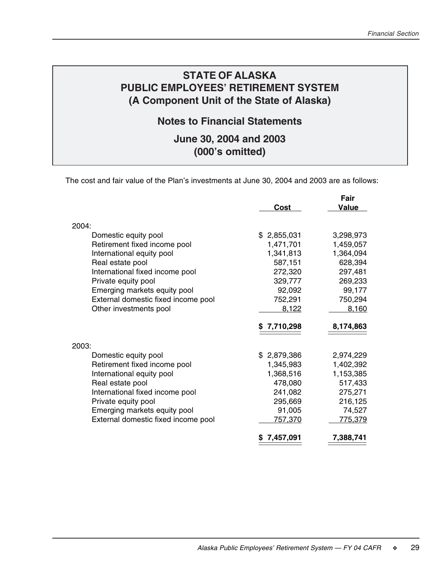# **Notes to Financial Statements**

# **June 30, 2004 and 2003 (000's omitted)**

The cost and fair value of the Plan's investments at June 30, 2004 and 2003 are as follows:

|                                     |                | Fair         |
|-------------------------------------|----------------|--------------|
|                                     | Cost           | <b>Value</b> |
| 2004:                               |                |              |
| Domestic equity pool                | \$2,855,031    | 3,298,973    |
| Retirement fixed income pool        | 1,471,701      | 1,459,057    |
| International equity pool           | 1,341,813      | 1,364,094    |
| Real estate pool                    | 587,151        | 628,394      |
| International fixed income pool     | 272,320        | 297,481      |
| Private equity pool                 | 329,777        | 269,233      |
| Emerging markets equity pool        | 92,092         | 99,177       |
| External domestic fixed income pool | 752,291        | 750,294      |
| Other investments pool              | 8,122          | 8,160        |
|                                     | 7,710,298      | 8,174,863    |
| 2003:                               |                |              |
| Domestic equity pool                | \$2,879,386    | 2,974,229    |
| Retirement fixed income pool        | 1,345,983      | 1,402,392    |
| International equity pool           | 1,368,516      | 1,153,385    |
| Real estate pool                    | 478,080        | 517,433      |
| International fixed income pool     | 241,082        | 275,271      |
| Private equity pool                 | 295,669        | 216,125      |
| Emerging markets equity pool        | 91,005         | 74,527       |
| External domestic fixed income pool | 757,370        | 775,379      |
|                                     | 7,457,091<br>S | 7,388,741    |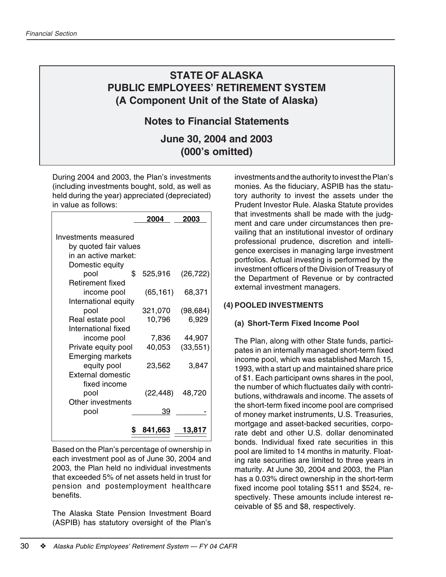# **Notes to Financial Statements**

**June 30, 2004 and 2003 (000's omitted)**

During 2004 and 2003, the Plan's investments (including investments bought, sold, as well as held during the year) appreciated (depreciated) in value as follows:

| 2004                  | 2003                                                                           |
|-----------------------|--------------------------------------------------------------------------------|
|                       |                                                                                |
| by quoted fair values |                                                                                |
|                       |                                                                                |
|                       |                                                                                |
| 525,916               | (26, 722)                                                                      |
|                       |                                                                                |
|                       | 68,371                                                                         |
|                       |                                                                                |
|                       | (98, 684)                                                                      |
|                       | 6,929                                                                          |
|                       |                                                                                |
|                       | 44,907                                                                         |
|                       | (33, 551)                                                                      |
|                       |                                                                                |
|                       | 3,847                                                                          |
|                       |                                                                                |
|                       |                                                                                |
|                       | 48,720                                                                         |
|                       |                                                                                |
|                       |                                                                                |
| 841,663               | 13,817                                                                         |
|                       | (65, 161)<br>321,070<br>10,796<br>7,836<br>40,053<br>23,562<br>(22, 448)<br>39 |

Based on the Plan's percentage of ownership in each investment pool as of June 30, 2004 and 2003, the Plan held no individual investments that exceeded 5% of net assets held in trust for pension and postemployment healthcare benefits.

The Alaska State Pension Investment Board (ASPIB) has statutory oversight of the Plan's

investments and the authority to invest the Plan's monies. As the fiduciary, ASPIB has the statutory authority to invest the assets under the Prudent Investor Rule. Alaska Statute provides that investments shall be made with the judgment and care under circumstances then prevailing that an institutional investor of ordinary professional prudence, discretion and intelligence exercises in managing large investment portfolios. Actual investing is performed by the investment officers of the Division of Treasury of the Department of Revenue or by contracted external investment managers.

#### **(4) POOLED INVESTMENTS**

#### **(a) Short-Term Fixed Income Pool**

The Plan, along with other State funds, participates in an internally managed short-term fixed income pool, which was established March 15, 1993, with a start up and maintained share price of \$1. Each participant owns shares in the pool, the number of which fluctuates daily with contributions, withdrawals and income. The assets of the short-term fixed income pool are comprised of money market instruments, U.S. Treasuries, mortgage and asset-backed securities, corporate debt and other U.S. dollar denominated bonds. Individual fixed rate securities in this pool are limited to 14 months in maturity. Floating rate securities are limited to three years in maturity. At June 30, 2004 and 2003, the Plan has a 0.03% direct ownership in the short-term fixed income pool totaling \$511 and \$524, respectively. These amounts include interest receivable of \$5 and \$8, respectively.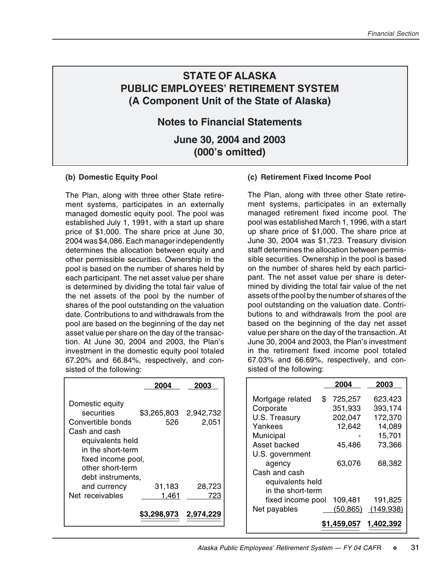### **Notes to Financial Statements**

**June 30, 2004 and 2003 (000's omitted)**

#### **(b) Domestic Equity Pool**

The Plan, along with three other State retirement systems, participates in an externally managed domestic equity pool. The pool was established July 1, 1991, with a start up share price of \$1,000. The share price at June 30, 2004 was \$4,086. Each manager independently determines the allocation between equity and other permissible securities. Ownership in the pool is based on the number of shares held by each participant. The net asset value per share is determined by dividing the total fair value of the net assets of the pool by the number of shares of the pool outstanding on the valuation date. Contributions to and withdrawals from the pool are based on the beginning of the day net asset value per share on the day of the transaction. At June 30, 2004 and 2003, the Plan's investment in the domestic equity pool totaled 67.20% and 66.84%, respectively, and consisted of the following:

|                                                                                                                                    | 2004               | 2003               |
|------------------------------------------------------------------------------------------------------------------------------------|--------------------|--------------------|
| Domestic equity<br>securities<br>Convertible bonds<br>Cash and cash<br>equivalents held<br>in the short-term<br>fixed income pool, | \$3,265,803<br>526 | 2,942,732<br>2,051 |
| other short-term<br>debt instruments.<br>and currency<br>Net receivables                                                           | 31,183<br>1.461    | 28,723<br>723      |
|                                                                                                                                    | \$3,298,973        | 2,974,229          |

#### **(c) Retirement Fixed Income Pool**

The Plan, along with three other State retirement systems, participates in an externally managed retirement fixed income pool. The pool was established March 1, 1996, with a start up share price of \$1,000. The share price at June 30, 2004 was \$1,723. Treasury division staff determines the allocation between permissible securities. Ownership in the pool is based on the number of shares held by each participant. The net asset value per share is determined by dividing the total fair value of the net assets of the pool by the number of shares of the pool outstanding on the valuation date. Contributions to and withdrawals from the pool are based on the beginning of the day net asset value per share on the day of the transaction. At June 30, 2004 and 2003, the Plan's investment in the retirement fixed income pool totaled 67.03% and 66.69%, respectively, and consisted of the following:

|                        | 2004        | 2003             |
|------------------------|-------------|------------------|
| Mortgage related<br>\$ | 725,257     | 623,423          |
| Corporate              | 351,933     | 393,174          |
| U.S. Treasury          | 202,047     | 172,370          |
| Yankees                | 12,642      | 14,089           |
| Municipal              |             | 15,701           |
| Asset backed           | 45,486      | 73,366           |
| U.S. government        |             |                  |
| agency                 | 63,076      | 68,382           |
| Cash and cash          |             |                  |
| equivalents held       |             |                  |
| in the short-term      |             |                  |
| fixed income pool      | 109,481     | 191,825          |
| Net payables           | (50, 865)   | <u>(149,938)</u> |
|                        | \$1,459,057 | 1,402,392        |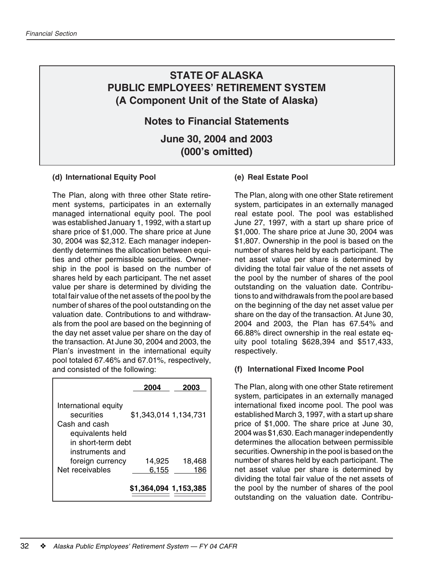# **Notes to Financial Statements**

**June 30, 2004 and 2003 (000's omitted)**

#### **(d) International Equity Pool**

The Plan, along with three other State retirement systems, participates in an externally managed international equity pool. The pool was established January 1, 1992, with a start up share price of \$1,000. The share price at June 30, 2004 was \$2,312. Each manager independently determines the allocation between equities and other permissible securities. Ownership in the pool is based on the number of shares held by each participant. The net asset value per share is determined by dividing the total fair value of the net assets of the pool by the number of shares of the pool outstanding on the valuation date. Contributions to and withdrawals from the pool are based on the beginning of the day net asset value per share on the day of the transaction. At June 30, 2004 and 2003, the Plan's investment in the international equity pool totaled 67.46% and 67.01%, respectively, and consisted of the following:

|                                                                                                                  | 2004                  | 2003          |
|------------------------------------------------------------------------------------------------------------------|-----------------------|---------------|
| International equity<br>securities<br>Cash and cash<br>equivalents held<br>in short-term debt<br>instruments and | \$1,343,014 1,134,731 |               |
| foreign currency<br>Net receivables                                                                              | 14,925<br>6.155       | 18,468<br>186 |
|                                                                                                                  | \$1,364,094 1,153,385 |               |

#### **(e) Real Estate Pool**

The Plan, along with one other State retirement system, participates in an externally managed real estate pool. The pool was established June 27, 1997, with a start up share price of \$1,000. The share price at June 30, 2004 was \$1,807. Ownership in the pool is based on the number of shares held by each participant. The net asset value per share is determined by dividing the total fair value of the net assets of the pool by the number of shares of the pool outstanding on the valuation date. Contributions to and withdrawals from the pool are based on the beginning of the day net asset value per share on the day of the transaction. At June 30, 2004 and 2003, the Plan has 67.54% and 66.88% direct ownership in the real estate equity pool totaling \$628,394 and \$517,433, respectively.

#### **(f) International Fixed Income Pool**

The Plan, along with one other State retirement system, participates in an externally managed international fixed income pool. The pool was established March 3, 1997, with a start up share price of \$1,000. The share price at June 30, 2004 was \$1,630. Each manager independently determines the allocation between permissible securities. Ownership in the pool is based on the number of shares held by each participant. The net asset value per share is determined by dividing the total fair value of the net assets of the pool by the number of shares of the pool outstanding on the valuation date. Contribu-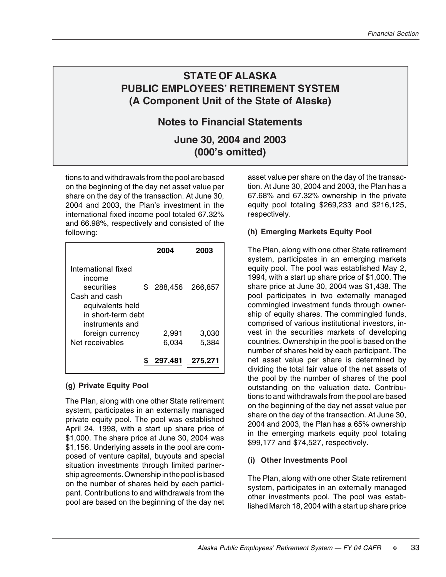### **Notes to Financial Statements**

### **June 30, 2004 and 2003 (000's omitted)**

tions to and withdrawals from the pool are based on the beginning of the day net asset value per share on the day of the transaction. At June 30, 2004 and 2003, the Plan's investment in the international fixed income pool totaled 67.32% and 66.98%, respectively and consisted of the following:

|                                                                                                                           |   | 2004    | 2003    |
|---------------------------------------------------------------------------------------------------------------------------|---|---------|---------|
| International fixed<br>income<br>securities<br>Cash and cash<br>equivalents held<br>in short-term debt<br>instruments and | S | 288,456 | 266,857 |
| foreign currency                                                                                                          |   | 2,991   | 3,030   |
| Net receivables                                                                                                           |   | 6.034   | 5,384   |
|                                                                                                                           |   | 297,481 | 275,271 |

#### **(g) Private Equity Pool**

The Plan, along with one other State retirement system, participates in an externally managed private equity pool. The pool was established April 24, 1998, with a start up share price of \$1,000. The share price at June 30, 2004 was \$1,156. Underlying assets in the pool are composed of venture capital, buyouts and special situation investments through limited partnership agreements. Ownership in the pool is based on the number of shares held by each participant. Contributions to and withdrawals from the pool are based on the beginning of the day net asset value per share on the day of the transaction. At June 30, 2004 and 2003, the Plan has a 67.68% and 67.32% ownership in the private equity pool totaling \$269,233 and \$216,125, respectively.

#### **(h) Emerging Markets Equity Pool**

The Plan, along with one other State retirement system, participates in an emerging markets equity pool. The pool was established May 2, 1994, with a start up share price of \$1,000. The share price at June 30, 2004 was \$1,438. The pool participates in two externally managed commingled investment funds through ownership of equity shares. The commingled funds, comprised of various institutional investors, invest in the securities markets of developing countries. Ownership in the pool is based on the number of shares held by each participant. The net asset value per share is determined by dividing the total fair value of the net assets of the pool by the number of shares of the pool outstanding on the valuation date. Contributions to and withdrawals from the pool are based on the beginning of the day net asset value per share on the day of the transaction. At June 30, 2004 and 2003, the Plan has a 65% ownership in the emerging markets equity pool totaling \$99,177 and \$74,527, respectively.

#### **(i) Other Investments Pool**

The Plan, along with one other State retirement system, participates in an externally managed other investments pool. The pool was established March 18, 2004 with a start up share price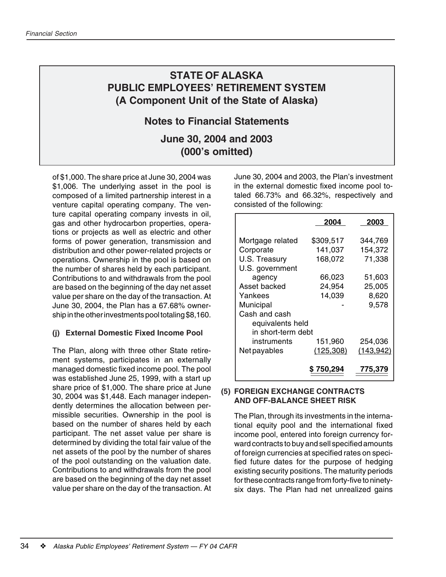### **Notes to Financial Statements**

### **June 30, 2004 and 2003 (000's omitted)**

of \$1,000. The share price at June 30, 2004 was \$1,006. The underlying asset in the pool is composed of a limited partnership interest in a venture capital operating company. The venture capital operating company invests in oil, gas and other hydrocarbon properties, operations or projects as well as electric and other forms of power generation, transmission and distribution and other power-related projects or operations. Ownership in the pool is based on the number of shares held by each participant. Contributions to and withdrawals from the pool are based on the beginning of the day net asset value per share on the day of the transaction. At June 30, 2004, the Plan has a 67.68% ownership in the other investments pool totaling \$8,160.

#### **(j) External Domestic Fixed Income Pool**

The Plan, along with three other State retirement systems, participates in an externally managed domestic fixed income pool. The pool was established June 25, 1999, with a start up share price of \$1,000. The share price at June 30, 2004 was \$1,448. Each manager independently determines the allocation between permissible securities. Ownership in the pool is based on the number of shares held by each participant. The net asset value per share is determined by dividing the total fair value of the net assets of the pool by the number of shares of the pool outstanding on the valuation date. Contributions to and withdrawals from the pool are based on the beginning of the day net asset value per share on the day of the transaction. At June 30, 2004 and 2003, the Plan's investment in the external domestic fixed income pool totaled 66.73% and 66.32%, respectively and consisted of the following:

|                    | 2004       | 2003       |
|--------------------|------------|------------|
| Mortgage related   | \$309,517  | 344,769    |
| Corporate          | 141,037    | 154,372    |
| U.S. Treasury      | 168,072    | 71,338     |
| U.S. government    |            |            |
| agency             | 66,023     | 51,603     |
| Asset backed       | 24,954     | 25,005     |
| Yankees            | 14,039     | 8,620      |
| Municipal          |            | 9,578      |
| Cash and cash      |            |            |
| equivalents held   |            |            |
| in short-term debt |            |            |
| instruments        | 151,960    | 254,036    |
| Net payables       | (125, 308) | (143, 942) |
|                    | 750,294    | 775.379    |

#### **(5) FOREIGN EXCHANGE CONTRACTS AND OFF-BALANCE SHEET RISK**

The Plan, through its investments in the international equity pool and the international fixed income pool, entered into foreign currency forward contracts to buy and sell specified amounts of foreign currencies at specified rates on specified future dates for the purpose of hedging existing security positions. The maturity periods for these contracts range from forty-five to ninetysix days. The Plan had net unrealized gains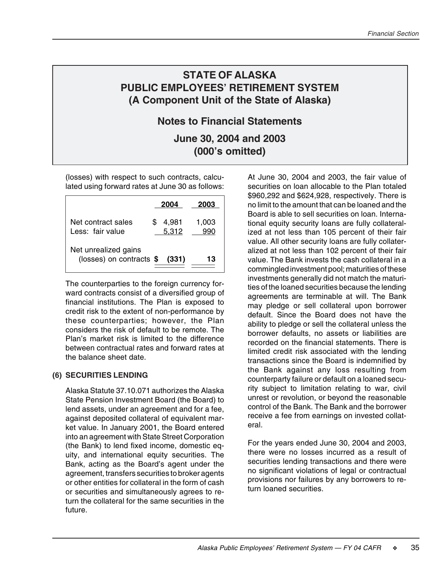### **Notes to Financial Statements**

**June 30, 2004 and 2003 (000's omitted)**

(losses) with respect to such contracts, calculated using forward rates at June 30 as follows:

|                                                  | 2004           | 2003         |
|--------------------------------------------------|----------------|--------------|
| Net contract sales<br>Less: fair value           | 4,981<br>5,312 | 1,003<br>990 |
| Net unrealized gains<br>(losses) on contracts \$ | (331)          | 13           |

The counterparties to the foreign currency forward contracts consist of a diversified group of financial institutions. The Plan is exposed to credit risk to the extent of non-performance by these counterparties; however, the Plan considers the risk of default to be remote. The Plan's market risk is limited to the difference between contractual rates and forward rates at the balance sheet date.

#### **(6) SECURITIES LENDING**

Alaska Statute 37.10.071 authorizes the Alaska State Pension Investment Board (the Board) to lend assets, under an agreement and for a fee, against deposited collateral of equivalent market value. In January 2001, the Board entered into an agreement with State Street Corporation (the Bank) to lend fixed income, domestic equity, and international equity securities. The Bank, acting as the Board's agent under the agreement, transfers securities to broker agents or other entities for collateral in the form of cash or securities and simultaneously agrees to return the collateral for the same securities in the future.

At June 30, 2004 and 2003, the fair value of securities on loan allocable to the Plan totaled \$960,292 and \$624,928, respectively. There is no limit to the amount that can be loaned and the Board is able to sell securities on loan. International equity security loans are fully collateralized at not less than 105 percent of their fair value. All other security loans are fully collateralized at not less than 102 percent of their fair value. The Bank invests the cash collateral in a commingled investment pool; maturities of these investments generally did not match the maturities of the loaned securities because the lending agreements are terminable at will. The Bank may pledge or sell collateral upon borrower default. Since the Board does not have the ability to pledge or sell the collateral unless the borrower defaults, no assets or liabilities are recorded on the financial statements. There is limited credit risk associated with the lending transactions since the Board is indemnified by the Bank against any loss resulting from counterparty failure or default on a loaned security subject to limitation relating to war, civil unrest or revolution, or beyond the reasonable control of the Bank. The Bank and the borrower receive a fee from earnings on invested collateral.

For the years ended June 30, 2004 and 2003, there were no losses incurred as a result of securities lending transactions and there were no significant violations of legal or contractual provisions nor failures by any borrowers to return loaned securities.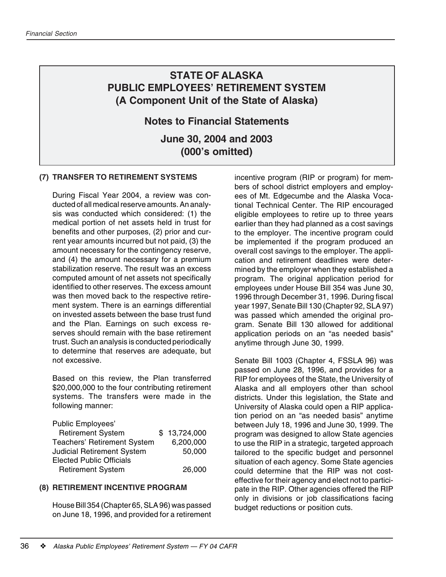### **Notes to Financial Statements**

**June 30, 2004 and 2003 (000's omitted)**

#### **(7) TRANSFER TO RETIREMENT SYSTEMS**

During Fiscal Year 2004, a review was conducted of all medical reserve amounts. An analysis was conducted which considered: (1) the medical portion of net assets held in trust for benefits and other purposes, (2) prior and current year amounts incurred but not paid, (3) the amount necessary for the contingency reserve, and (4) the amount necessary for a premium stabilization reserve. The result was an excess computed amount of net assets not specifically identified to other reserves. The excess amount was then moved back to the respective retirement system. There is an earnings differential on invested assets between the base trust fund and the Plan. Earnings on such excess reserves should remain with the base retirement trust. Such an analysis is conducted periodically to determine that reserves are adequate, but not excessive.

Based on this review, the Plan transferred \$20,000,000 to the four contributing retirement systems. The transfers were made in the following manner:

Public Employees' Retirement System \$ 13,724,000 Teachers' Retirement System 6,200,000 Judicial Retirement System 50,000 Elected Public Officials Retirement System 26,000

#### **(8) RETIREMENT INCENTIVE PROGRAM**

House Bill 354 (Chapter 65, SLA 96) was passed on June 18, 1996, and provided for a retirement

incentive program (RIP or program) for members of school district employers and employees of Mt. Edgecumbe and the Alaska Vocational Technical Center. The RIP encouraged eligible employees to retire up to three years earlier than they had planned as a cost savings to the employer. The incentive program could be implemented if the program produced an overall cost savings to the employer. The application and retirement deadlines were determined by the employer when they established a program. The original application period for employees under House Bill 354 was June 30, 1996 through December 31, 1996. During fiscal year 1997, Senate Bill 130 (Chapter 92, SLA 97) was passed which amended the original program. Senate Bill 130 allowed for additional application periods on an "as needed basis" anytime through June 30, 1999.

Senate Bill 1003 (Chapter 4, FSSLA 96) was passed on June 28, 1996, and provides for a RIP for employees of the State, the University of Alaska and all employers other than school districts. Under this legislation, the State and University of Alaska could open a RIP application period on an "as needed basis" anytime between July 18, 1996 and June 30, 1999. The program was designed to allow State agencies to use the RIP in a strategic, targeted approach tailored to the specific budget and personnel situation of each agency. Some State agencies could determine that the RIP was not costeffective for their agency and elect not to participate in the RIP. Other agencies offered the RIP only in divisions or job classifications facing budget reductions or position cuts.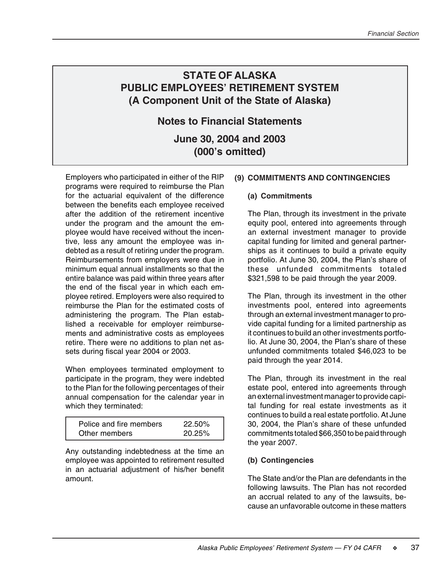### **Notes to Financial Statements**

**June 30, 2004 and 2003 (000's omitted)**

Employers who participated in either of the RIP programs were required to reimburse the Plan for the actuarial equivalent of the difference between the benefits each employee received after the addition of the retirement incentive under the program and the amount the employee would have received without the incentive, less any amount the employee was indebted as a result of retiring under the program. Reimbursements from employers were due in minimum equal annual installments so that the entire balance was paid within three years after the end of the fiscal year in which each employee retired. Employers were also required to reimburse the Plan for the estimated costs of administering the program. The Plan established a receivable for employer reimbursements and administrative costs as employees retire. There were no additions to plan net assets during fiscal year 2004 or 2003.

When employees terminated employment to participate in the program, they were indebted to the Plan for the following percentages of their annual compensation for the calendar year in which they terminated:

| Police and fire members | 22.50%    |
|-------------------------|-----------|
| Other members           | $20.25\%$ |

Any outstanding indebtedness at the time an employee was appointed to retirement resulted in an actuarial adjustment of his/her benefit amount.

#### **(9) COMMITMENTS AND CONTINGENCIES**

#### **(a) Commitments**

The Plan, through its investment in the private equity pool, entered into agreements through an external investment manager to provide capital funding for limited and general partnerships as it continues to build a private equity portfolio. At June 30, 2004, the Plan's share of these unfunded commitments totaled \$321,598 to be paid through the year 2009.

The Plan, through its investment in the other investments pool, entered into agreements through an external investment manager to provide capital funding for a limited partnership as it continues to build an other investments portfolio. At June 30, 2004, the Plan's share of these unfunded commitments totaled \$46,023 to be paid through the year 2014.

The Plan, through its investment in the real estate pool, entered into agreements through an external investment manager to provide capital funding for real estate investments as it continues to build a real estate portfolio. At June 30, 2004, the Plan's share of these unfunded commitments totaled \$66,350 to be paid through the year 2007.

#### **(b) Contingencies**

The State and/or the Plan are defendants in the following lawsuits. The Plan has not recorded an accrual related to any of the lawsuits, because an unfavorable outcome in these matters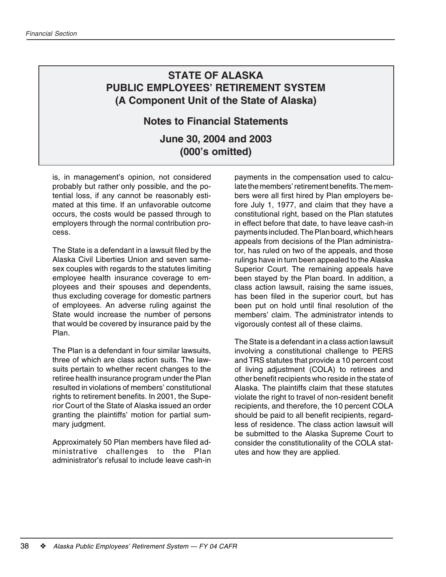### **Notes to Financial Statements**

**June 30, 2004 and 2003 (000's omitted)**

is, in management's opinion, not considered probably but rather only possible, and the potential loss, if any cannot be reasonably estimated at this time. If an unfavorable outcome occurs, the costs would be passed through to employers through the normal contribution process.

The State is a defendant in a lawsuit filed by the Alaska Civil Liberties Union and seven samesex couples with regards to the statutes limiting employee health insurance coverage to employees and their spouses and dependents, thus excluding coverage for domestic partners of employees. An adverse ruling against the State would increase the number of persons that would be covered by insurance paid by the Plan.

The Plan is a defendant in four similar lawsuits, three of which are class action suits. The lawsuits pertain to whether recent changes to the retiree health insurance program under the Plan resulted in violations of members' constitutional rights to retirement benefits. In 2001, the Superior Court of the State of Alaska issued an order granting the plaintiffs' motion for partial summary judgment.

Approximately 50 Plan members have filed administrative challenges to the Plan administrator's refusal to include leave cash-in

payments in the compensation used to calculate the members' retirement benefits. The members were all first hired by Plan employers before July 1, 1977, and claim that they have a constitutional right, based on the Plan statutes in effect before that date, to have leave cash-in payments included. The Plan board, which hears appeals from decisions of the Plan administrator, has ruled on two of the appeals, and those rulings have in turn been appealed to the Alaska Superior Court. The remaining appeals have been stayed by the Plan board. In addition, a class action lawsuit, raising the same issues, has been filed in the superior court, but has been put on hold until final resolution of the members' claim. The administrator intends to vigorously contest all of these claims.

The State is a defendant in a class action lawsuit involving a constitutional challenge to PERS and TRS statutes that provide a 10 percent cost of living adjustment (COLA) to retirees and other benefit recipients who reside in the state of Alaska. The plaintiffs claim that these statutes violate the right to travel of non-resident benefit recipients, and therefore, the 10 percent COLA should be paid to all benefit recipients, regardless of residence. The class action lawsuit will be submitted to the Alaska Supreme Court to consider the constitutionality of the COLA statutes and how they are applied.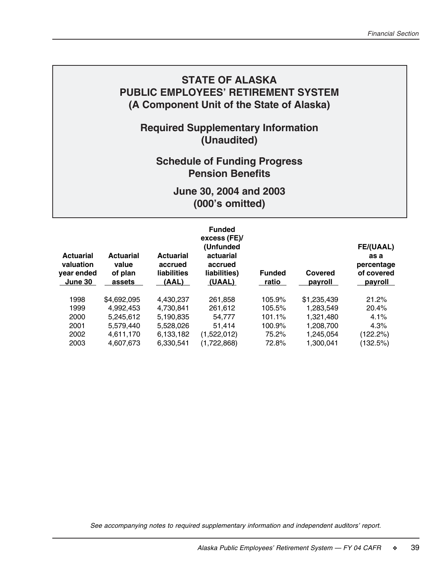## **Required Supplementary Information (Unaudited)**

## **Schedule of Funding Progress Pension Benefits**

### **June 30, 2004 and 2003 (000's omitted)**

| <b>Actuarial</b><br>valuation<br>year ended<br>June 30 | <b>Actuarial</b><br>value<br>of plan<br>assets | <b>Actuarial</b><br>accrued<br>liabilities<br>(AAL) | <b>Funded</b><br>excess (FE)/<br>(Unfunded<br>actuarial<br>accrued<br>liabilities)<br>(UAAL) | <b>Funded</b><br>ratio | Covered<br>payroll | <b>FE/(UAAL)</b><br>as a<br>percentage<br>of covered<br>payroll |
|--------------------------------------------------------|------------------------------------------------|-----------------------------------------------------|----------------------------------------------------------------------------------------------|------------------------|--------------------|-----------------------------------------------------------------|
| 1998                                                   | \$4,692,095                                    | 4.430.237                                           | 261,858                                                                                      | 105.9%                 | \$1,235,439        | 21.2%                                                           |
| 1999                                                   | 4,992,453                                      | 4.730.841                                           | 261.612                                                                                      | 105.5%                 | 1.283.549          | 20.4%                                                           |
| 2000                                                   | 5.245.612                                      | 5.190.835                                           | 54.777                                                                                       | 101.1%                 | 1.321.480          | $4.1\%$                                                         |
| 2001                                                   | 5.579.440                                      | 5,528,026                                           | 51.414                                                                                       | 100.9%                 | 1.208.700          | 4.3%                                                            |
| 2002                                                   | 4,611,170                                      | 6.133.182                                           | (1,522,012)                                                                                  | 75.2%                  | 1,245,054          | (122.2%)                                                        |
| 2003                                                   | 4.607.673                                      | 6.330.541                                           | (1,722,868)                                                                                  | 72.8%                  | 1.300.041          | (132.5%)                                                        |

See accompanying notes to required supplementary information and independent auditors' report.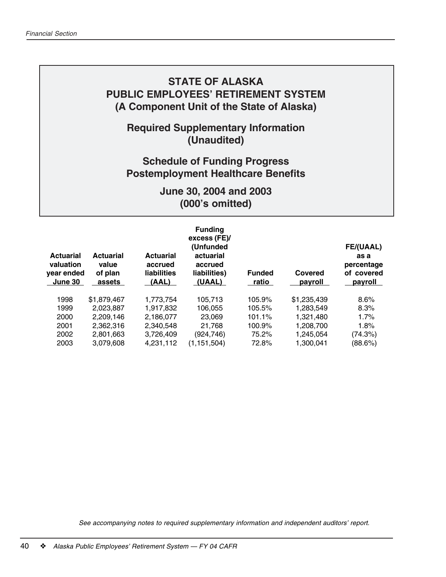**Required Supplementary Information (Unaudited)**

## **Schedule of Funding Progress Postemployment Healthcare Benefits**

**June 30, 2004 and 2003 (000's omitted)**

| <b>Actuarial</b><br>valuation<br>year ended<br>June 30 | <b>Actuarial</b><br>value<br>of plan<br>assets | <b>Actuarial</b><br>accrued<br>liabilities<br>(AAL) | <b>Funding</b><br>excess (FE)/<br>(Unfunded<br>actuarial<br>accrued<br>liabilities)<br>(UAAL) | <b>Funded</b><br>ratio | Covered<br>payroll | <b>FE/(UAAL)</b><br>as a<br>percentage<br>of covered<br><b>payroll</b> |
|--------------------------------------------------------|------------------------------------------------|-----------------------------------------------------|-----------------------------------------------------------------------------------------------|------------------------|--------------------|------------------------------------------------------------------------|
| 1998                                                   | \$1.879.467                                    | 1.773.754                                           | 105.713                                                                                       | 105.9%                 | \$1,235,439        | 8.6%                                                                   |
| 1999                                                   | 2.023.887                                      | 1.917.832                                           | 106.055                                                                                       | 105.5%                 | 1,283,549          | 8.3%                                                                   |
| 2000                                                   | 2.209.146                                      | 2,186,077                                           | 23.069                                                                                        | 101.1%                 | 1.321.480          | 1.7%                                                                   |
| 2001                                                   | 2.362.316                                      | 2,340,548                                           | 21.768                                                                                        | 100.9%                 | 1,208,700          | 1.8%                                                                   |
| 2002                                                   | 2,801,663                                      | 3,726,409                                           | (924,746)                                                                                     | 75.2%                  | 1,245,054          | (74.3%)                                                                |
| 2003                                                   | 3.079.608                                      | 4.231.112                                           | (1,151,504)                                                                                   | 72.8%                  | 1.300.041          | (88.6%)                                                                |

See accompanying notes to required supplementary information and independent auditors' report.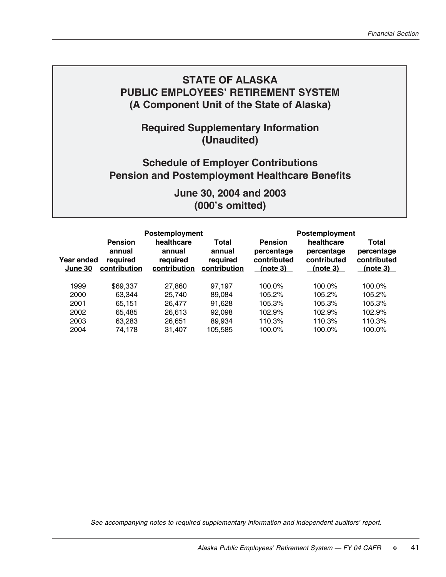## **Required Supplementary Information (Unaudited)**

## **Schedule of Employer Contributions Pension and Postemployment Healthcare Benefits**

**June 30, 2004 and 2003 (000's omitted)**

|                       |                                                      | Postemployment                                   |                                             |                                                         | Postemployment                                      |                                                |
|-----------------------|------------------------------------------------------|--------------------------------------------------|---------------------------------------------|---------------------------------------------------------|-----------------------------------------------------|------------------------------------------------|
| Year ended<br>June 30 | <b>Pension</b><br>annual<br>required<br>contribution | healthcare<br>annual<br>required<br>contribution | Total<br>annual<br>reauired<br>contribution | <b>Pension</b><br>percentage<br>contributed<br>(note 3) | healthcare<br>percentage<br>contributed<br>(note 3) | Total<br>percentage<br>contributed<br>(note 3) |
| 1999                  | \$69,337                                             | 27,860                                           | 97.197                                      | 100.0%                                                  | 100.0%                                              | 100.0%                                         |
| 2000                  | 63.344                                               | 25,740                                           | 89,084                                      | 105.2%                                                  | 105.2%                                              | 105.2%                                         |
| 2001                  | 65.151                                               | 26.477                                           | 91,628                                      | 105.3%                                                  | 105.3%                                              | 105.3%                                         |
| 2002                  | 65.485                                               | 26,613                                           | 92.098                                      | 102.9%                                                  | 102.9%                                              | 102.9%                                         |
| 2003                  | 63.283                                               | 26,651                                           | 89.934                                      | 110.3%                                                  | 110.3%                                              | 110.3%                                         |
| 2004                  | 74.178                                               | 31.407                                           | 105,585                                     | 100.0%                                                  | 100.0%                                              | 100.0%                                         |

See accompanying notes to required supplementary information and independent auditors' report.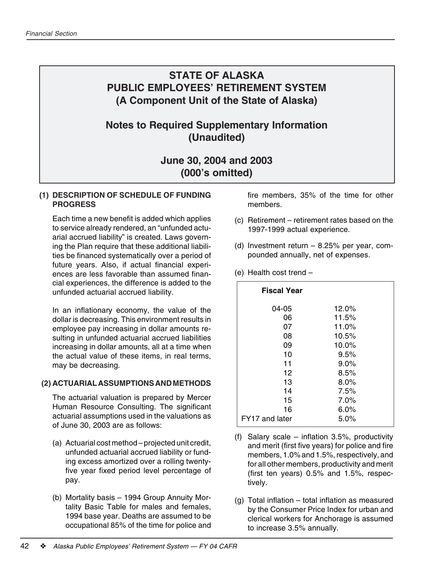### **Notes to Required Supplementary Information (Unaudited)**

## **June 30, 2004 and 2003 (000's omitted)**

#### **(1) DESCRIPTION OF SCHEDULE OF FUNDING PROGRESS**

Each time a new benefit is added which applies to service already rendered, an "unfunded actuarial accrued liability" is created. Laws governing the Plan require that these additional liabilities be financed systematically over a period of future years. Also, if actual financial experiences are less favorable than assumed financial experiences, the difference is added to the unfunded actuarial accrued liability.

In an inflationary economy, the value of the dollar is decreasing. This environment results in employee pay increasing in dollar amounts resulting in unfunded actuarial accrued liabilities increasing in dollar amounts, all at a time when the actual value of these items, in real terms, may be decreasing.

#### **(2) ACTUARIAL ASSUMPTIONS AND METHODS**

The actuarial valuation is prepared by Mercer Human Resource Consulting. The significant actuarial assumptions used in the valuations as of June 30, 2003 are as follows:

- (a) Actuarial cost method projected unit credit, unfunded actuarial accrued liability or funding excess amortized over a rolling twentyfive year fixed period level percentage of pay.
- (b) Mortality basis 1994 Group Annuity Mortality Basic Table for males and females, 1994 base year. Deaths are assumed to be occupational 85% of the time for police and

fire members, 35% of the time for other members.

- (c) Retirement retirement rates based on the 1997-1999 actual experience.
- (d) Investment return 8.25% per year, compounded annually, net of expenses.
- (e) Health cost trend –

| <b>Fiscal Year</b> |          |
|--------------------|----------|
| 04-05              | 12.0%    |
| 06                 | 11.5%    |
| 07                 | 11.0%    |
| 08                 | 10.5%    |
| 09                 | $10.0\%$ |
| 10                 | 9.5%     |
| 11                 | 9.0%     |
| 12                 | 8.5%     |
| 13                 | 8.0%     |
| 14                 | 7.5%     |
| 15                 | 7.0%     |
| 16                 | 6.0%     |
| FY17 and later     | 5.0%     |

- (f) Salary scale inflation 3.5%, productivity and merit (first five years) for police and fire members, 1.0% and 1.5%, respectively, and for all other members, productivity and merit (first ten years) 0.5% and 1.5%, respectively.
- (g) Total inflation total inflation as measured by the Consumer Price Index for urban and clerical workers for Anchorage is assumed to increase 3.5% annually.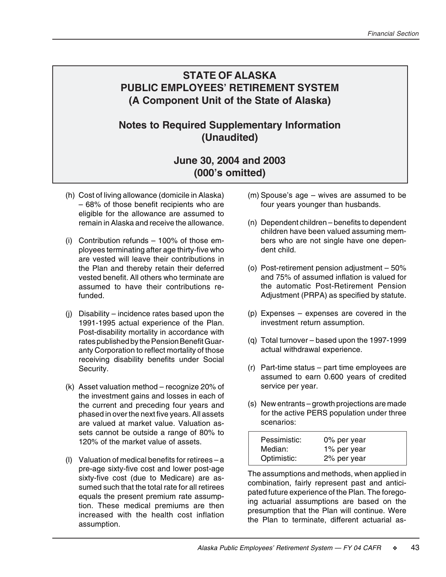## **Notes to Required Supplementary Information (Unaudited)**

## **June 30, 2004 and 2003 (000's omitted)**

- (h) Cost of living allowance (domicile in Alaska) – 68% of those benefit recipients who are eligible for the allowance are assumed to remain in Alaska and receive the allowance.
- (i) Contribution refunds 100% of those employees terminating after age thirty-five who are vested will leave their contributions in the Plan and thereby retain their deferred vested benefit. All others who terminate are assumed to have their contributions refunded.
- (j) Disability incidence rates based upon the 1991-1995 actual experience of the Plan. Post-disability mortality in accordance with rates published by the Pension Benefit Guaranty Corporation to reflect mortality of those receiving disability benefits under Social Security.
- (k) Asset valuation method recognize 20% of the investment gains and losses in each of the current and preceding four years and phased in over the next five years. All assets are valued at market value. Valuation assets cannot be outside a range of 80% to 120% of the market value of assets.
- (l) Valuation of medical benefits for retirees a pre-age sixty-five cost and lower post-age sixty-five cost (due to Medicare) are assumed such that the total rate for all retirees equals the present premium rate assumption. These medical premiums are then increased with the health cost inflation assumption.
- (m) Spouse's age wives are assumed to be four years younger than husbands.
- (n) Dependent children benefits to dependent children have been valued assuming members who are not single have one dependent child.
- (o) Post-retirement pension adjustment 50% and 75% of assumed inflation is valued for the automatic Post-Retirement Pension Adjustment (PRPA) as specified by statute.
- (p) Expenses expenses are covered in the investment return assumption.
- (q) Total turnover based upon the 1997-1999 actual withdrawal experience.
- (r) Part-time status part time employees are assumed to earn 0.600 years of credited service per year.
- (s) New entrants growth projections are made for the active PERS population under three scenarios:

| Pessimistic: | 0% per year |  |
|--------------|-------------|--|
| Median:      | 1% per year |  |
| Optimistic:  | 2% per year |  |

The assumptions and methods, when applied in combination, fairly represent past and anticipated future experience of the Plan. The foregoing actuarial assumptions are based on the presumption that the Plan will continue. Were the Plan to terminate, different actuarial as-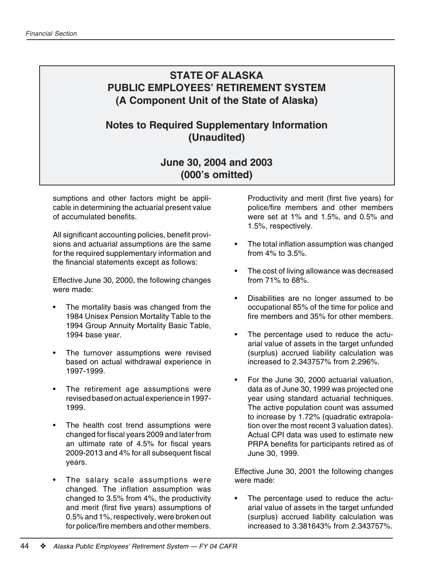### **Notes to Required Supplementary Information (Unaudited)**

### **June 30, 2004 and 2003 (000's omitted)**

sumptions and other factors might be applicable in determining the actuarial present value of accumulated benefits.

All significant accounting policies, benefit provisions and actuarial assumptions are the same for the required supplementary information and the financial statements except as follows:

Effective June 30, 2000, the following changes were made:

- The mortality basis was changed from the 1984 Unisex Pension Mortality Table to the 1994 Group Annuity Mortality Basic Table, 1994 base year.
- The turnover assumptions were revised based on actual withdrawal experience in 1997-1999.
- The retirement age assumptions were revised based on actual experience in 1997- 1999.
- The health cost trend assumptions were changed for fiscal years 2009 and later from an ultimate rate of 4.5% for fiscal years 2009-2013 and 4% for all subsequent fiscal years.
- The salary scale assumptions were changed. The inflation assumption was changed to 3.5% from 4%, the productivity and merit (first five years) assumptions of 0.5% and 1%, respectively, were broken out for police/fire members and other members.

Productivity and merit (first five years) for police/fire members and other members were set at 1% and 1.5%, and 0.5% and 1.5%, respectively.

- The total inflation assumption was changed from 4% to 3.5%.
- The cost of living allowance was decreased from 71% to 68%.
- Disabilities are no longer assumed to be occupational 85% of the time for police and fire members and 35% for other members.
- The percentage used to reduce the actuarial value of assets in the target unfunded (surplus) accrued liability calculation was increased to 2.343757% from 2.296%.
- For the June 30, 2000 actuarial valuation, data as of June 30, 1999 was projected one year using standard actuarial techniques. The active population count was assumed to increase by 1.72% (quadratic extrapolation over the most recent 3 valuation dates). Actual CPI data was used to estimate new PRPA benefits for participants retired as of June 30, 1999.

Effective June 30, 2001 the following changes were made:

The percentage used to reduce the actuarial value of assets in the target unfunded (surplus) accrued liability calculation was increased to 3.381643% from 2.343757%.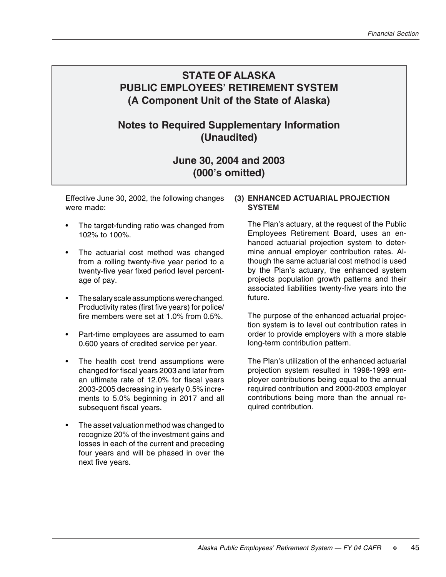### **Notes to Required Supplementary Information (Unaudited)**

## **June 30, 2004 and 2003 (000's omitted)**

Effective June 30, 2002, the following changes were made:

- The target-funding ratio was changed from 102% to 100%.
- The actuarial cost method was changed from a rolling twenty-five year period to a twenty-five year fixed period level percentage of pay.
- The salary scale assumptions were changed. Productivity rates (first five years) for police/ fire members were set at 1.0% from 0.5%.
- Part-time employees are assumed to earn 0.600 years of credited service per year.
- The health cost trend assumptions were changed for fiscal years 2003 and later from an ultimate rate of 12.0% for fiscal years 2003-2005 decreasing in yearly 0.5% increments to 5.0% beginning in 2017 and all subsequent fiscal years.
- The asset valuation method was changed to recognize 20% of the investment gains and losses in each of the current and preceding four years and will be phased in over the next five years.

#### **(3) ENHANCED ACTUARIAL PROJECTION SYSTEM**

The Plan's actuary, at the request of the Public Employees Retirement Board, uses an enhanced actuarial projection system to determine annual employer contribution rates. Although the same actuarial cost method is used by the Plan's actuary, the enhanced system projects population growth patterns and their associated liabilities twenty-five years into the future.

The purpose of the enhanced actuarial projection system is to level out contribution rates in order to provide employers with a more stable long-term contribution pattern.

The Plan's utilization of the enhanced actuarial projection system resulted in 1998-1999 employer contributions being equal to the annual required contribution and 2000-2003 employer contributions being more than the annual required contribution.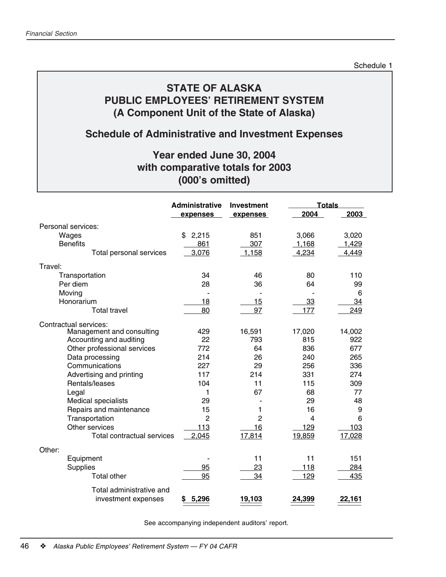### **Schedule of Administrative and Investment Expenses**

# **Year ended June 30, 2004 with comparative totals for 2003 (000's omitted)**

|                                   | <b>Administrative</b> | <b>Investment</b> | <b>Totals</b> |        |
|-----------------------------------|-----------------------|-------------------|---------------|--------|
|                                   | expenses              | expenses          | 2004          | 2003   |
| Personal services:                |                       |                   |               |        |
| Wages                             | 2,215<br>\$           | 851               | 3,066         | 3,020  |
| <b>Benefits</b>                   | 861                   | 307               | 1,168         | 1,429  |
| <b>Total personal services</b>    | 3,076                 | 1,158             | 4,234         | 4,449  |
| Travel:                           |                       |                   |               |        |
| Transportation                    | 34                    | 46                | 80            | 110    |
| Per diem                          | 28                    | 36                | 64            | 99     |
| Moving                            |                       |                   |               | 6      |
| Honorarium                        | 18                    | 15                | 33            | 34     |
| <b>Total travel</b>               | 80                    | 97                | 177           | 249    |
| Contractual services:             |                       |                   |               |        |
| Management and consulting         | 429                   | 16,591            | 17,020        | 14,002 |
| Accounting and auditing           | 22                    | 793               | 815           | 922    |
| Other professional services       | 772                   | 64                | 836           | 677    |
| Data processing                   | 214                   | 26                | 240           | 265    |
| Communications                    | 227                   | 29                | 256           | 336    |
| Advertising and printing          | 117                   | 214               | 331           | 274    |
| Rentals/leases                    | 104                   | 11                | 115           | 309    |
| Legal                             | 1                     | 67                | 68            | 77     |
| Medical specialists               | 29                    |                   | 29            | 48     |
| Repairs and maintenance           | 15                    | 1                 | 16            | 9      |
| Transportation                    | 2                     | $\overline{c}$    | 4             | 6      |
| Other services                    | <u>113</u>            | 16                | 129           | 103    |
| <b>Total contractual services</b> | 2,045                 | 17,814            | 19,859        | 17,028 |
| Other:                            |                       |                   |               |        |
| Equipment                         |                       | 11                | 11            | 151    |
| <b>Supplies</b>                   | 95                    | <u>23</u>         | 118           | 284    |
| <b>Total other</b>                | 95                    | 34                | 129           | 435    |
| Total administrative and          |                       |                   |               |        |
| investment expenses               | 5,296<br>\$           | 19,103            | 24,399        | 22,161 |

See accompanying independent auditors' report.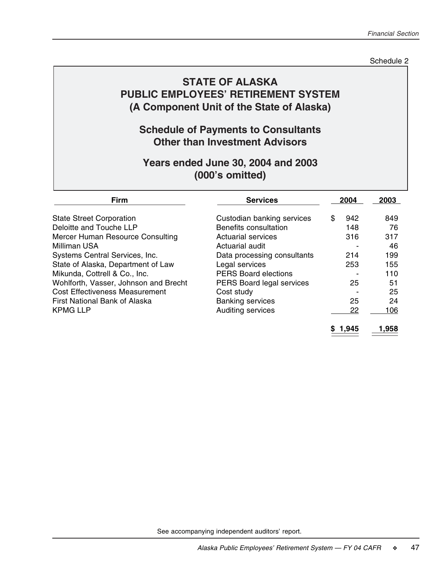Schedule 2

# **STATE OF ALASKA PUBLIC EMPLOYEES' RETIREMENT SYSTEM (A Component Unit of the State of Alaska)**

## **Schedule of Payments to Consultants Other than Investment Advisors**

## **Years ended June 30, 2004 and 2003 (000's omitted)**

| <b>Firm</b>                           | <b>Services</b>                  | 2004      | 2003  |
|---------------------------------------|----------------------------------|-----------|-------|
| <b>State Street Corporation</b>       | Custodian banking services       | \$<br>942 | 849   |
| Deloitte and Touche LLP               | Benefits consultation            | 148       | 76    |
| Mercer Human Resource Consulting      | <b>Actuarial services</b>        | 316       | 317   |
| Milliman USA                          | Actuarial audit                  |           | 46    |
| Systems Central Services, Inc.        | Data processing consultants      | 214       | 199   |
| State of Alaska, Department of Law    | Legal services                   | 253       | 155   |
| Mikunda, Cottrell & Co., Inc.         | <b>PERS Board elections</b>      |           | 110   |
| Wohlforth, Vasser, Johnson and Brecht | <b>PERS Board legal services</b> | 25        | 51    |
| <b>Cost Effectiveness Measurement</b> | Cost study                       |           | 25    |
| First National Bank of Alaska         | <b>Banking services</b>          | 25        | 24    |
| <b>KPMG LLP</b>                       | Auditing services                | 22        | 106   |
|                                       |                                  | 1.945     | 1,958 |

See accompanying independent auditors' report.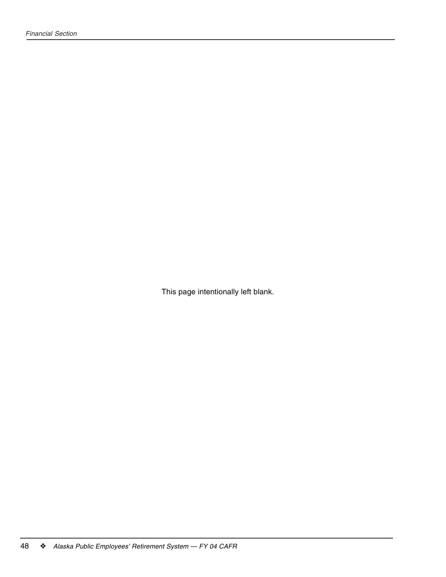This page intentionally left blank.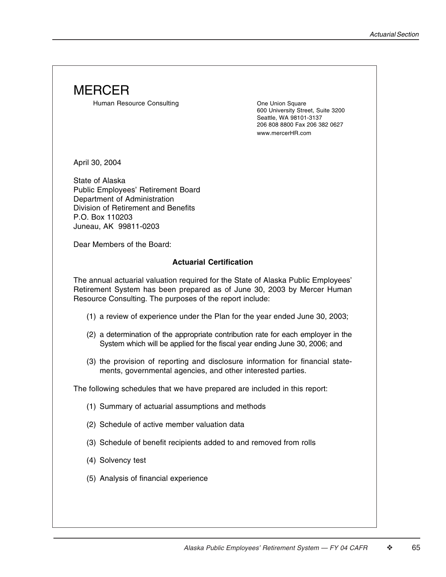

Human Resource Consulting The Consulting Cone Union Square

600 University Street, Suite 3200 Seattle, WA 98101-3137 206 808 8800 Fax 206 382 0627 www.mercerHR.com

April 30, 2004

State of Alaska Public Employees' Retirement Board Department of Administration Division of Retirement and Benefits P.O. Box 110203 Juneau, AK 99811-0203

Dear Members of the Board:

#### **Actuarial Certification**

The annual actuarial valuation required for the State of Alaska Public Employees' Retirement System has been prepared as of June 30, 2003 by Mercer Human Resource Consulting. The purposes of the report include:

- (1) a review of experience under the Plan for the year ended June 30, 2003;
- (2) a determination of the appropriate contribution rate for each employer in the System which will be applied for the fiscal year ending June 30, 2006; and
- (3) the provision of reporting and disclosure information for financial statements, governmental agencies, and other interested parties.

The following schedules that we have prepared are included in this report:

- (1) Summary of actuarial assumptions and methods
- (2) Schedule of active member valuation data
- (3) Schedule of benefit recipients added to and removed from rolls
- (4) Solvency test
- (5) Analysis of financial experience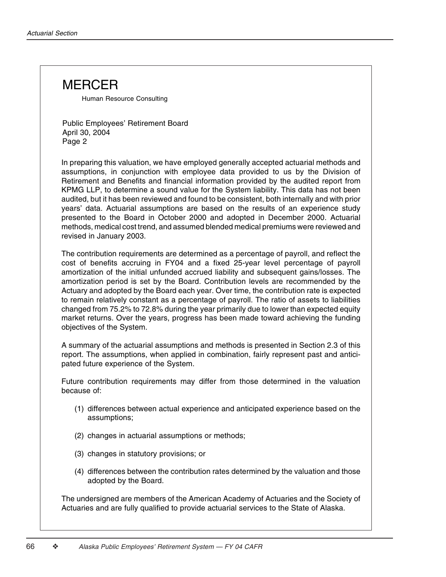# **MERCER**

Human Resource Consulting

Public Employees' Retirement Board April 30, 2004 Page 2

In preparing this valuation, we have employed generally accepted actuarial methods and assumptions, in conjunction with employee data provided to us by the Division of Retirement and Benefits and financial information provided by the audited report from KPMG LLP, to determine a sound value for the System liability. This data has not been audited, but it has been reviewed and found to be consistent, both internally and with prior years' data. Actuarial assumptions are based on the results of an experience study presented to the Board in October 2000 and adopted in December 2000. Actuarial methods, medical cost trend, and assumed blended medical premiums were reviewed and revised in January 2003.

The contribution requirements are determined as a percentage of payroll, and reflect the cost of benefits accruing in FY04 and a fixed 25-year level percentage of payroll amortization of the initial unfunded accrued liability and subsequent gains/losses. The amortization period is set by the Board. Contribution levels are recommended by the Actuary and adopted by the Board each year. Over time, the contribution rate is expected to remain relatively constant as a percentage of payroll. The ratio of assets to liabilities changed from 75.2% to 72.8% during the year primarily due to lower than expected equity market returns. Over the years, progress has been made toward achieving the funding objectives of the System.

A summary of the actuarial assumptions and methods is presented in Section 2.3 of this report. The assumptions, when applied in combination, fairly represent past and anticipated future experience of the System.

Future contribution requirements may differ from those determined in the valuation because of:

- (1) differences between actual experience and anticipated experience based on the assumptions;
- (2) changes in actuarial assumptions or methods;
- (3) changes in statutory provisions; or
- (4) differences between the contribution rates determined by the valuation and those adopted by the Board.

The undersigned are members of the American Academy of Actuaries and the Society of Actuaries and are fully qualified to provide actuarial services to the State of Alaska.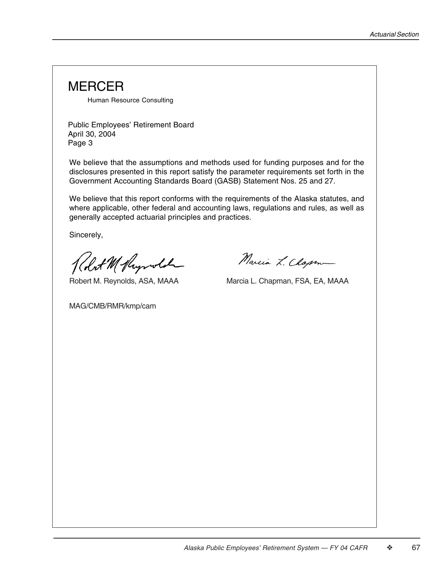# **MERCER**

Human Resource Consulting

Public Employees' Retirement Board April 30, 2004 Page 3

We believe that the assumptions and methods used for funding purposes and for the disclosures presented in this report satisfy the parameter requirements set forth in the Government Accounting Standards Board (GASB) Statement Nos. 25 and 27.

We believe that this report conforms with the requirements of the Alaska statutes, and where applicable, other federal and accounting laws, regulations and rules, as well as generally accepted actuarial principles and practices.

Sincerely,

Kolot M Huywold

Marcia L. Clapm

Robert M. Reynolds, ASA, MAAA Marcia L. Chapman, FSA, EA, MAAA

MAG/CMB/RMR/kmp/cam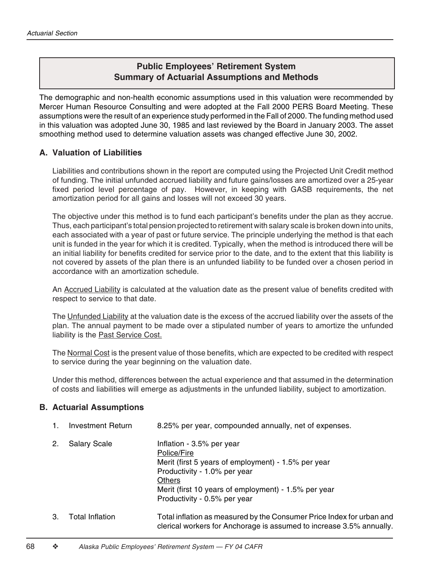### **Public Employees' Retirement System Summary of Actuarial Assumptions and Methods**

The demographic and non-health economic assumptions used in this valuation were recommended by Mercer Human Resource Consulting and were adopted at the Fall 2000 PERS Board Meeting. These assumptions were the result of an experience study performed in the Fall of 2000. The funding method used in this valuation was adopted June 30, 1985 and last reviewed by the Board in January 2003. The asset smoothing method used to determine valuation assets was changed effective June 30, 2002.

#### **A. Valuation of Liabilities**

Liabilities and contributions shown in the report are computed using the Projected Unit Credit method of funding. The initial unfunded accrued liability and future gains/losses are amortized over a 25-year fixed period level percentage of pay. However, in keeping with GASB requirements, the net amortization period for all gains and losses will not exceed 30 years.

The objective under this method is to fund each participant's benefits under the plan as they accrue. Thus, each participant's total pension projected to retirement with salary scale is broken down into units, each associated with a year of past or future service. The principle underlying the method is that each unit is funded in the year for which it is credited. Typically, when the method is introduced there will be an initial liability for benefits credited for service prior to the date, and to the extent that this liability is not covered by assets of the plan there is an unfunded liability to be funded over a chosen period in accordance with an amortization schedule.

An Accrued Liability is calculated at the valuation date as the present value of benefits credited with respect to service to that date.

The Unfunded Liability at the valuation date is the excess of the accrued liability over the assets of the plan. The annual payment to be made over a stipulated number of years to amortize the unfunded liability is the Past Service Cost.

The Normal Cost is the present value of those benefits, which are expected to be credited with respect to service during the year beginning on the valuation date.

Under this method, differences between the actual experience and that assumed in the determination of costs and liabilities will emerge as adjustments in the unfunded liability, subject to amortization.

#### **B. Actuarial Assumptions**

|    | <b>Investment Return</b> | 8.25% per year, compounded annually, net of expenses.                                                                                                                                                                             |
|----|--------------------------|-----------------------------------------------------------------------------------------------------------------------------------------------------------------------------------------------------------------------------------|
|    | <b>Salary Scale</b>      | Inflation - 3.5% per year<br>Police/Fire<br>Merit (first 5 years of employment) - 1.5% per year<br>Productivity - 1.0% per year<br>Others<br>Merit (first 10 years of employment) - 1.5% per year<br>Productivity - 0.5% per year |
| 3. | <b>Total Inflation</b>   | Total inflation as measured by the Consumer Price Index for urban and<br>clerical workers for Anchorage is assumed to increase 3.5% annually.                                                                                     |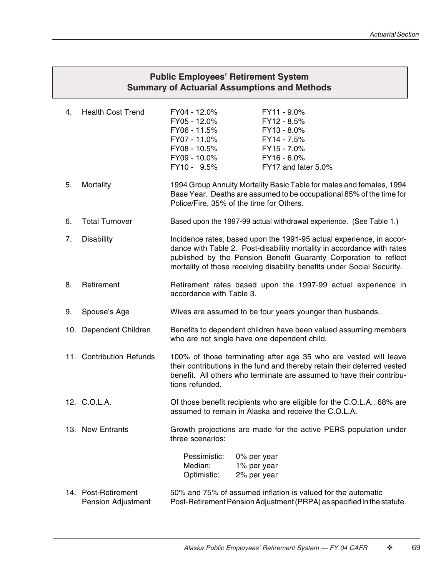### **Public Employees' Retirement System Summary of Actuarial Assumptions and Methods**

| 4. | <b>Health Cost Trend</b>                  | FY04 - 12.0%<br>FY05 - 12.0%<br>FY06 - 11.5%<br>FY07 - 11.0%<br>FY08 - 10.5%<br>FY09 - 10.0%<br>FY10 - 9.5%                                                                                                                              | FY11 - 9.0%<br>FY12 - 8.5%<br>FY13 - 8.0%<br>FY14 - 7.5%<br>FY15 - 7.0%<br>FY16 - 6.0%<br>FY17 and later 5.0%                                                                                                                                                                                 |  |  |  |  |  |
|----|-------------------------------------------|------------------------------------------------------------------------------------------------------------------------------------------------------------------------------------------------------------------------------------------|-----------------------------------------------------------------------------------------------------------------------------------------------------------------------------------------------------------------------------------------------------------------------------------------------|--|--|--|--|--|
| 5. | Mortality                                 | Police/Fire, 35% of the time for Others.                                                                                                                                                                                                 | 1994 Group Annuity Mortality Basic Table for males and females, 1994<br>Base Year. Deaths are assumed to be occupational 85% of the time for                                                                                                                                                  |  |  |  |  |  |
| 6. | <b>Total Turnover</b>                     |                                                                                                                                                                                                                                          | Based upon the 1997-99 actual withdrawal experience. (See Table 1.)                                                                                                                                                                                                                           |  |  |  |  |  |
| 7. | <b>Disability</b>                         |                                                                                                                                                                                                                                          | Incidence rates, based upon the 1991-95 actual experience, in accor-<br>dance with Table 2. Post-disability mortality in accordance with rates<br>published by the Pension Benefit Guaranty Corporation to reflect<br>mortality of those receiving disability benefits under Social Security. |  |  |  |  |  |
| 8. | Retirement                                | accordance with Table 3.                                                                                                                                                                                                                 | Retirement rates based upon the 1997-99 actual experience in                                                                                                                                                                                                                                  |  |  |  |  |  |
| 9. | Spouse's Age                              |                                                                                                                                                                                                                                          | Wives are assumed to be four years younger than husbands.                                                                                                                                                                                                                                     |  |  |  |  |  |
|    | 10. Dependent Children                    | Benefits to dependent children have been valued assuming members<br>who are not single have one dependent child.                                                                                                                         |                                                                                                                                                                                                                                                                                               |  |  |  |  |  |
|    | 11. Contribution Refunds                  | 100% of those terminating after age 35 who are vested will leave<br>their contributions in the fund and thereby retain their deferred vested<br>benefit. All others who terminate are assumed to have their contribu-<br>tions refunded. |                                                                                                                                                                                                                                                                                               |  |  |  |  |  |
|    | 12. C.O.L.A.                              | Of those benefit recipients who are eligible for the C.O.L.A., 68% are<br>assumed to remain in Alaska and receive the C.O.L.A.                                                                                                           |                                                                                                                                                                                                                                                                                               |  |  |  |  |  |
|    | 13. New Entrants                          | three scenarios:                                                                                                                                                                                                                         | Growth projections are made for the active PERS population under                                                                                                                                                                                                                              |  |  |  |  |  |
|    |                                           | Pessimistic:<br>Median:<br>Optimistic:                                                                                                                                                                                                   | 0% per year<br>1% per year<br>2% per year                                                                                                                                                                                                                                                     |  |  |  |  |  |
|    | 14. Post-Retirement<br>Pension Adjustment |                                                                                                                                                                                                                                          | 50% and 75% of assumed inflation is valued for the automatic<br>Post-Retirement Pension Adjustment (PRPA) as specified in the statute.                                                                                                                                                        |  |  |  |  |  |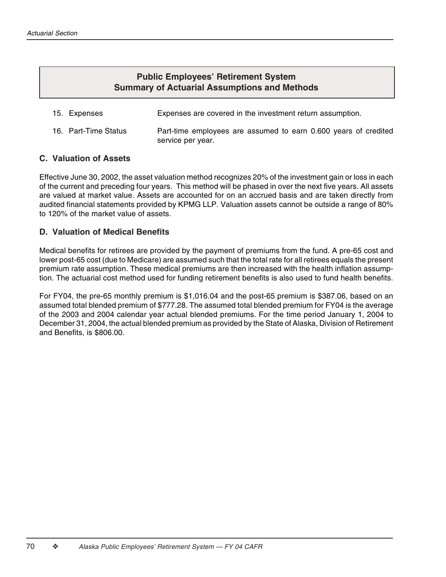#### **Public Employees' Retirement System Summary of Actuarial Assumptions and Methods**

- 15. Expenses Expenses are covered in the investment return assumption.
- 16. Part-Time Status Part-time employees are assumed to earn 0.600 years of credited service per year.

#### **C. Valuation of Assets**

Effective June 30, 2002, the asset valuation method recognizes 20% of the investment gain or loss in each of the current and preceding four years. This method will be phased in over the next five years. All assets are valued at market value. Assets are accounted for on an accrued basis and are taken directly from audited financial statements provided by KPMG LLP. Valuation assets cannot be outside a range of 80% to 120% of the market value of assets.

#### **D. Valuation of Medical Benefits**

Medical benefits for retirees are provided by the payment of premiums from the fund. A pre-65 cost and lower post-65 cost (due to Medicare) are assumed such that the total rate for all retirees equals the present premium rate assumption. These medical premiums are then increased with the health inflation assumption. The actuarial cost method used for funding retirement benefits is also used to fund health benefits.

For FY04, the pre-65 monthly premium is \$1,016.04 and the post-65 premium is \$387.06, based on an assumed total blended premium of \$777.28. The assumed total blended premium for FY04 is the average of the 2003 and 2004 calendar year actual blended premiums. For the time period January 1, 2004 to December 31, 2004, the actual blended premium as provided by the State of Alaska, Division of Retirement and Benefits, is \$806.00.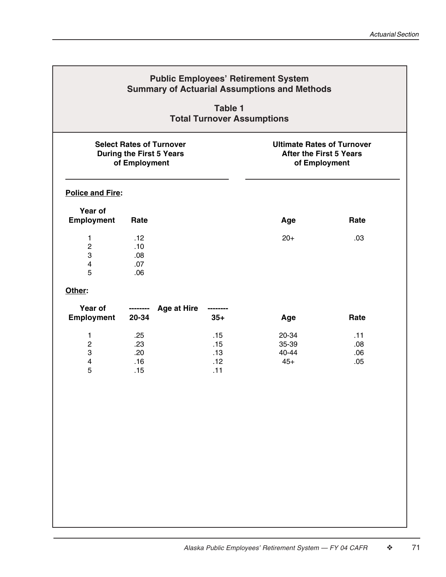| <b>Public Employees' Retirement System</b><br><b>Summary of Actuarial Assumptions and Methods</b><br><b>Table 1</b><br><b>Total Turnover Assumptions</b> |                                                  |                                 |                                 |                                                                                      |                          |  |  |
|----------------------------------------------------------------------------------------------------------------------------------------------------------|--------------------------------------------------|---------------------------------|---------------------------------|--------------------------------------------------------------------------------------|--------------------------|--|--|
|                                                                                                                                                          | <b>During the First 5 Years</b><br>of Employment | <b>Select Rates of Turnover</b> |                                 | <b>Ultimate Rates of Turnover</b><br><b>After the First 5 Years</b><br>of Employment |                          |  |  |
| <b>Police and Fire:</b>                                                                                                                                  |                                                  |                                 |                                 |                                                                                      |                          |  |  |
| Year of<br><b>Employment</b>                                                                                                                             | Rate                                             |                                 |                                 | Age                                                                                  | Rate                     |  |  |
| 1<br>$\overline{c}$<br>3<br>$\overline{\mathbf{4}}$<br>5                                                                                                 | .12<br>.10<br>.08<br>.07<br>.06                  |                                 |                                 | $20+$                                                                                | .03                      |  |  |
| Other:                                                                                                                                                   |                                                  |                                 |                                 |                                                                                      |                          |  |  |
| Year of<br><b>Employment</b>                                                                                                                             | --------<br>20-34                                | <b>Age at Hire</b>              | $35+$                           | Age                                                                                  | Rate                     |  |  |
| 1<br>$\mathbf 2$<br>3<br>4<br>5                                                                                                                          | .25<br>.23<br>.20<br>.16<br>.15                  |                                 | .15<br>.15<br>.13<br>.12<br>.11 | 20-34<br>35-39<br>40-44<br>$45+$                                                     | .11<br>.08<br>.06<br>.05 |  |  |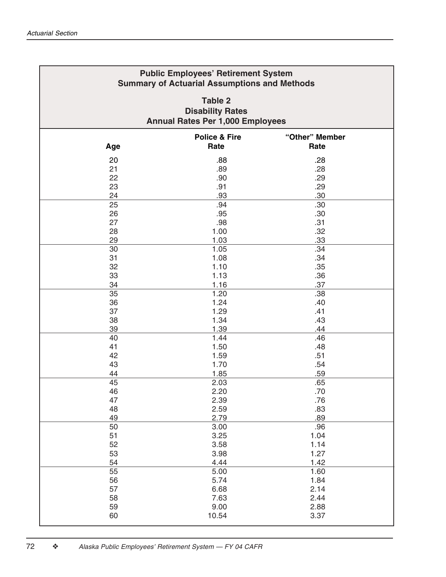| <b>Public Employees' Retirement System</b><br><b>Summary of Actuarial Assumptions and Methods</b> |                                  |                        |  |  |  |  |  |  |
|---------------------------------------------------------------------------------------------------|----------------------------------|------------------------|--|--|--|--|--|--|
| <b>Table 2</b><br><b>Disability Rates</b><br><b>Annual Rates Per 1,000 Employees</b>              |                                  |                        |  |  |  |  |  |  |
|                                                                                                   | <b>Police &amp; Fire</b><br>Rate | "Other" Member<br>Rate |  |  |  |  |  |  |
| Age                                                                                               |                                  |                        |  |  |  |  |  |  |
| 20                                                                                                | .88                              | .28                    |  |  |  |  |  |  |
| 21                                                                                                | .89                              | .28                    |  |  |  |  |  |  |
| 22                                                                                                | .90                              | .29                    |  |  |  |  |  |  |
| 23                                                                                                | .91                              | .29                    |  |  |  |  |  |  |
| 24                                                                                                | .93                              | .30                    |  |  |  |  |  |  |
| 25                                                                                                | .94                              | .30                    |  |  |  |  |  |  |
| 26                                                                                                | .95                              | .30                    |  |  |  |  |  |  |
| 27                                                                                                | .98                              | .31                    |  |  |  |  |  |  |
| 28                                                                                                | 1.00                             | .32                    |  |  |  |  |  |  |
| 29                                                                                                | 1.03                             | .33                    |  |  |  |  |  |  |
| 30                                                                                                | 1.05                             | .34                    |  |  |  |  |  |  |
| 31                                                                                                | 1.08                             | .34                    |  |  |  |  |  |  |
| 32                                                                                                | 1.10                             | .35                    |  |  |  |  |  |  |
| 33                                                                                                | 1.13                             | .36                    |  |  |  |  |  |  |
| 34                                                                                                | 1.16                             | .37                    |  |  |  |  |  |  |
| 35                                                                                                | 1.20                             | .38                    |  |  |  |  |  |  |
| 36                                                                                                | 1.24                             | .40                    |  |  |  |  |  |  |
| 37                                                                                                | 1.29                             | .41                    |  |  |  |  |  |  |
| 38                                                                                                | 1.34                             | .43                    |  |  |  |  |  |  |
| 39                                                                                                | 1.39                             | .44                    |  |  |  |  |  |  |
| 40                                                                                                | 1.44                             | .46                    |  |  |  |  |  |  |
| 41                                                                                                | 1.50                             | .48                    |  |  |  |  |  |  |
| 42                                                                                                | 1.59                             | .51                    |  |  |  |  |  |  |
| 43                                                                                                | 1.70                             | .54                    |  |  |  |  |  |  |
| 44                                                                                                | 1.85                             | .59                    |  |  |  |  |  |  |
| 45                                                                                                | 2.03                             | .65                    |  |  |  |  |  |  |
| 46                                                                                                | 2.20                             | $.70\,$                |  |  |  |  |  |  |
| 47                                                                                                | 2.39                             | .76                    |  |  |  |  |  |  |
| 48                                                                                                | 2.59                             | .83                    |  |  |  |  |  |  |
| 49                                                                                                | 2.79                             | .89                    |  |  |  |  |  |  |
| 50                                                                                                | 3.00                             | .96                    |  |  |  |  |  |  |
| 51                                                                                                | 3.25                             | 1.04                   |  |  |  |  |  |  |
| 52                                                                                                | 3.58                             | 1.14                   |  |  |  |  |  |  |
| 53                                                                                                | 3.98                             | 1.27                   |  |  |  |  |  |  |
| 54                                                                                                | 4.44                             | 1.42                   |  |  |  |  |  |  |
| $\overline{55}$                                                                                   | 5.00                             | 1.60                   |  |  |  |  |  |  |
| 56                                                                                                | 5.74                             | 1.84                   |  |  |  |  |  |  |
| 57                                                                                                | 6.68                             | 2.14                   |  |  |  |  |  |  |
| 58                                                                                                | 7.63                             | 2.44                   |  |  |  |  |  |  |
| 59                                                                                                | 9.00                             | 2.88                   |  |  |  |  |  |  |
| 60                                                                                                | 10.54                            | 3.37                   |  |  |  |  |  |  |
|                                                                                                   |                                  |                        |  |  |  |  |  |  |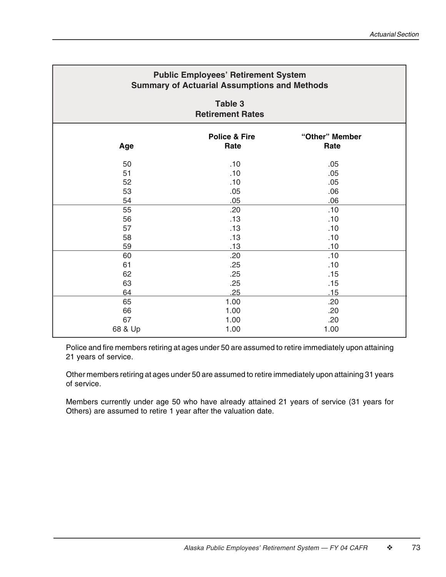| <b>Public Employees' Retirement System</b><br><b>Summary of Actuarial Assumptions and Methods</b> |                                  |                        |  |  |  |  |  |  |
|---------------------------------------------------------------------------------------------------|----------------------------------|------------------------|--|--|--|--|--|--|
| <b>Table 3</b><br><b>Retirement Rates</b>                                                         |                                  |                        |  |  |  |  |  |  |
| Age                                                                                               | <b>Police &amp; Fire</b><br>Rate | "Other" Member<br>Rate |  |  |  |  |  |  |
| 50                                                                                                | .10                              | .05                    |  |  |  |  |  |  |
| 51<br>52                                                                                          | .10                              | .05                    |  |  |  |  |  |  |
| 53                                                                                                | .10<br>.05                       | .05<br>.06             |  |  |  |  |  |  |
| 54                                                                                                | .05                              | .06                    |  |  |  |  |  |  |
| 55                                                                                                | .20                              | .10                    |  |  |  |  |  |  |
| 56                                                                                                | .13                              | .10                    |  |  |  |  |  |  |
| 57                                                                                                | .13                              | .10                    |  |  |  |  |  |  |
| 58                                                                                                | .13                              | .10                    |  |  |  |  |  |  |
| 59                                                                                                | .13                              | .10                    |  |  |  |  |  |  |
| 60                                                                                                | .20                              | .10                    |  |  |  |  |  |  |
| 61                                                                                                | .25                              | .10                    |  |  |  |  |  |  |
| 62                                                                                                | .25                              | .15                    |  |  |  |  |  |  |
| 63                                                                                                | .25                              | .15                    |  |  |  |  |  |  |
| 64                                                                                                | .25                              | .15                    |  |  |  |  |  |  |
| 65                                                                                                | 1.00                             | .20                    |  |  |  |  |  |  |
| 66                                                                                                | 1.00                             | .20                    |  |  |  |  |  |  |
| 67                                                                                                | 1.00                             | .20                    |  |  |  |  |  |  |
| 68 & Up                                                                                           | 1.00                             | 1.00                   |  |  |  |  |  |  |

Police and fire members retiring at ages under 50 are assumed to retire immediately upon attaining 21 years of service.

Other members retiring at ages under 50 are assumed to retire immediately upon attaining 31 years of service.

Members currently under age 50 who have already attained 21 years of service (31 years for Others) are assumed to retire 1 year after the valuation date.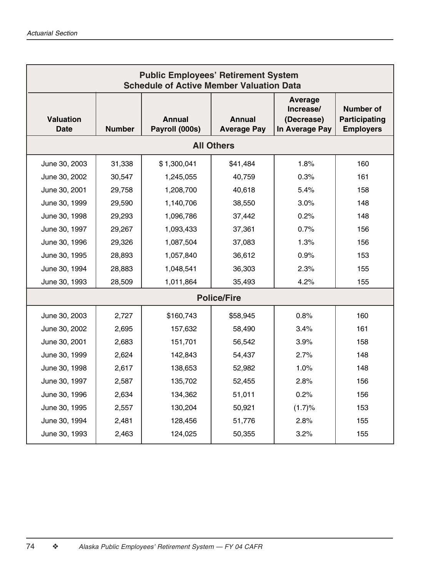| <b>Public Employees' Retirement System</b><br><b>Schedule of Active Member Valuation Data</b> |        |                                 |                                     |                                                      |                                                              |  |  |  |  |
|-----------------------------------------------------------------------------------------------|--------|---------------------------------|-------------------------------------|------------------------------------------------------|--------------------------------------------------------------|--|--|--|--|
| <b>Valuation</b><br><b>Date</b><br><b>Number</b>                                              |        | <b>Annual</b><br>Payroll (000s) | <b>Annual</b><br><b>Average Pay</b> | Average<br>Increase/<br>(Decrease)<br>In Average Pay | <b>Number of</b><br><b>Participating</b><br><b>Employers</b> |  |  |  |  |
| <b>All Others</b>                                                                             |        |                                 |                                     |                                                      |                                                              |  |  |  |  |
| June 30, 2003                                                                                 | 31,338 | \$1,300,041                     | \$41,484                            | 1.8%                                                 | 160                                                          |  |  |  |  |
| June 30, 2002                                                                                 | 30,547 | 1,245,055                       | 40,759                              | 0.3%                                                 | 161                                                          |  |  |  |  |
| June 30, 2001                                                                                 | 29,758 | 1,208,700                       | 40,618                              | 5.4%                                                 | 158                                                          |  |  |  |  |
| June 30, 1999                                                                                 | 29,590 | 1,140,706                       | 38,550                              | $3.0\%$                                              | 148                                                          |  |  |  |  |
| June 30, 1998                                                                                 | 29,293 | 1,096,786                       | 37,442                              | 0.2%                                                 | 148                                                          |  |  |  |  |
| June 30, 1997                                                                                 | 29,267 | 1,093,433                       | 37,361                              | 0.7%                                                 | 156                                                          |  |  |  |  |
| June 30, 1996<br>29,326                                                                       |        | 1,087,504                       | 37,083                              | 1.3%                                                 | 156                                                          |  |  |  |  |
| June 30, 1995                                                                                 | 28,893 | 1,057,840                       | 36,612                              | 0.9%                                                 | 153                                                          |  |  |  |  |
| June 30, 1994                                                                                 | 28,883 | 1,048,541                       | 36,303                              | 2.3%                                                 | 155                                                          |  |  |  |  |
| June 30, 1993                                                                                 | 28,509 | 1,011,864                       | 35,493                              | 4.2%                                                 | 155                                                          |  |  |  |  |
|                                                                                               |        |                                 | <b>Police/Fire</b>                  |                                                      |                                                              |  |  |  |  |
| June 30, 2003                                                                                 | 2,727  | \$160,743                       | \$58,945                            | 0.8%                                                 | 160                                                          |  |  |  |  |
| June 30, 2002                                                                                 | 2,695  | 157,632                         | 58,490                              | $3.4\%$                                              | 161                                                          |  |  |  |  |
| June 30, 2001                                                                                 | 2,683  | 151,701                         | 56,542                              | 3.9%                                                 | 158                                                          |  |  |  |  |
| June 30, 1999                                                                                 | 2,624  | 142,843                         | 54,437                              | 2.7%                                                 | 148                                                          |  |  |  |  |
| June 30, 1998                                                                                 | 2,617  | 138,653                         | 52,982                              | 1.0%                                                 | 148                                                          |  |  |  |  |
| June 30, 1997                                                                                 | 2,587  | 135,702                         | 52,455                              | 2.8%                                                 | 156                                                          |  |  |  |  |
| June 30, 1996                                                                                 | 2,634  | 134,362                         | 51,011                              | 0.2%                                                 | 156                                                          |  |  |  |  |
| June 30, 1995                                                                                 | 2,557  | 130,204                         | 50,921                              | (1.7)%                                               | 153                                                          |  |  |  |  |
| June 30, 1994                                                                                 | 2,481  | 128,456                         | 51,776                              | 2.8%                                                 | 155                                                          |  |  |  |  |
| June 30, 1993                                                                                 | 2,463  | 124,025                         | 50,355                              | 3.2%                                                 | 155                                                          |  |  |  |  |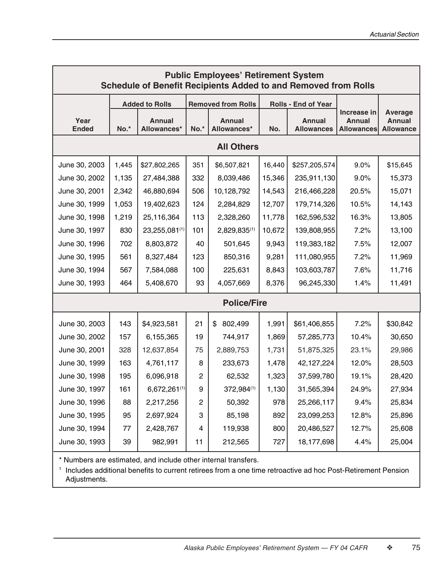| <b>Public Employees' Retirement System</b><br><b>Schedule of Benefit Recipients Added to and Removed from Rolls</b> |       |                              |        |                              |                                           |                            |                                                   |                                                     |  |
|---------------------------------------------------------------------------------------------------------------------|-------|------------------------------|--------|------------------------------|-------------------------------------------|----------------------------|---------------------------------------------------|-----------------------------------------------------|--|
|                                                                                                                     |       | <b>Added to Rolls</b>        |        | <b>Removed from Rolls</b>    |                                           | <b>Rolls - End of Year</b> |                                                   |                                                     |  |
| Year<br><b>Ended</b>                                                                                                | No.*  | <b>Annual</b><br>Allowances* | $No.*$ | <b>Annual</b><br>Allowances* | <b>Annual</b><br>No.<br><b>Allowances</b> |                            | Increase in<br><b>Annual</b><br><b>Allowances</b> | <b>Average</b><br><b>Annual</b><br><b>Allowance</b> |  |
| <b>All Others</b>                                                                                                   |       |                              |        |                              |                                           |                            |                                                   |                                                     |  |
| June 30, 2003                                                                                                       | 1,445 | \$27,802,265                 | 351    | \$6,507,821                  | 16,440                                    | \$257,205,574              | 9.0%                                              | \$15,645                                            |  |
| June 30, 2002                                                                                                       | 1,135 | 27,484,388                   | 332    | 8,039,486                    | 15,346                                    | 235,911,130                | 9.0%                                              | 15,373                                              |  |
| June 30, 2001                                                                                                       | 2,342 | 46,880,694                   | 506    | 10,128,792                   | 14,543                                    | 216,466,228                | 20.5%                                             | 15,071                                              |  |
| June 30, 1999                                                                                                       | 1,053 | 19,402,623                   | 124    | 2,284,829                    | 12,707                                    | 179,714,326                | 10.5%                                             | 14,143                                              |  |
| June 30, 1998                                                                                                       | 1,219 | 25,116,364                   | 113    | 2,328,260                    | 11,778                                    | 162,596,532                | 16.3%                                             | 13,805                                              |  |
| June 30, 1997                                                                                                       | 830   | 23,255,081(1)                | 101    | 2,829,835(1)                 | 10,672                                    | 139,808,955                | 7.2%                                              | 13,100                                              |  |
| June 30, 1996                                                                                                       | 702   | 8,803,872                    | 40     | 501,645                      | 9,943                                     | 119,383,182                | 7.5%                                              | 12,007                                              |  |
| June 30, 1995                                                                                                       | 561   | 8,327,484                    | 123    | 850,316                      | 9,281                                     | 111,080,955                | 7.2%                                              | 11,969                                              |  |
| June 30, 1994                                                                                                       | 567   | 7,584,088                    | 100    | 225,631                      | 8,843                                     | 103,603,787                | 7.6%                                              | 11,716                                              |  |
| June 30, 1993                                                                                                       | 464   | 5,408,670                    | 93     | 4,057,669                    | 8,376                                     | 96,245,330                 | 1.4%                                              | 11,491                                              |  |
|                                                                                                                     |       |                              |        | <b>Police/Fire</b>           |                                           |                            |                                                   |                                                     |  |
| June 30, 2003                                                                                                       | 143   | \$4,923,581                  | 21     | $\frac{1}{2}$<br>802,499     | 1,991                                     | \$61,406,855               | 7.2%                                              | \$30,842                                            |  |
| June 30, 2002                                                                                                       | 157   | 6,155,365                    | 19     | 744,917                      | 1,869                                     | 57,285,773                 | 10.4%                                             | 30,650                                              |  |
| June 30, 2001                                                                                                       | 328   | 12,637,854                   | 75     | 2,889,753                    | 1,731                                     | 51,875,325                 | 23.1%                                             | 29,986                                              |  |
| June 30, 1999                                                                                                       | 163   | 4,761,117                    | 8      | 233,673                      | 1,478                                     | 42,127,224                 | 12.0%                                             | 28,503                                              |  |
| June 30, 1998                                                                                                       | 195   | 6,096,918                    | 2      | 62,532                       | 1,323                                     | 37,599,780                 | 19.1%                                             | 28,420                                              |  |
| June 30, 1997                                                                                                       | 161   | $6,672,261^{(1)}$            | 9      | 372,984(1)                   | 1,130                                     | 31,565,394                 | 24.9%                                             | 27,934                                              |  |
| June 30, 1996                                                                                                       | 88    | 2,217,256                    | 2      | 50,392                       | 978                                       | 25,266,117                 | 9.4%                                              | 25,834                                              |  |
| June 30, 1995                                                                                                       | 95    | 2,697,924                    | 3      | 85,198                       | 892                                       | 23,099,253                 | 12.8%                                             | 25,896                                              |  |
| June 30, 1994                                                                                                       | 77    | 2,428,767                    | 4      | 119,938                      | 800                                       | 20,486,527                 | 12.7%                                             | 25,608                                              |  |
| June 30, 1993                                                                                                       | 39    | 982,991                      | 11     | 212,565                      | 727                                       | 18,177,698                 | 4.4%                                              | 25,004                                              |  |

\* Numbers are estimated, and include other internal transfers.

<sup>1</sup> Includes additional benefits to current retirees from a one time retroactive ad hoc Post-Retirement Pension Adjustments.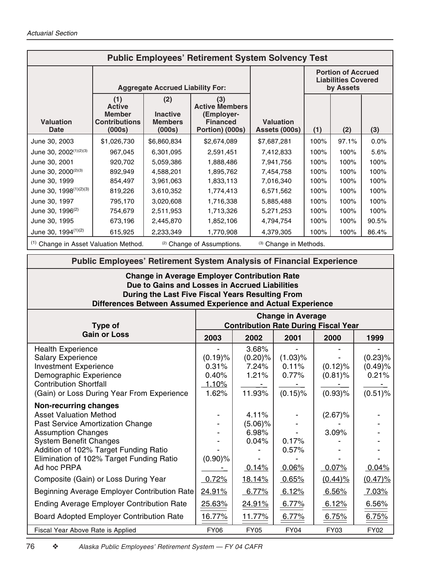| <b>Public Employees' Retirement System Solvency Test</b>                                                            |                                                                         |                                                    |                                                                                  |                                                                      |      |       |       |  |  |
|---------------------------------------------------------------------------------------------------------------------|-------------------------------------------------------------------------|----------------------------------------------------|----------------------------------------------------------------------------------|----------------------------------------------------------------------|------|-------|-------|--|--|
| <b>Aggregate Accrued Liability For:</b>                                                                             |                                                                         |                                                    |                                                                                  | <b>Portion of Accrued</b><br><b>Liabilities Covered</b><br>by Assets |      |       |       |  |  |
| <b>Valuation</b><br>Date                                                                                            | (1)<br><b>Active</b><br><b>Member</b><br><b>Contributions</b><br>(000s) | (2)<br><b>Inactive</b><br><b>Members</b><br>(000s) | (3)<br><b>Active Members</b><br>(Employer-<br><b>Financed</b><br>Portion) (000s) | <b>Valuation</b><br>Assets (000s)                                    | (1)  | (2)   | (3)   |  |  |
| June 30, 2003                                                                                                       | \$1,026,730                                                             | \$6,860,834                                        | \$2,674,089                                                                      | \$7,687,281                                                          | 100% | 97.1% | 0.0%  |  |  |
| June 30, 2002(1)(2)(3)                                                                                              | 967,045                                                                 | 6,301,095                                          | 2,591,451                                                                        | 7,412,833                                                            | 100% | 100%  | 5.6%  |  |  |
| June 30, 2001                                                                                                       | 920,702                                                                 | 5,059,386                                          | 1,888,486                                                                        | 7,941,756                                                            | 100% | 100%  | 100%  |  |  |
| June 30, 2000 <sup>(2)(3)</sup>                                                                                     | 892,949                                                                 | 4,588,201                                          | 1,895,762                                                                        | 7,454,758                                                            | 100% | 100%  | 100%  |  |  |
| June 30, 1999                                                                                                       | 854,497                                                                 | 3,961,063                                          | 1,833,113                                                                        | 7,016,340                                                            | 100% | 100%  | 100%  |  |  |
| June 30, 1998 <sup>(1)(2)(3)</sup>                                                                                  | 819,226                                                                 | 3,610,352                                          | 1,774,413                                                                        | 6,571,562                                                            | 100% | 100%  | 100%  |  |  |
| June 30, 1997                                                                                                       | 795,170                                                                 | 3,020,608                                          | 1,716,338                                                                        | 5,885,488                                                            | 100% | 100%  | 100%  |  |  |
| June 30, 1996 <sup>(2)</sup>                                                                                        | 754,679                                                                 | 2,511,953                                          | 1,713,326                                                                        | 5,271,253                                                            | 100% | 100%  | 100%  |  |  |
| June 30, 1995<br>673,196                                                                                            |                                                                         | 2,445,870                                          | 1,852,106                                                                        | 4,794,754                                                            | 100% | 100%  | 90.5% |  |  |
| June 30, 1994 <sup>(1)(2)</sup><br>615,925<br>2,233,349<br>1,770,908<br>4,379,305<br>100%                           |                                                                         |                                                    |                                                                                  |                                                                      |      | 100%  | 86.4% |  |  |
| <sup>(1)</sup> Change in Asset Valuation Method.<br><sup>(2)</sup> Change of Assumptions.<br>(3) Change in Methods. |                                                                         |                                                    |                                                                                  |                                                                      |      |       |       |  |  |

| <b>Public Employees' Retirement System Analysis of Financial Experience</b>                                                                                                                                                                                         |                                                                         |                                                 |                                            |                                     |                                              |  |  |  |  |
|---------------------------------------------------------------------------------------------------------------------------------------------------------------------------------------------------------------------------------------------------------------------|-------------------------------------------------------------------------|-------------------------------------------------|--------------------------------------------|-------------------------------------|----------------------------------------------|--|--|--|--|
| <b>Change in Average Employer Contribution Rate</b><br>Due to Gains and Losses in Accrued Liabilities<br>During the Last Five Fiscal Years Resulting From<br>Differences Between Assumed Experience and Actual Experience                                           |                                                                         |                                                 |                                            |                                     |                                              |  |  |  |  |
| <b>Type of</b>                                                                                                                                                                                                                                                      | <b>Change in Average</b><br><b>Contribution Rate During Fiscal Year</b> |                                                 |                                            |                                     |                                              |  |  |  |  |
| <b>Gain or Loss</b>                                                                                                                                                                                                                                                 | 2003                                                                    | 2002                                            | 2001                                       | 2000                                | 1999                                         |  |  |  |  |
| <b>Health Experience</b><br><b>Salary Experience</b><br><b>Investment Experience</b><br>Demographic Experience<br><b>Contribution Shortfall</b><br>(Gain) or Loss During Year From Experience                                                                       | (0.19)%<br>0.31%<br>0.40%<br>1.10%<br>1.62%                             | 3.68%<br>$(0.20)$ %<br>7.24%<br>1.21%<br>11.93% | $(1.03)$ %<br>0.11%<br>0.77%<br>$(0.15)$ % | (0.12)%<br>$(0.81)\%$<br>$(0.93)$ % | $(0.23)$ %<br>(0.49)%<br>0.21%<br>$(0.51)$ % |  |  |  |  |
| <b>Non-recurring changes</b><br><b>Asset Valuation Method</b><br>Past Service Amortization Change<br><b>Assumption Changes</b><br><b>System Benefit Changes</b><br>Addition of 102% Target Funding Ratio<br>Elimination of 102% Target Funding Ratio<br>Ad hoc PRPA | $(0.90)$ %                                                              | 4.11%<br>$(5.06)\%$<br>6.98%<br>0.04%<br>0.14%  | 0.17%<br>0.57%<br>0.06%                    | (2.67)%<br>3.09%<br>0.07%           | 0.04%                                        |  |  |  |  |
| Composite (Gain) or Loss During Year                                                                                                                                                                                                                                | 0.72%                                                                   | 18.14%                                          | 0.65%                                      | $(0.44)$ %                          | $(0.47)\%$                                   |  |  |  |  |
| Beginning Average Employer Contribution Rate                                                                                                                                                                                                                        | 24.91%                                                                  | 6.77%                                           | 6.12%                                      | 6.56%                               | 7.03%                                        |  |  |  |  |
| <b>Ending Average Employer Contribution Rate</b>                                                                                                                                                                                                                    | 25.63%                                                                  | 24.91%                                          | 6.77%                                      | 6.12%                               | 6.56%                                        |  |  |  |  |
| <b>Board Adopted Employer Contribution Rate</b>                                                                                                                                                                                                                     | 16.77%                                                                  | 11.77%                                          | 6.77%                                      | 6.75%                               | 6.75%                                        |  |  |  |  |
| Fiscal Year Above Rate is Applied                                                                                                                                                                                                                                   | <b>FY06</b>                                                             | <b>FY05</b>                                     | <b>FY04</b>                                | FY03                                | <b>FY02</b>                                  |  |  |  |  |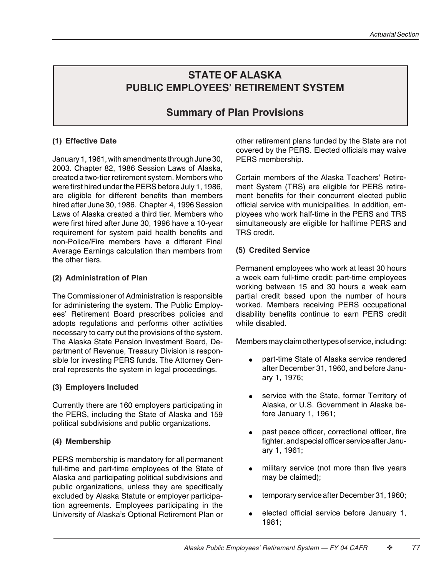### **Summary of Plan Provisions**

#### **(1) Effective Date**

January 1, 1961, with amendments through June 30, 2003. Chapter 82, 1986 Session Laws of Alaska, created a two-tier retirement system. Members who were first hired under the PERS before July 1, 1986, are eligible for different benefits than members hired after June 30, 1986. Chapter 4, 1996 Session Laws of Alaska created a third tier. Members who were first hired after June 30, 1996 have a 10-year requirement for system paid health benefits and non-Police/Fire members have a different Final Average Earnings calculation than members from the other tiers.

#### **(2) Administration of Plan**

The Commissioner of Administration is responsible for administering the system. The Public Employees' Retirement Board prescribes policies and adopts regulations and performs other activities necessary to carry out the provisions of the system. The Alaska State Pension Investment Board, Department of Revenue, Treasury Division is responsible for investing PERS funds. The Attorney General represents the system in legal proceedings.

#### **(3) Employers Included**

Currently there are 160 employers participating in the PERS, including the State of Alaska and 159 political subdivisions and public organizations.

#### **(4) Membership**

PERS membership is mandatory for all permanent full-time and part-time employees of the State of Alaska and participating political subdivisions and public organizations, unless they are specifically excluded by Alaska Statute or employer participation agreements. Employees participating in the University of Alaska's Optional Retirement Plan or

other retirement plans funded by the State are not covered by the PERS. Elected officials may waive PERS membership.

Certain members of the Alaska Teachers' Retirement System (TRS) are eligible for PERS retirement benefits for their concurrent elected public official service with municipalities. In addition, employees who work half-time in the PERS and TRS simultaneously are eligible for halftime PERS and TRS credit.

#### **(5) Credited Service**

Permanent employees who work at least 30 hours a week earn full-time credit; part-time employees working between 15 and 30 hours a week earn partial credit based upon the number of hours worked. Members receiving PERS occupational disability benefits continue to earn PERS credit while disabled.

Members may claim other types of service, including:

- part-time State of Alaska service rendered after December 31, 1960, and before January 1, 1976;
- service with the State, former Territory of Alaska, or U.S. Government in Alaska before January 1, 1961;
- past peace officer, correctional officer, fire fighter, and special officer service after January 1, 1961;
- military service (not more than five years may be claimed);
- temporary service after December 31, 1960;
- elected official service before January 1, 1981;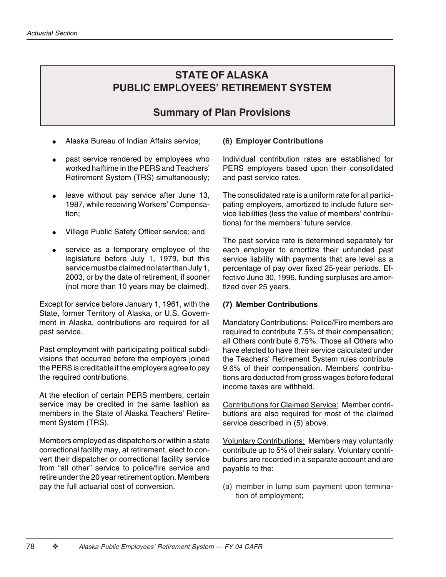### **Summary of Plan Provisions**

- Alaska Bureau of Indian Affairs service;
- past service rendered by employees who worked halftime in the PERS and Teachers' Retirement System (TRS) simultaneously;
- leave without pay service after June 13, 1987, while receiving Workers' Compensation;
- Village Public Safety Officer service; and
- service as a temporary employee of the legislature before July 1, 1979, but this service must be claimed no later than July 1, 2003, or by the date of retirement, if sooner (not more than 10 years may be claimed).

Except for service before January 1, 1961, with the State, former Territory of Alaska, or U.S. Government in Alaska, contributions are required for all past service.

Past employment with participating political subdivisions that occurred before the employers joined the PERS is creditable if the employers agree to pay the required contributions.

At the election of certain PERS members, certain service may be credited in the same fashion as members in the State of Alaska Teachers' Retirement System (TRS).

Members employed as dispatchers or within a state correctional facility may, at retirement, elect to convert their dispatcher or correctional facility service from "all other" service to police/fire service and retire under the 20 year retirement option. Members pay the full actuarial cost of conversion.

#### **(6) Employer Contributions**

Individual contribution rates are established for PERS employers based upon their consolidated and past service rates.

The consolidated rate is a uniform rate for all participating employers, amortized to include future service liabilities (less the value of members' contributions) for the members' future service.

The past service rate is determined separately for each employer to amortize their unfunded past service liability with payments that are level as a percentage of pay over fixed 25-year periods. Effective June 30, 1996, funding surpluses are amortized over 25 years.

#### **(7) Member Contributions**

Mandatory Contributions: Police/Fire members are required to contribute 7.5% of their compensation; all Others contribute 6.75%. Those all Others who have elected to have their service calculated under the Teachers' Retirement System rules contribute 9.6% of their compensation. Members' contributions are deducted from gross wages before federal income taxes are withheld.

Contributions for Claimed Service: Member contributions are also required for most of the claimed service described in (5) above.

Voluntary Contributions: Members may voluntarily contribute up to 5% of their salary. Voluntary contributions are recorded in a separate account and are payable to the:

(a) member in lump sum payment upon termination of employment;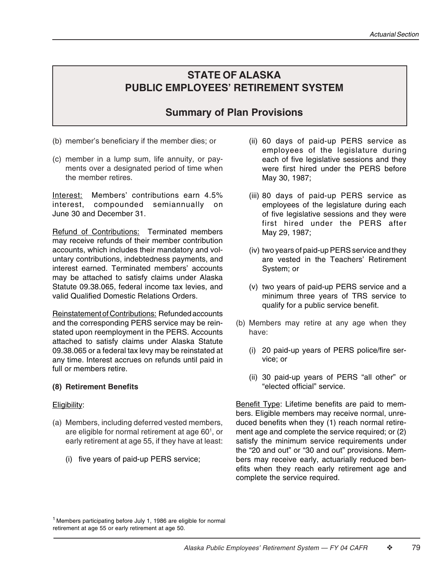### **Summary of Plan Provisions**

- (b) member's beneficiary if the member dies; or
- (c) member in a lump sum, life annuity, or payments over a designated period of time when the member retires.

Interest: Members' contributions earn 4.5% interest, compounded semiannually on June 30 and December 31.

Refund of Contributions: Terminated members may receive refunds of their member contribution accounts, which includes their mandatory and voluntary contributions, indebtedness payments, and interest earned. Terminated members' accounts may be attached to satisfy claims under Alaska Statute 09.38.065, federal income tax levies, and valid Qualified Domestic Relations Orders.

Reinstatement of Contributions: Refunded accounts and the corresponding PERS service may be reinstated upon reemployment in the PERS. Accounts attached to satisfy claims under Alaska Statute 09.38.065 or a federal tax levy may be reinstated at any time. Interest accrues on refunds until paid in full or members retire.

#### **(8) Retirement Benefits**

#### Eligibility:

- (a) Members, including deferred vested members, are eligible for normal retirement at age 60<sup>1</sup>, or early retirement at age 55, if they have at least:
	- (i) five years of paid-up PERS service;
- (ii) 60 days of paid-up PERS service as employees of the legislature during each of five legislative sessions and they were first hired under the PERS before May 30, 1987;
- (iii) 80 days of paid-up PERS service as employees of the legislature during each of five legislative sessions and they were first hired under the PERS after May 29, 1987;
- (iv) two years of paid-up PERS service and they are vested in the Teachers' Retirement System; or
- (v) two years of paid-up PERS service and a minimum three years of TRS service to qualify for a public service benefit.
- (b) Members may retire at any age when they have:
	- (i) 20 paid-up years of PERS police/fire service; or
	- (ii) 30 paid-up years of PERS "all other" or "elected official" service.

Benefit Type: Lifetime benefits are paid to members. Eligible members may receive normal, unreduced benefits when they (1) reach normal retirement age and complete the service required; or (2) satisfy the minimum service requirements under the "20 and out" or "30 and out" provisions. Members may receive early, actuarially reduced benefits when they reach early retirement age and complete the service required.

<sup>1</sup> Members participating before July 1, 1986 are eligible for normal retirement at age 55 or early retirement at age 50.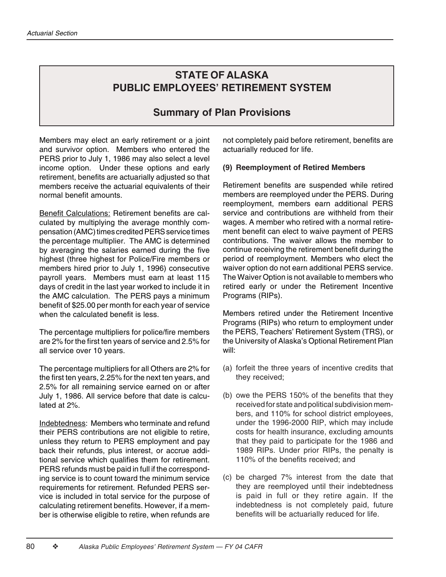### **Summary of Plan Provisions**

Members may elect an early retirement or a joint and survivor option. Members who entered the PERS prior to July 1, 1986 may also select a level income option. Under these options and early retirement, benefits are actuarially adjusted so that members receive the actuarial equivalents of their normal benefit amounts.

Benefit Calculations: Retirement benefits are calculated by multiplying the average monthly compensation (AMC) times credited PERS service times the percentage multiplier. The AMC is determined by averaging the salaries earned during the five highest (three highest for Police/Fire members or members hired prior to July 1, 1996) consecutive payroll years. Members must earn at least 115 days of credit in the last year worked to include it in the AMC calculation. The PERS pays a minimum benefit of \$25.00 per month for each year of service when the calculated benefit is less.

The percentage multipliers for police/fire members are 2% for the first ten years of service and 2.5% for all service over 10 years.

The percentage multipliers for all Others are 2% for the first ten years, 2.25% for the next ten years, and 2.5% for all remaining service earned on or after July 1, 1986. All service before that date is calculated at 2%.

Indebtedness: Members who terminate and refund their PERS contributions are not eligible to retire, unless they return to PERS employment and pay back their refunds, plus interest, or accrue additional service which qualifies them for retirement. PERS refunds must be paid in full if the corresponding service is to count toward the minimum service requirements for retirement. Refunded PERS service is included in total service for the purpose of calculating retirement benefits. However, if a member is otherwise eligible to retire, when refunds are

not completely paid before retirement, benefits are actuarially reduced for life.

#### **(9) Reemployment of Retired Members**

Retirement benefits are suspended while retired members are reemployed under the PERS. During reemployment, members earn additional PERS service and contributions are withheld from their wages. A member who retired with a normal retirement benefit can elect to waive payment of PERS contributions. The waiver allows the member to continue receiving the retirement benefit during the period of reemployment. Members who elect the waiver option do not earn additional PERS service. The Waiver Option is not available to members who retired early or under the Retirement Incentive Programs (RIPs).

Members retired under the Retirement Incentive Programs (RIPs) who return to employment under the PERS, Teachers' Retirement System (TRS), or the University of Alaska's Optional Retirement Plan will:

- (a) forfeit the three years of incentive credits that they received;
- (b) owe the PERS 150% of the benefits that they received for state and political subdivision members, and 110% for school district employees, under the 1996-2000 RIP, which may include costs for health insurance, excluding amounts that they paid to participate for the 1986 and 1989 RIPs. Under prior RIPs, the penalty is 110% of the benefits received; and
- (c) be charged 7% interest from the date that they are reemployed until their indebtedness is paid in full or they retire again. If the indebtedness is not completely paid, future benefits will be actuarially reduced for life.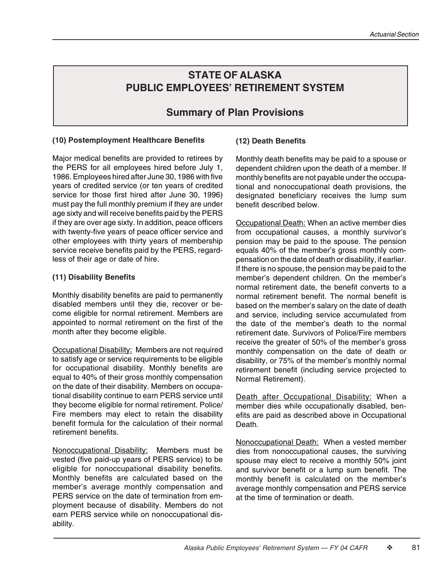### **Summary of Plan Provisions**

#### **(10) Postemployment Healthcare Benefits**

Major medical benefits are provided to retirees by the PERS for all employees hired before July 1, 1986. Employees hired after June 30, 1986 with five years of credited service (or ten years of credited service for those first hired after June 30, 1996) must pay the full monthly premium if they are under age sixty and will receive benefits paid by the PERS if they are over age sixty. In addition, peace officers with twenty-five years of peace officer service and other employees with thirty years of membership service receive benefits paid by the PERS, regardless of their age or date of hire.

#### **(11) Disability Benefits**

Monthly disability benefits are paid to permanently disabled members until they die, recover or become eligible for normal retirement. Members are appointed to normal retirement on the first of the month after they become eligible.

Occupational Disability: Members are not required to satisfy age or service requirements to be eligible for occupational disability. Monthly benefits are equal to 40% of their gross monthly compensation on the date of their disability. Members on occupational disability continue to earn PERS service until they become eligible for normal retirement. Police/ Fire members may elect to retain the disability benefit formula for the calculation of their normal retirement benefits.

Nonoccupational Disability: Members must be vested (five paid-up years of PERS service) to be eligible for nonoccupational disability benefits. Monthly benefits are calculated based on the member's average monthly compensation and PERS service on the date of termination from employment because of disability. Members do not earn PERS service while on nonoccupational disability.

#### **(12) Death Benefits**

Monthly death benefits may be paid to a spouse or dependent children upon the death of a member. If monthly benefits are not payable under the occupational and nonoccupational death provisions, the designated beneficiary receives the lump sum benefit described below.

Occupational Death: When an active member dies from occupational causes, a monthly survivor's pension may be paid to the spouse. The pension equals 40% of the member's gross monthly compensation on the date of death or disability, if earlier. If there is no spouse, the pension may be paid to the member's dependent children. On the member's normal retirement date, the benefit converts to a normal retirement benefit. The normal benefit is based on the member's salary on the date of death and service, including service accumulated from the date of the member's death to the normal retirement date. Survivors of Police/Fire members receive the greater of 50% of the member's gross monthly compensation on the date of death or disability, or 75% of the member's monthly normal retirement benefit (including service projected to Normal Retirement).

Death after Occupational Disability: When a member dies while occupationally disabled, benefits are paid as described above in Occupational Death.

Nonoccupational Death: When a vested member dies from nonoccupational causes, the surviving spouse may elect to receive a monthly 50% joint and survivor benefit or a lump sum benefit. The monthly benefit is calculated on the member's average monthly compensation and PERS service at the time of termination or death.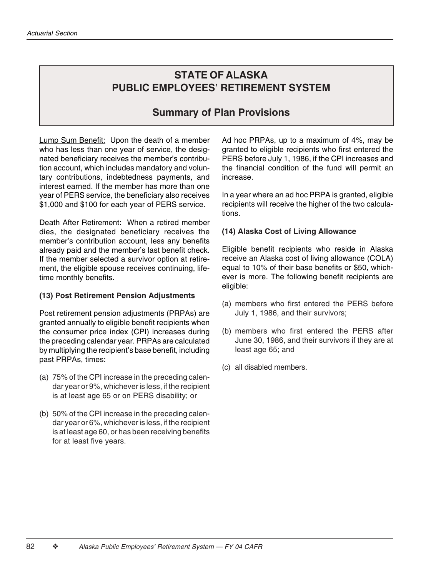### **Summary of Plan Provisions**

Lump Sum Benefit: Upon the death of a member who has less than one year of service, the designated beneficiary receives the member's contribution account, which includes mandatory and voluntary contributions, indebtedness payments, and interest earned. If the member has more than one year of PERS service, the beneficiary also receives \$1,000 and \$100 for each year of PERS service.

Death After Retirement: When a retired member dies, the designated beneficiary receives the member's contribution account, less any benefits already paid and the member's last benefit check. If the member selected a survivor option at retirement, the eligible spouse receives continuing, lifetime monthly benefits.

#### **(13) Post Retirement Pension Adjustments**

Post retirement pension adjustments (PRPAs) are granted annually to eligible benefit recipients when the consumer price index (CPI) increases during the preceding calendar year. PRPAs are calculated by multiplying the recipient's base benefit, including past PRPAs, times:

- (a) 75% of the CPI increase in the preceding calendar year or 9%, whichever is less, if the recipient is at least age 65 or on PERS disability; or
- (b) 50% of the CPI increase in the preceding calendar year or 6%, whichever is less, if the recipient is at least age 60, or has been receiving benefits for at least five years.

Ad hoc PRPAs, up to a maximum of 4%, may be granted to eligible recipients who first entered the PERS before July 1, 1986, if the CPI increases and the financial condition of the fund will permit an increase.

In a year where an ad hoc PRPA is granted, eligible recipients will receive the higher of the two calculations.

#### **(14) Alaska Cost of Living Allowance**

Eligible benefit recipients who reside in Alaska receive an Alaska cost of living allowance (COLA) equal to 10% of their base benefits or \$50, whichever is more. The following benefit recipients are eligible:

- (a) members who first entered the PERS before July 1, 1986, and their survivors;
- (b) members who first entered the PERS after June 30, 1986, and their survivors if they are at least age 65; and
- (c) all disabled members.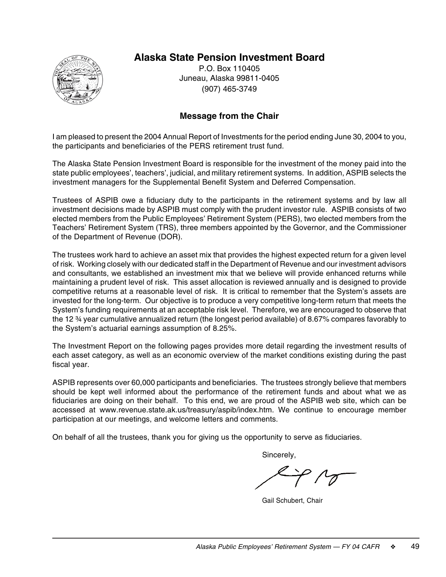### **Alaska State Pension Investment Board**



P.O. Box 110405 Juneau, Alaska 99811-0405 (907) 465-3749

#### **Message from the Chair**

I am pleased to present the 2004 Annual Report of Investments for the period ending June 30, 2004 to you, the participants and beneficiaries of the PERS retirement trust fund.

The Alaska State Pension Investment Board is responsible for the investment of the money paid into the state public employees', teachers', judicial, and military retirement systems. In addition, ASPIB selects the investment managers for the Supplemental Benefit System and Deferred Compensation.

Trustees of ASPIB owe a fiduciary duty to the participants in the retirement systems and by law all investment decisions made by ASPIB must comply with the prudent investor rule. ASPIB consists of two elected members from the Public Employees' Retirement System (PERS), two elected members from the Teachers' Retirement System (TRS), three members appointed by the Governor, and the Commissioner of the Department of Revenue (DOR).

The trustees work hard to achieve an asset mix that provides the highest expected return for a given level of risk. Working closely with our dedicated staff in the Department of Revenue and our investment advisors and consultants, we established an investment mix that we believe will provide enhanced returns while maintaining a prudent level of risk. This asset allocation is reviewed annually and is designed to provide competitive returns at a reasonable level of risk. It is critical to remember that the System's assets are invested for the long-term. Our objective is to produce a very competitive long-term return that meets the System's funding requirements at an acceptable risk level. Therefore, we are encouraged to observe that the 12 ¾ year cumulative annualized return (the longest period available) of 8.67% compares favorably to the System's actuarial earnings assumption of 8.25%.

The Investment Report on the following pages provides more detail regarding the investment results of each asset category, as well as an economic overview of the market conditions existing during the past fiscal year.

ASPIB represents over 60,000 participants and beneficiaries. The trustees strongly believe that members should be kept well informed about the performance of the retirement funds and about what we as fiduciaries are doing on their behalf. To this end, we are proud of the ASPIB web site, which can be accessed at www.revenue.state.ak.us/treasury/aspib/index.htm. We continue to encourage member participation at our meetings, and welcome letters and comments.

On behalf of all the trustees, thank you for giving us the opportunity to serve as fiduciaries.

Sincerely,

Gail Schubert, Chair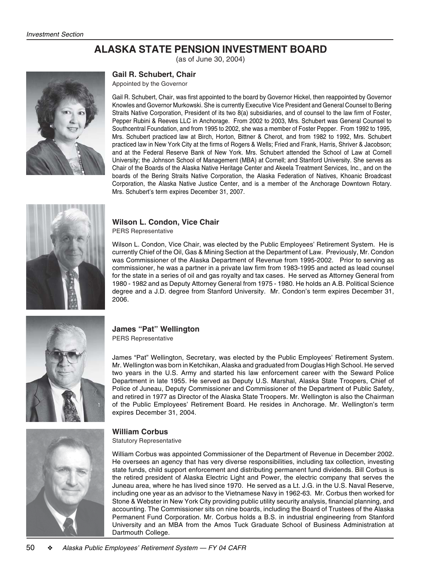# **ALASKA STATE PENSION INVESTMENT BOARD**

(as of June 30, 2004)

#### **Gail R. Schubert, Chair**

Appointed by the Governor

Gail R. Schubert, Chair, was first appointed to the board by Governor Hickel, then reappointed by Governor Knowles and Governor Murkowski. She is currently Executive Vice President and General Counsel to Bering Straits Native Corporation, President of its two 8(a) subsidiaries, and of counsel to the law firm of Foster, Pepper Rubini & Reeves LLC in Anchorage. From 2002 to 2003, Mrs. Schubert was General Counsel to Southcentral Foundation, and from 1995 to 2002, she was a member of Foster Pepper. From 1992 to 1995, Mrs. Schubert practiced law at Birch, Horton, Bittner & Cherot, and from 1982 to 1992, Mrs. Schubert practiced law in New York City at the firms of Rogers & Wells; Fried and Frank, Harris, Shriver & Jacobson; and at the Federal Reserve Bank of New York. Mrs. Schubert attended the School of Law at Cornell University; the Johnson School of Management (MBA) at Cornell; and Stanford University. She serves as Chair of the Boards of the Alaska Native Heritage Center and Akeela Treatment Services, Inc., and on the boards of the Bering Straits Native Corporation, the Alaska Federation of Natives, Khoanic Broadcast Corporation, the Alaska Native Justice Center, and is a member of the Anchorage Downtown Rotary. Mrs. Schubert's term expires December 31, 2007.



#### **Wilson L. Condon, Vice Chair**

PERS Representative

Wilson L. Condon, Vice Chair, was elected by the Public Employees' Retirement System. He is currently Chief of the Oil, Gas & Mining Section at the Department of Law. Previously, Mr. Condon was Commissioner of the Alaska Department of Revenue from 1995-2002. Prior to serving as commissioner, he was a partner in a private law firm from 1983-1995 and acted as lead counsel for the state in a series of oil and gas royalty and tax cases. He served as Attorney General from 1980 - 1982 and as Deputy Attorney General from 1975 - 1980. He holds an A.B. Political Science degree and a J.D. degree from Stanford University. Mr. Condon's term expires December 31, 2006.



# **James "Pat" Wellington**

PERS Representative

James "Pat" Wellington, Secretary, was elected by the Public Employees' Retirement System. Mr. Wellington was born in Ketchikan, Alaska and graduated from Douglas High School. He served two years in the U.S. Army and started his law enforcement career with the Seward Police Department in late 1955. He served as Deputy U.S. Marshal, Alaska State Troopers, Chief of Police of Juneau, Deputy Commissioner and Commissioner of the Department of Public Safety, and retired in 1977 as Director of the Alaska State Troopers. Mr. Wellington is also the Chairman of the Public Employees' Retirement Board. He resides in Anchorage. Mr. Wellington's term expires December 31, 2004.



#### **William Corbus**

Statutory Representative

William Corbus was appointed Commissioner of the Department of Revenue in December 2002. He oversees an agency that has very diverse responsibilities, including tax collection, investing state funds, child support enforcement and distributing permanent fund dividends. Bill Corbus is the retired president of Alaska Electric Light and Power, the electric company that serves the Juneau area, where he has lived since 1970. He served as a Lt. J.G. in the U.S. Naval Reserve, including one year as an advisor to the Vietnamese Navy in 1962-63. Mr. Corbus then worked for Stone & Webster in New York City providing public utility security analysis, financial planning, and accounting. The Commissioner sits on nine boards, including the Board of Trustees of the Alaska Permanent Fund Corporation. Mr. Corbus holds a B.S. in industrial engineering from Stanford University and an MBA from the Amos Tuck Graduate School of Business Administration at Dartmouth College.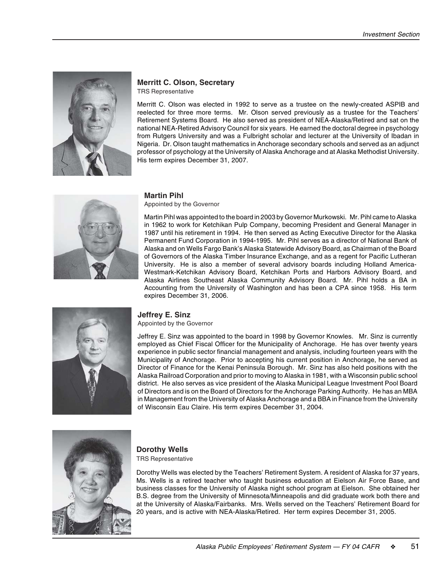

# **Merritt C. Olson, Secretary**

TRS Representative

Merritt C. Olson was elected in 1992 to serve as a trustee on the newly-created ASPIB and reelected for three more terms. Mr. Olson served previously as a trustee for the Teachers' Retirement Systems Board. He also served as president of NEA-Alaska/Retired and sat on the national NEA-Retired Advisory Council for six years. He earned the doctoral degree in psychology from Rutgers University and was a Fulbright scholar and lecturer at the University of Ibadan in Nigeria. Dr. Olson taught mathematics in Anchorage secondary schools and served as an adjunct professor of psychology at the University of Alaska Anchorage and at Alaska Methodist University. His term expires December 31, 2007.



### **Martin Pihl**

Appointed by the Governor

Martin Pihl was appointed to the board in 2003 by Governor Murkowski. Mr. Pihl came to Alaska in 1962 to work for Ketchikan Pulp Company, becoming President and General Manager in 1987 until his retirement in 1994. He then served as Acting Executive Director for the Alaska Permanent Fund Corporation in 1994-1995. Mr. Pihl serves as a director of National Bank of Alaska and on Wells Fargo Bank's Alaska Statewide Advisory Board, as Chairman of the Board of Governors of the Alaska Timber Insurance Exchange, and as a regent for Pacific Lutheran University. He is also a member of several advisory boards including Holland America-Westmark-Ketchikan Advisory Board, Ketchikan Ports and Harbors Advisory Board, and Alaska Airlines Southeast Alaska Community Advisory Board. Mr. Pihl holds a BA in Accounting from the University of Washington and has been a CPA since 1958. His term expires December 31, 2006.



## **Jeffrey E. Sinz**

Appointed by the Governor

Jeffrey E. Sinz was appointed to the board in 1998 by Governor Knowles. Mr. Sinz is currently employed as Chief Fiscal Officer for the Municipality of Anchorage. He has over twenty years experience in public sector financial management and analysis, including fourteen years with the Municipality of Anchorage. Prior to accepting his current position in Anchorage, he served as Director of Finance for the Kenai Peninsula Borough. Mr. Sinz has also held positions with the Alaska Railroad Corporation and prior to moving to Alaska in 1981, with a Wisconsin public school district. He also serves as vice president of the Alaska Municipal League Investment Pool Board of Directors and is on the Board of Directors for the Anchorage Parking Authority. He has an MBA in Management from the University of Alaska Anchorage and a BBA in Finance from the University of Wisconsin Eau Claire. His term expires December 31, 2004.



### **Dorothy Wells**

TRS Representative

Dorothy Wells was elected by the Teachers' Retirement System. A resident of Alaska for 37 years, Ms. Wells is a retired teacher who taught business education at Eielson Air Force Base, and business classes for the University of Alaska night school program at Eielson. She obtained her B.S. degree from the University of Minnesota/Minneapolis and did graduate work both there and at the University of Alaska/Fairbanks. Mrs. Wells served on the Teachers' Retirement Board for 20 years, and is active with NEA-Alaska/Retired. Her term expires December 31, 2005.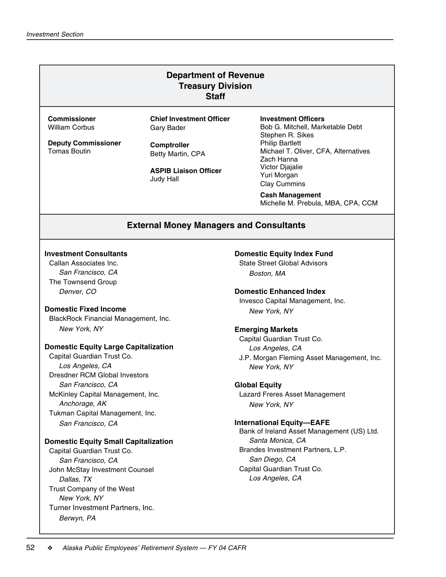## **Department of Revenue Treasury Division Staff**

**Commissioner** William Corbus **Chief Investment Officer** Gary Bader

**Deputy Commissioner** Tomas Boutin

**Comptroller** Betty Martin, CPA

**ASPIB Liaison Officer** Judy Hall

**Investment Officers** Bob G. Mitchell, Marketable Debt Stephen R. Sikes Philip Bartlett Michael T. Oliver, CFA, Alternatives Zach Hanna Victor Djajalie Yuri Morgan Clay Cummins

**Cash Management** Michelle M. Prebula, MBA, CPA, CCM

## **External Money Managers and Consultants**

### **Investment Consultants**

Callan Associates Inc. San Francisco, CA The Townsend Group Denver, CO

### **Domestic Fixed Income**

BlackRock Financial Management, Inc. New York, NY

### **Domestic Equity Large Capitalization**

Capital Guardian Trust Co. Los Angeles, CA Dresdner RCM Global Investors San Francisco, CA McKinley Capital Management, Inc. Anchorage, AK Tukman Capital Management, Inc. San Francisco, CA

### **Domestic Equity Small Capitalization**

Capital Guardian Trust Co. San Francisco, CA John McStay Investment Counsel Dallas, TX Trust Company of the West New York, NY Turner Investment Partners, Inc. Berwyn, PA

#### **Domestic Equity Index Fund**

State Street Global Advisors Boston, MA

#### **Domestic Enhanced Index**

Invesco Capital Management, Inc. New York, NY

#### **Emerging Markets**

Capital Guardian Trust Co. Los Angeles, CA J.P. Morgan Fleming Asset Management, Inc. New York, NY

#### **Global Equity**

Lazard Freres Asset Management New York, NY

#### **International Equity—EAFE**

Bank of Ireland Asset Management (US) Ltd. Santa Monica, CA Brandes Investment Partners, L.P. San Diego, CA Capital Guardian Trust Co. Los Angeles, CA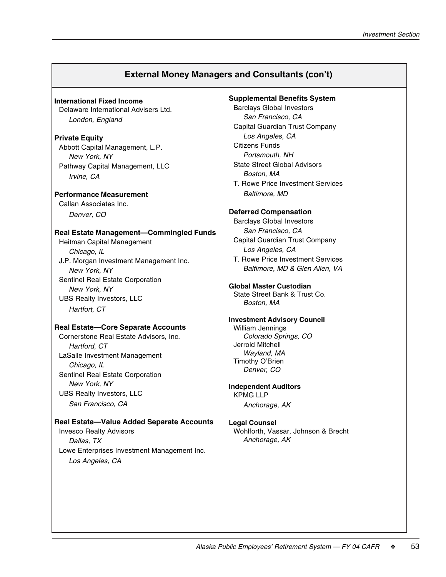## **External Money Managers and Consultants (con't)**

**International Fixed Income** Delaware International Advisers Ltd. London, England

**Private Equity**

Abbott Capital Management, L.P. New York, NY Pathway Capital Management, LLC Irvine, CA

**Performance Measurement** Callan Associates Inc. Denver, CO

### **Real Estate Management—Commingled Funds**

Heitman Capital Management Chicago, IL J.P. Morgan Investment Management Inc. New York, NY Sentinel Real Estate Corporation New York, NY UBS Realty Investors, LLC Hartfort, CT

### **Real Estate—Core Separate Accounts**

Cornerstone Real Estate Advisors, Inc. Hartford, CT LaSalle Investment Management Chicago, IL Sentinel Real Estate Corporation New York, NY UBS Realty Investors, LLC San Francisco, CA

### **Real Estate—Value Added Separate Accounts**

Invesco Realty Advisors Dallas, TX Lowe Enterprises Investment Management Inc. Los Angeles, CA

**Supplemental Benefits System**

Barclays Global Investors San Francisco, CA Capital Guardian Trust Company Los Angeles, CA Citizens Funds Portsmouth, NH State Street Global Advisors Boston, MA T. Rowe Price Investment Services

Baltimore, MD

## **Deferred Compensation**

Barclays Global Investors San Francisco, CA Capital Guardian Trust Company Los Angeles, CA T. Rowe Price Investment Services Baltimore, MD & Glen Allen, VA

### **Global Master Custodian**

State Street Bank & Trust Co. Boston, MA

## **Investment Advisory Council**

William Jennings Colorado Springs, CO Jerrold Mitchell Wayland, MA Timothy O'Brien Denver, CO

#### **Independent Auditors** KPMG LLP

Anchorage, AK

### **Legal Counsel**

Wohlforth, Vassar, Johnson & Brecht Anchorage, AK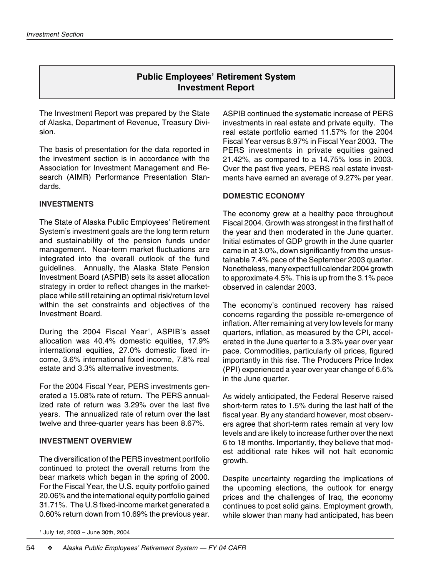# **Public Employees' Retirement System Investment Report**

The Investment Report was prepared by the State of Alaska, Department of Revenue, Treasury Division.

The basis of presentation for the data reported in the investment section is in accordance with the Association for Investment Management and Research (AIMR) Performance Presentation Standards.

## **INVESTMENTS**

The State of Alaska Public Employees' Retirement System's investment goals are the long term return and sustainability of the pension funds under management. Near-term market fluctuations are integrated into the overall outlook of the fund guidelines. Annually, the Alaska State Pension Investment Board (ASPIB) sets its asset allocation strategy in order to reflect changes in the marketplace while still retaining an optimal risk/return level within the set constraints and objectives of the Investment Board.

During the 2004 Fiscal Year<sup>1</sup>, ASPIB's asset allocation was 40.4% domestic equities, 17.9% international equities, 27.0% domestic fixed income, 3.6% international fixed income, 7.8% real estate and 3.3% alternative investments.

For the 2004 Fiscal Year, PERS investments generated a 15.08% rate of return. The PERS annualized rate of return was 3.29% over the last five years. The annualized rate of return over the last twelve and three-quarter years has been 8.67%.

## **INVESTMENT OVERVIEW**

The diversification of the PERS investment portfolio continued to protect the overall returns from the bear markets which began in the spring of 2000. For the Fiscal Year, the U.S. equity portfolio gained 20.06% and the international equity portfolio gained 31.71%. The U.S fixed-income market generated a 0.60% return down from 10.69% the previous year. ASPIB continued the systematic increase of PERS investments in real estate and private equity. The real estate portfolio earned 11.57% for the 2004 Fiscal Year versus 8.97% in Fiscal Year 2003. The PERS investments in private equities gained 21.42%, as compared to a 14.75% loss in 2003. Over the past five years, PERS real estate investments have earned an average of 9.27% per year.

## **DOMESTIC ECONOMY**

The economy grew at a healthy pace throughout Fiscal 2004. Growth was strongest in the first half of the year and then moderated in the June quarter. Initial estimates of GDP growth in the June quarter came in at 3.0%, down significantly from the unsustainable 7.4% pace of the September 2003 quarter. Nonetheless, many expect full calendar 2004 growth to approximate 4.5%. This is up from the 3.1% pace observed in calendar 2003.

The economy's continued recovery has raised concerns regarding the possible re-emergence of inflation. After remaining at very low levels for many quarters, inflation, as measured by the CPI, accelerated in the June quarter to a 3.3% year over year pace. Commodities, particularly oil prices, figured importantly in this rise. The Producers Price Index (PPI) experienced a year over year change of 6.6% in the June quarter.

As widely anticipated, the Federal Reserve raised short-term rates to 1.5% during the last half of the fiscal year. By any standard however, most observers agree that short-term rates remain at very low levels and are likely to increase further over the next 6 to 18 months. Importantly, they believe that modest additional rate hikes will not halt economic growth.

Despite uncertainty regarding the implications of the upcoming elections, the outlook for energy prices and the challenges of Iraq, the economy continues to post solid gains. Employment growth, while slower than many had anticipated, has been

1 July 1st, 2003 – June 30th, 2004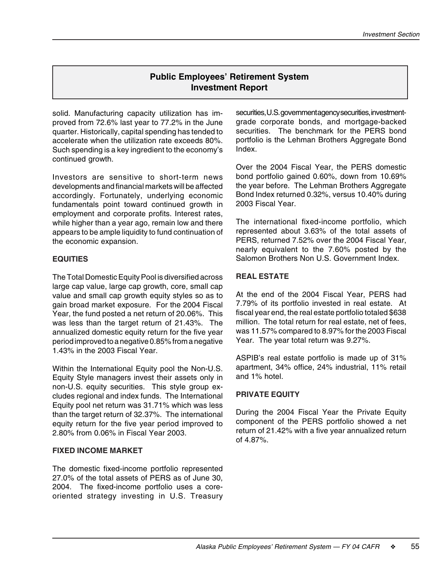# **Public Employees' Retirement System Investment Report**

solid. Manufacturing capacity utilization has improved from 72.6% last year to 77.2% in the June quarter. Historically, capital spending has tended to accelerate when the utilization rate exceeds 80%. Such spending is a key ingredient to the economy's continued growth.

Investors are sensitive to short-term news developments and financial markets will be affected accordingly. Fortunately, underlying economic fundamentals point toward continued growth in employment and corporate profits. Interest rates, while higher than a year ago, remain low and there appears to be ample liquidity to fund continuation of the economic expansion.

## **EQUITIES**

The Total Domestic Equity Pool is diversified across large cap value, large cap growth, core, small cap value and small cap growth equity styles so as to gain broad market exposure. For the 2004 Fiscal Year, the fund posted a net return of 20.06%. This was less than the target return of 21.43%. The annualized domestic equity return for the five year period improved to a negative 0.85% from a negative 1.43% in the 2003 Fiscal Year.

Within the International Equity pool the Non-U.S. Equity Style managers invest their assets only in non-U.S. equity securities. This style group excludes regional and index funds. The International Equity pool net return was 31.71% which was less than the target return of 32.37%. The international equity return for the five year period improved to 2.80% from 0.06% in Fiscal Year 2003.

## **FIXED INCOME MARKET**

The domestic fixed-income portfolio represented 27.0% of the total assets of PERS as of June 30, 2004. The fixed-income portfolio uses a coreoriented strategy investing in U.S. Treasury securities, U.S. government agency securities, investmentgrade corporate bonds, and mortgage-backed securities. The benchmark for the PERS bond portfolio is the Lehman Brothers Aggregate Bond Index.

Over the 2004 Fiscal Year, the PERS domestic bond portfolio gained 0.60%, down from 10.69% the year before. The Lehman Brothers Aggregate Bond Index returned 0.32%, versus 10.40% during 2003 Fiscal Year.

The international fixed-income portfolio, which represented about 3.63% of the total assets of PERS, returned 7.52% over the 2004 Fiscal Year, nearly equivalent to the 7.60% posted by the Salomon Brothers Non U.S. Government Index.

## **REAL ESTATE**

At the end of the 2004 Fiscal Year, PERS had 7.79% of its portfolio invested in real estate. At fiscal year end, the real estate portfolio totaled \$638 million. The total return for real estate, net of fees, was 11.57% compared to 8.97% for the 2003 Fiscal Year. The year total return was 9.27%.

ASPIB's real estate portfolio is made up of 31% apartment, 34% office, 24% industrial, 11% retail and 1% hotel.

## **PRIVATE EQUITY**

During the 2004 Fiscal Year the Private Equity component of the PERS portfolio showed a net return of 21.42% with a five year annualized return of 4.87%.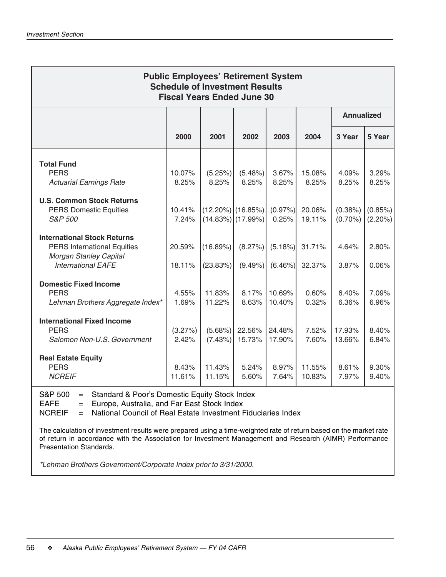| <b>Public Employees' Retirement System</b><br><b>Schedule of Investment Results</b><br><b>Fiscal Years Ended June 30</b> |                  |                       |                                              |                     |                  |                          |                          |  |  |  |
|--------------------------------------------------------------------------------------------------------------------------|------------------|-----------------------|----------------------------------------------|---------------------|------------------|--------------------------|--------------------------|--|--|--|
|                                                                                                                          |                  |                       |                                              |                     |                  | <b>Annualized</b>        |                          |  |  |  |
|                                                                                                                          | 2000             | 2001                  | 2002                                         | 2003                | 2004             | 3 Year                   | 5 Year                   |  |  |  |
| <b>Total Fund</b><br><b>PERS</b>                                                                                         | 10.07%           | (5.25%)               | $(5.48\%)$                                   | 3.67%               | 15.08%           | 4.09%                    | 3.29%                    |  |  |  |
| <b>Actuarial Earnings Rate</b>                                                                                           | 8.25%            | 8.25%                 | 8.25%                                        | 8.25%               | 8.25%            | 8.25%                    | 8.25%                    |  |  |  |
| <b>U.S. Common Stock Returns</b><br><b>PERS Domestic Equities</b><br><b>S&amp;P 500</b>                                  | 10.41%<br>7.24%  |                       | $(12.20\%)$ (16.85%)<br>$(14.83\%)$ (17.99%) | $(0.97\%)$<br>0.25% | 20.06%<br>19.11% | $(0.38\%)$<br>$(0.70\%)$ | $(0.85\%)$<br>$(2.20\%)$ |  |  |  |
| <b>International Stock Returns</b><br><b>PERS International Equities</b><br>Morgan Stanley Capital                       | 20.59%           | (16.89%)              | (8.27%)                                      | (5.18%)             | 31.71%           | 4.64%                    | 2.80%                    |  |  |  |
| <b>International EAFE</b>                                                                                                | 18.11%           | (23.83%)              | $(9.49\%)$                                   | $(6.46\%)$          | 32.37%           | 3.87%                    | 0.06%                    |  |  |  |
| <b>Domestic Fixed Income</b><br><b>PERS</b><br>Lehman Brothers Aggregate Index*                                          | 4.55%<br>1.69%   | 11.83%<br>11.22%      | 8.17%<br>8.63%                               | 10.69%<br>10.40%    | 0.60%<br>0.32%   | 6.40%<br>6.36%           | 7.09%<br>6.96%           |  |  |  |
| <b>International Fixed Income</b><br><b>PERS</b><br>Salomon Non-U.S. Government                                          | (3.27%)<br>2.42% | $(5.68\%)$<br>(7.43%) | 22.56%<br>15.73%                             | 24.48%<br>17.90%    | 7.52%<br>7.60%   | 17.93%<br>13.66%         | 8.40%<br>6.84%           |  |  |  |
| <b>Real Estate Equity</b><br><b>PERS</b><br><b>NCREIF</b>                                                                | 8.43%<br>11.61%  | 11.43%<br>11.15%      | 5.24%<br>5.60%                               | 8.97%<br>7.64%      | 11.55%<br>10.83% | 8.61%<br>7.97%           | 9.30%<br>9.40%           |  |  |  |
| <b>S&amp;P 500</b><br>Standard & Poor's Domestic Equity Stock Index<br>$=$                                               |                  |                       |                                              |                     |                  |                          |                          |  |  |  |

 $E =$  Europe, Australia, and Far East Stock Index

NCREIF = National Council of Real Estate Investment Fiduciaries Index

The calculation of investment results were prepared using a time-weighted rate of return based on the market rate of return in accordance with the Association for Investment Management and Research (AIMR) Performance Presentation Standards.

\*Lehman Brothers Government/Corporate Index prior to 3/31/2000.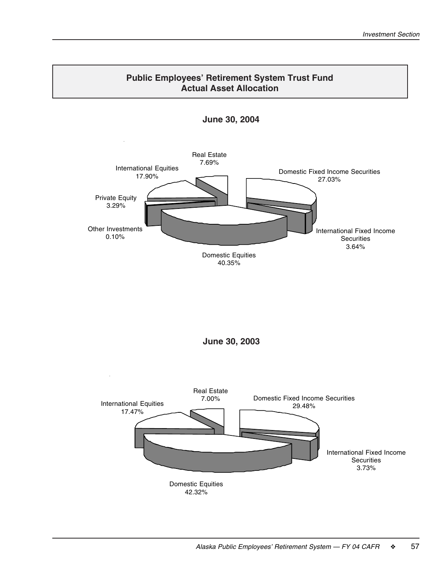

**June 30, 2003**

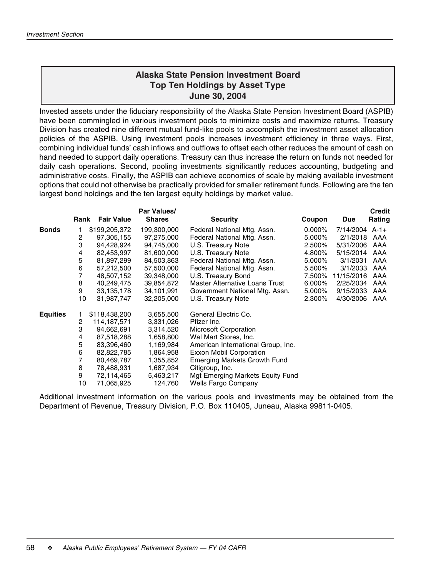# **Alaska State Pension Investment Board Top Ten Holdings by Asset Type June 30, 2004**

Invested assets under the fiduciary responsibility of the Alaska State Pension Investment Board (ASPIB) have been commingled in various investment pools to minimize costs and maximize returns. Treasury Division has created nine different mutual fund-like pools to accomplish the investment asset allocation policies of the ASPIB. Using investment pools increases investment efficiency in three ways. First, combining individual funds' cash inflows and outflows to offset each other reduces the amount of cash on hand needed to support daily operations. Treasury can thus increase the return on funds not needed for daily cash operations. Second, pooling investments significantly reduces accounting, budgeting and administrative costs. Finally, the ASPIB can achieve economies of scale by making available investment options that could not otherwise be practically provided for smaller retirement funds. Following are the ten largest bond holdings and the ten largest equity holdings by market value.

|                 |      |                   | Par Values/   |                                     |           |            | <b>Credit</b> |
|-----------------|------|-------------------|---------------|-------------------------------------|-----------|------------|---------------|
|                 | Rank | <b>Fair Value</b> | <b>Shares</b> | <b>Security</b>                     | Coupon    | <b>Due</b> | Rating        |
| <b>Bonds</b>    |      | \$199,205,372     | 199,300,000   | Federal National Mtg. Assn.         | $0.000\%$ | 7/14/2004  | $A-1+$        |
|                 | 2    | 97,305,155        | 97,275,000    | Federal National Mtg. Assn.         | 5.000%    | 2/1/2018   | AAA           |
|                 | 3    | 94,428,924        | 94,745,000    | U.S. Treasury Note                  | 2.500%    | 5/31/2006  | AAA           |
|                 | 4    | 82,453,997        | 81,600,000    | U.S. Treasury Note                  | 4.800%    | 5/15/2014  | AAA           |
|                 | 5    | 81,897,299        | 84,503,863    | Federal National Mtg. Assn.         | 5.000%    | 3/1/2031   | AAA           |
|                 | 6    | 57,212,500        | 57,500,000    | Federal National Mtg. Assn.         | 5.500%    | 3/1/2033   | AAA           |
|                 | 7    | 48,507,152        | 39,348,000    | U.S. Treasury Bond                  | 7.500%    | 11/15/2016 | AAA           |
|                 | 8    | 40,249,475        | 39,854,872    | Master Alternative Loans Trust      | $6.000\%$ | 2/25/2034  | AAA           |
|                 | 9    | 33,135,178        | 34,101,991    | Government National Mtg. Assn.      | 5.000%    | 9/15/2033  | AAA           |
|                 | 10   | 31,987,747        | 32,205,000    | U.S. Treasury Note                  | 2.300%    | 4/30/2006  | AAA           |
| <b>Equities</b> | 1.   | \$118,438,200     | 3,655,500     | General Electric Co.                |           |            |               |
|                 | 2    | 114, 187, 571     | 3,331,026     | Pfizer Inc.                         |           |            |               |
|                 | 3    | 94,662,691        | 3,314,520     | Microsoft Corporation               |           |            |               |
|                 | 4    | 87,518,288        | 1,658,800     | Wal Mart Stores, Inc.               |           |            |               |
|                 | 5    | 83,396,460        | 1,169,984     | American International Group, Inc.  |           |            |               |
|                 | 6    | 82,822,785        | 1,864,958     | <b>Exxon Mobil Corporation</b>      |           |            |               |
|                 | 7    | 80,469,787        | 1,355,852     | <b>Emerging Markets Growth Fund</b> |           |            |               |
|                 | 8    | 78,488,931        | 1,687,934     | Citigroup, Inc.                     |           |            |               |
|                 | 9    | 72,114,465        | 5,463,217     | Mgt Emerging Markets Equity Fund    |           |            |               |
|                 | 10   | 71,065,925        | 124,760       | <b>Wells Fargo Company</b>          |           |            |               |

Additional investment information on the various pools and investments may be obtained from the Department of Revenue, Treasury Division, P.O. Box 110405, Juneau, Alaska 99811-0405.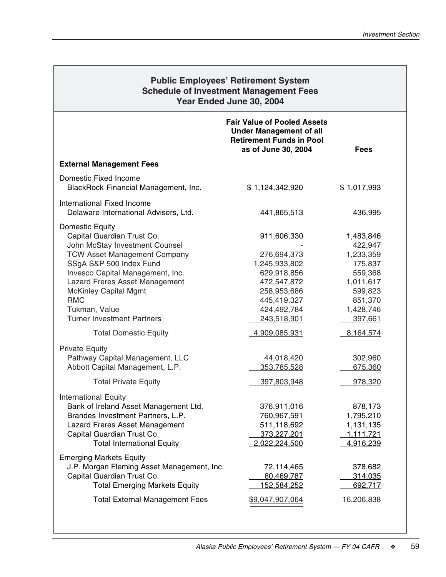| <b>Public Employees' Retirement System</b><br><b>Schedule of Investment Management Fees</b><br>Year Ended June 30, 2004                                              |                                                                                                                                                       |  |  |  |  |  |  |
|----------------------------------------------------------------------------------------------------------------------------------------------------------------------|-------------------------------------------------------------------------------------------------------------------------------------------------------|--|--|--|--|--|--|
| <b>Fair Value of Pooled Assets</b><br><b>Under Management of all</b><br><b>Retirement Funds in Pool</b><br>as of June 30, 2004                                       | <b>Fees</b>                                                                                                                                           |  |  |  |  |  |  |
|                                                                                                                                                                      |                                                                                                                                                       |  |  |  |  |  |  |
| \$1,124,342,920                                                                                                                                                      | \$1,017,993                                                                                                                                           |  |  |  |  |  |  |
| <u>441,865,513</u>                                                                                                                                                   | 436,995                                                                                                                                               |  |  |  |  |  |  |
| 911,606,330<br>276,694,373<br>1,245,933,802<br>629,918,856<br>472,547,872<br>258,953,686<br>445,419,327<br>424,492,784<br>243,518,901<br>4,909,085,931<br>44,018,420 | 1,483,846<br>422,947<br>1,233,359<br>175,837<br>559,368<br>1,011,617<br>599,823<br>851,370<br>1,428,746<br>397,661<br>8,164,574<br>302,960<br>675,360 |  |  |  |  |  |  |
|                                                                                                                                                                      | 978,320                                                                                                                                               |  |  |  |  |  |  |
| 376,911,016<br>760,967,591<br>511,118,692<br>373,227,201<br>2,022,224,500                                                                                            | 878,173<br>1,795,210<br>1,131,135<br>1,111,721<br>4,916,239                                                                                           |  |  |  |  |  |  |
| J.P. Morgan Fleming Asset Management, Inc.<br>72,114,465<br>80,469,787<br><u>152,584,252</u><br>\$9,047,907,064                                                      | 378,682<br>314,035<br>692,717<br>16,206,838                                                                                                           |  |  |  |  |  |  |
|                                                                                                                                                                      | 353,785,528<br>397,803,948                                                                                                                            |  |  |  |  |  |  |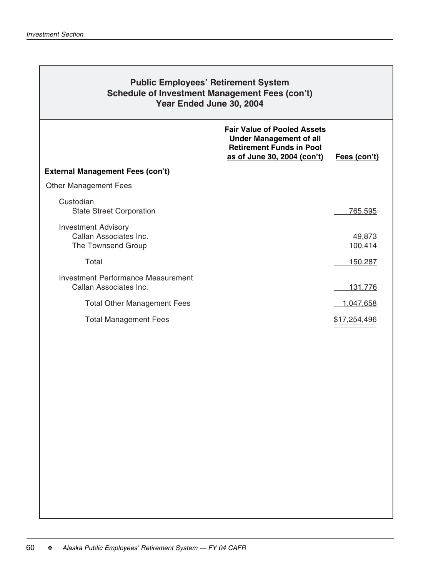| <b>Public Employees' Retirement System</b><br><b>Schedule of Investment Management Fees (con't)</b><br>Year Ended June 30, 2004 |                                                                                                                                        |                   |  |  |  |  |  |
|---------------------------------------------------------------------------------------------------------------------------------|----------------------------------------------------------------------------------------------------------------------------------------|-------------------|--|--|--|--|--|
|                                                                                                                                 | <b>Fair Value of Pooled Assets</b><br><b>Under Management of all</b><br><b>Retirement Funds in Pool</b><br>as of June 30, 2004 (con't) | Fees (con't)      |  |  |  |  |  |
| <b>External Management Fees (con't)</b>                                                                                         |                                                                                                                                        |                   |  |  |  |  |  |
| <b>Other Management Fees</b>                                                                                                    |                                                                                                                                        |                   |  |  |  |  |  |
| Custodian<br><b>State Street Corporation</b>                                                                                    |                                                                                                                                        | 765,595           |  |  |  |  |  |
| <b>Investment Advisory</b><br>Callan Associates Inc.<br>The Townsend Group                                                      |                                                                                                                                        | 49,873<br>100,414 |  |  |  |  |  |
| Total                                                                                                                           |                                                                                                                                        | 150,287           |  |  |  |  |  |
| Investment Performance Measurement<br>Callan Associates Inc.                                                                    |                                                                                                                                        | 131,776           |  |  |  |  |  |
| <b>Total Other Management Fees</b>                                                                                              |                                                                                                                                        | 1,047,658         |  |  |  |  |  |
| <b>Total Management Fees</b>                                                                                                    |                                                                                                                                        | \$17,254,496      |  |  |  |  |  |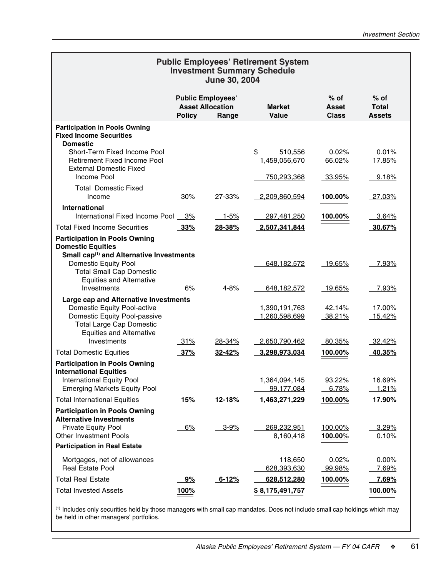| <b>Public Employees' Retirement System</b><br><b>Investment Summary Schedule</b><br>June 30, 2004                                                                                                                             |               |                                                              |                                                 |                                        |                                  |  |  |  |
|-------------------------------------------------------------------------------------------------------------------------------------------------------------------------------------------------------------------------------|---------------|--------------------------------------------------------------|-------------------------------------------------|----------------------------------------|----------------------------------|--|--|--|
|                                                                                                                                                                                                                               | <b>Policy</b> | <b>Public Employees'</b><br><b>Asset Allocation</b><br>Range | <b>Market</b><br><b>Value</b>                   | $%$ of<br><b>Asset</b><br><b>Class</b> | $%$ of<br>Total<br><b>Assets</b> |  |  |  |
| <b>Participation in Pools Owning</b><br><b>Fixed Income Securities</b><br><b>Domestic</b>                                                                                                                                     |               |                                                              |                                                 |                                        |                                  |  |  |  |
| Short-Term Fixed Income Pool<br><b>Retirement Fixed Income Pool</b><br><b>External Domestic Fixed</b>                                                                                                                         |               |                                                              | \$<br>510,556<br>1,459,056,670                  | 0.02%<br>66.02%                        | 0.01%<br>17.85%                  |  |  |  |
| Income Pool                                                                                                                                                                                                                   |               |                                                              | 750,293,368                                     | <u>_33.95%</u>                         | 9.18%                            |  |  |  |
| <b>Total Domestic Fixed</b><br>Income                                                                                                                                                                                         | 30%           | 27-33%                                                       | 2,209,860,594                                   | 100.00%                                | <u>27.03%</u>                    |  |  |  |
| International<br>International Fixed Income Pool 3%                                                                                                                                                                           |               | <u>1-5%</u>                                                  | <u>297,481,250</u>                              | 100.00%                                | 3.64%                            |  |  |  |
| <b>Total Fixed Income Securities</b>                                                                                                                                                                                          | 33%           | 28-38%                                                       | 2,507,341,844                                   |                                        | 30.67%                           |  |  |  |
| <b>Participation in Pools Owning</b><br><b>Domestic Equities</b><br>Small cap <sup>(1)</sup> and Alternative Investments<br><b>Domestic Equity Pool</b><br><b>Total Small Cap Domestic</b><br><b>Equities and Alternative</b> |               |                                                              | 648,182,572                                     | 19.65%                                 | 7.93%                            |  |  |  |
| Investments                                                                                                                                                                                                                   | 6%            | $4 - 8%$                                                     | 648, 182, 572                                   | 19.65%                                 | 7.93%                            |  |  |  |
| Large cap and Alternative Investments<br>Domestic Equity Pool-active<br>Domestic Equity Pool-passive<br><b>Total Large Cap Domestic</b><br><b>Equities and Alternative</b><br>Investments                                     | 31%           | 28-34%                                                       | 1,390,191,763<br>1,260,598,699<br>2,650,790,462 | 42.14%<br>38.21%<br>80.35%             | 17.00%<br>15.42%<br>$-32.42%$    |  |  |  |
| <b>Total Domestic Equities</b>                                                                                                                                                                                                | 37%           | 32-42%                                                       | 3,298,973,034                                   | 100.00%                                | 40.35%                           |  |  |  |
| <b>Participation in Pools Owning</b><br><b>International Equities</b><br>International Equity Pool<br><b>Emerging Markets Equity Pool</b>                                                                                     |               |                                                              | 1,364,094,145<br>99,177,084                     | 93.22%<br>6.78%                        | 16.69%<br><u>1.21%</u>           |  |  |  |
| <b>Total International Equities</b>                                                                                                                                                                                           | 15%           | 12-18%                                                       | 1,463,271,229                                   | 100.00%                                | 17.90%                           |  |  |  |
| <b>Participation in Pools Owning</b><br><b>Alternative Investments</b><br><b>Private Equity Pool</b><br><b>Other Investment Pools</b><br><b>Participation in Real Estate</b>                                                  | 6%            | $3 - 9%$                                                     | 269,232,951<br>8,160,418                        | 100.00%<br>100.00%                     | 3.29%<br>0.10%                   |  |  |  |
| Mortgages, net of allowances<br>Real Estate Pool                                                                                                                                                                              |               |                                                              | 118,650<br>628,393,630                          | 0.02%<br>99.98%                        | $0.00\%$<br>7.69%                |  |  |  |
| <b>Total Real Estate</b>                                                                                                                                                                                                      | 9%            | $6 - 12%$                                                    | 628,512,280                                     | 100.00%                                | 7.69%                            |  |  |  |
| <b>Total Invested Assets</b>                                                                                                                                                                                                  | 100%          |                                                              | \$8,175,491,757                                 |                                        | 100.00%                          |  |  |  |

 $<sup>(1)</sup>$  Includes only securities held by those managers with small cap mandates. Does not include small cap holdings which may</sup> be held in other managers' portfolios.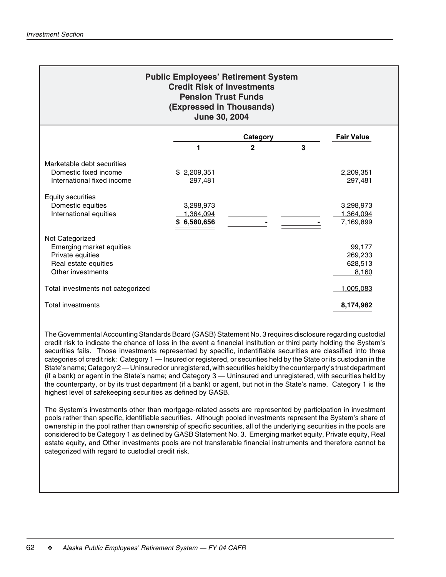# **Public Employees' Retirement System Credit Risk of Investments Pension Trust Funds (Expressed in Thousands) June 30, 2004**

|                                   |                  | Category     |   |           |
|-----------------------------------|------------------|--------------|---|-----------|
|                                   | 1                | $\mathbf{2}$ | 3 |           |
| Marketable debt securities        |                  |              |   |           |
| Domestic fixed income             | \$2,209,351      |              |   | 2,209,351 |
| International fixed income        | 297,481          |              |   | 297,481   |
| Equity securities                 |                  |              |   |           |
| Domestic equities                 | 3,298,973        |              |   | 3,298,973 |
| International equities            | <u>1,364,094</u> |              |   | 1,364,094 |
|                                   | \$6,580,656      |              |   | 7,169,899 |
| Not Categorized                   |                  |              |   |           |
| Emerging market equities          |                  |              |   | 99,177    |
| Private equities                  |                  |              |   | 269,233   |
| Real estate equities              |                  |              |   | 628,513   |
| Other investments                 |                  |              |   | 8,160     |
| Total investments not categorized |                  |              |   | 1,005,083 |
| <b>Total investments</b>          |                  |              |   | 8,174,982 |

The Governmental Accounting Standards Board (GASB) Statement No. 3 requires disclosure regarding custodial credit risk to indicate the chance of loss in the event a financial institution or third party holding the System's securities fails. Those investments represented by specific, indentifiable securities are classified into three categories of credit risk: Category 1 — Insured or registered, or securities held by the State or its custodian in the State's name; Category 2 — Uninsured or unregistered, with securities held by the counterparty's trust department (if a bank) or agent in the State's name; and Category 3 — Uninsured and unregistered, with securities held by the counterparty, or by its trust department (if a bank) or agent, but not in the State's name. Category 1 is the highest level of safekeeping securities as defined by GASB.

The System's investments other than mortgage-related assets are represented by participation in investment pools rather than specific, identifiable securities. Although pooled investments represent the System's share of ownership in the pool rather than ownership of specific securities, all of the underlying securities in the pools are considered to be Category 1 as defined by GASB Statement No. 3. Emerging market equity, Private equity, Real estate equity, and Other investments pools are not transferable financial instruments and therefore cannot be categorized with regard to custodial credit risk.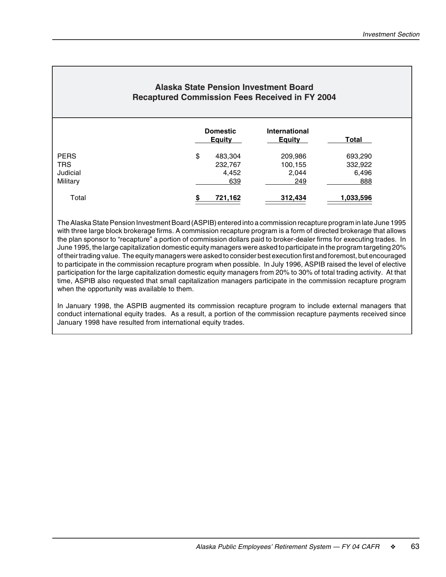| <b>Alaska State Pension Investment Board</b><br><b>Recaptured Commission Fees Received in FY 2004</b> |    |                                    |                                       |                                    |  |  |  |  |  |
|-------------------------------------------------------------------------------------------------------|----|------------------------------------|---------------------------------------|------------------------------------|--|--|--|--|--|
|                                                                                                       |    | <b>Domestic</b><br><b>Equity</b>   | <b>International</b><br><b>Equity</b> | Total                              |  |  |  |  |  |
| <b>PERS</b><br><b>TRS</b><br>Judicial<br>Military                                                     | \$ | 483.304<br>232,767<br>4.452<br>639 | 209,986<br>100,155<br>2.044<br>249    | 693,290<br>332,922<br>6,496<br>888 |  |  |  |  |  |
| Total                                                                                                 |    | 721,162                            | 312,434                               | 1,033,596                          |  |  |  |  |  |

The Alaska State Pension Investment Board (ASPIB) entered into a commission recapture program in late June 1995 with three large block brokerage firms. A commission recapture program is a form of directed brokerage that allows the plan sponsor to "recapture" a portion of commission dollars paid to broker-dealer firms for executing trades. In June 1995, the large capitalization domestic equity managers were asked to participate in the program targeting 20% of their trading value. The equity managers were asked to consider best execution first and foremost, but encouraged to participate in the commission recapture program when possible. In July 1996, ASPIB raised the level of elective participation for the large capitalization domestic equity managers from 20% to 30% of total trading activity. At that time, ASPIB also requested that small capitalization managers participate in the commission recapture program when the opportunity was available to them.

In January 1998, the ASPIB augmented its commission recapture program to include external managers that conduct international equity trades. As a result, a portion of the commission recapture payments received since January 1998 have resulted from international equity trades.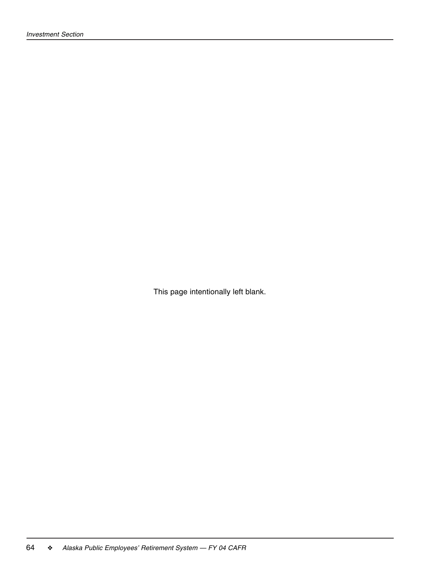This page intentionally left blank.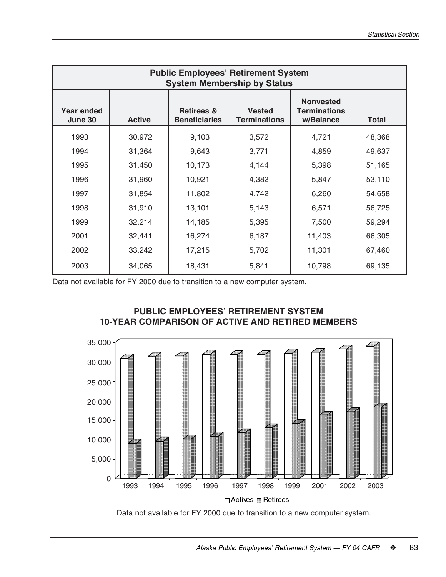| <b>Public Employees' Retirement System</b><br><b>System Membership by Status</b> |               |                                               |                                      |                                                      |              |  |  |  |  |
|----------------------------------------------------------------------------------|---------------|-----------------------------------------------|--------------------------------------|------------------------------------------------------|--------------|--|--|--|--|
| Year ended<br>June 30                                                            | <b>Active</b> | <b>Retirees &amp;</b><br><b>Beneficiaries</b> | <b>Vested</b><br><b>Terminations</b> | <b>Nonvested</b><br><b>Terminations</b><br>w/Balance | <b>Total</b> |  |  |  |  |
| 1993                                                                             | 30,972        | 9,103                                         | 3,572                                | 4,721                                                | 48,368       |  |  |  |  |
| 1994                                                                             | 31,364        | 9,643                                         | 3,771                                | 4,859                                                | 49,637       |  |  |  |  |
| 1995                                                                             | 31,450        | 10,173                                        | 4,144                                | 5,398                                                | 51,165       |  |  |  |  |
| 1996                                                                             | 31,960        | 10,921                                        | 4,382                                | 5,847                                                | 53,110       |  |  |  |  |
| 1997                                                                             | 31,854        | 11,802                                        | 4,742                                | 6,260                                                | 54,658       |  |  |  |  |
| 1998                                                                             | 31,910        | 13,101                                        | 5,143                                | 6,571                                                | 56,725       |  |  |  |  |
| 1999                                                                             | 32,214        | 14,185                                        | 5,395                                | 7,500                                                | 59,294       |  |  |  |  |
| 2001                                                                             | 32,441        | 16,274                                        | 6,187                                | 11,403                                               | 66,305       |  |  |  |  |
| 2002                                                                             | 33,242        | 17,215                                        | 5,702                                | 11,301                                               | 67,460       |  |  |  |  |
| 2003                                                                             | 34,065        | 18,431                                        | 5,841                                | 10,798                                               | 69,135       |  |  |  |  |

Data not available for FY 2000 due to transition to a new computer system.



**PUBLIC EMPLOYEES' RETIREMENT SYSTEM 10-YEAR COMPARISON OF ACTIVE AND RETIRED MEMBERS**

Data not available for FY 2000 due to transition to a new computer system.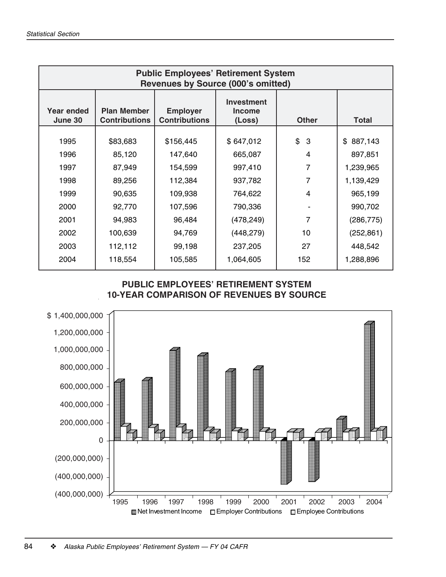|                              | <b>Public Employees' Retirement System</b><br><b>Revenues by Source (000's omitted)</b> |                                         |                                              |                |               |  |  |  |  |  |
|------------------------------|-----------------------------------------------------------------------------------------|-----------------------------------------|----------------------------------------------|----------------|---------------|--|--|--|--|--|
| <b>Year ended</b><br>June 30 | <b>Plan Member</b><br><b>Contributions</b>                                              | <b>Employer</b><br><b>Contributions</b> | <b>Investment</b><br><b>Income</b><br>(Loss) | <b>Other</b>   | <b>Total</b>  |  |  |  |  |  |
| 1995                         | \$83,683                                                                                | \$156,445                               | \$647,012                                    | \$<br>3        | \$<br>887,143 |  |  |  |  |  |
| 1996                         | 85,120                                                                                  | 147,640                                 | 665,087                                      | 4              | 897,851       |  |  |  |  |  |
| 1997                         | 87,949                                                                                  | 154,599                                 | 997,410                                      | $\overline{7}$ | 1,239,965     |  |  |  |  |  |
| 1998                         | 89,256                                                                                  | 112,384                                 | 937,782                                      | 7              | 1,139,429     |  |  |  |  |  |
| 1999                         | 90,635                                                                                  | 109,938                                 | 764,622                                      | $\overline{4}$ | 965,199       |  |  |  |  |  |
| 2000                         | 92,770                                                                                  | 107,596                                 | 790,336                                      |                | 990,702       |  |  |  |  |  |
| 2001                         | 94,983                                                                                  | 96,484                                  | (478, 249)                                   | 7              | (286, 775)    |  |  |  |  |  |
| 2002                         | 100,639                                                                                 | 94,769                                  | (448, 279)                                   | 10             | (252, 861)    |  |  |  |  |  |
| 2003                         | 112,112                                                                                 | 99,198                                  | 237,205                                      | 27             | 448,542       |  |  |  |  |  |
| 2004                         | 118,554                                                                                 | 105,585                                 | 1,064,605                                    | 152            | 1,288,896     |  |  |  |  |  |



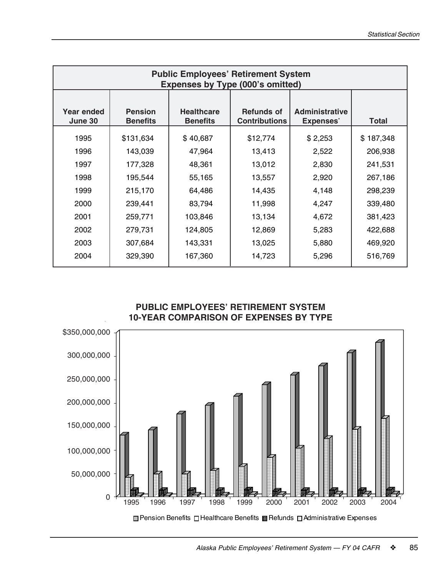|                       | <b>Public Employees' Retirement System</b><br><b>Expenses by Type (000's omitted)</b> |                                      |                                           |                                                       |           |  |  |  |  |  |
|-----------------------|---------------------------------------------------------------------------------------|--------------------------------------|-------------------------------------------|-------------------------------------------------------|-----------|--|--|--|--|--|
| Year ended<br>June 30 | <b>Pension</b><br><b>Benefits</b>                                                     | <b>Healthcare</b><br><b>Benefits</b> | <b>Refunds of</b><br><b>Contributions</b> | <b>Administrative</b><br><b>Expenses</b> <sup>*</sup> | Total     |  |  |  |  |  |
| 1995                  | \$131,634                                                                             | \$40,687                             | \$12,774                                  | \$2,253                                               | \$187,348 |  |  |  |  |  |
| 1996                  | 143,039                                                                               | 47,964                               | 13,413                                    | 2,522                                                 | 206,938   |  |  |  |  |  |
| 1997                  | 177,328                                                                               | 48,361                               | 13,012                                    | 2,830                                                 | 241,531   |  |  |  |  |  |
| 1998                  | 195,544                                                                               | 55,165                               | 13,557                                    | 2,920                                                 | 267,186   |  |  |  |  |  |
| 1999                  | 215,170                                                                               | 64,486                               | 14,435                                    | 4,148                                                 | 298,239   |  |  |  |  |  |
| 2000                  | 239,441                                                                               | 83,794                               | 11,998                                    | 4,247                                                 | 339,480   |  |  |  |  |  |
| 2001                  | 259,771                                                                               | 103,846                              | 13,134                                    | 4,672                                                 | 381,423   |  |  |  |  |  |
| 2002                  | 279,731                                                                               | 124,805                              | 12,869                                    | 5,283                                                 | 422,688   |  |  |  |  |  |
| 2003                  | 307,684                                                                               | 143,331                              | 13,025                                    | 5,880                                                 | 469,920   |  |  |  |  |  |
| 2004                  | 329,390                                                                               | 167,360                              | 14,723                                    | 5,296                                                 | 516,769   |  |  |  |  |  |

**PUBLIC EMPLOYEES' RETIREMENT SYSTEM 10-YEAR COMPARISON OF EXPENSES BY TYPE**

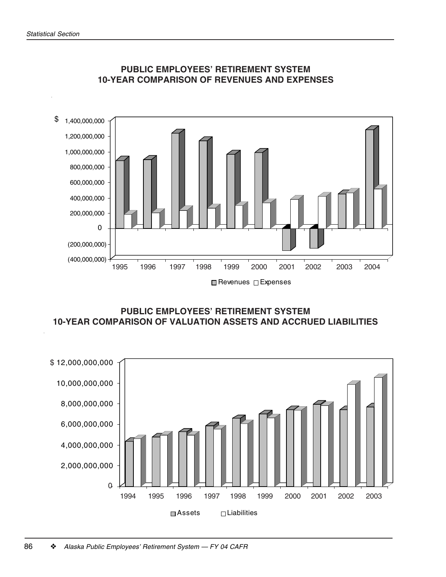

# **PUBLIC EMPLOYEES' RETIREMENT SYSTEM 10-YEAR COMPARISON OF REVENUES AND EXPENSES**

**PUBLIC EMPLOYEES' RETIREMENT SYSTEM 10-YEAR COMPARISON OF VALUATION ASSETS AND ACCRUED LIABILITIES**

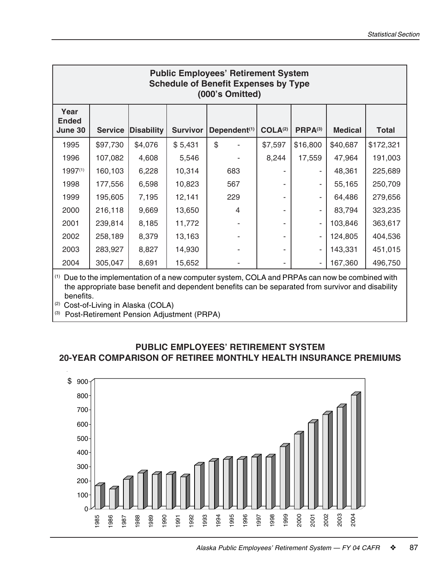|                                 | <b>Public Employees' Retirement System</b><br><b>Schedule of Benefit Expenses by Type</b><br>(000's Omitted) |                   |                 |                          |                     |                          |                |              |  |  |  |  |  |
|---------------------------------|--------------------------------------------------------------------------------------------------------------|-------------------|-----------------|--------------------------|---------------------|--------------------------|----------------|--------------|--|--|--|--|--|
| Year<br><b>Ended</b><br>June 30 | <b>Service</b>                                                                                               | <b>Disability</b> | <b>Survivor</b> | Dependent <sup>(1)</sup> | COLA <sup>(2)</sup> | $PRPA^{(3)}$             | <b>Medical</b> | <b>Total</b> |  |  |  |  |  |
| 1995                            | \$97,730                                                                                                     | \$4,076           | \$5,431         | \$                       | \$7,597             | \$16,800                 | \$40,687       | \$172,321    |  |  |  |  |  |
| 1996                            | 107,082                                                                                                      | 4,608             | 5,546           |                          | 8,244               | 17,559                   | 47,964         | 191,003      |  |  |  |  |  |
| 1997(1)                         | 160,103                                                                                                      | 6,228             | 10,314          | 683                      |                     | $\overline{\phantom{a}}$ | 48,361         | 225,689      |  |  |  |  |  |
| 1998                            | 177,556                                                                                                      | 6,598             | 10,823          | 567                      |                     |                          | 55,165         | 250,709      |  |  |  |  |  |
| 1999                            | 195,605                                                                                                      | 7,195             | 12,141          | 229                      |                     | $\overline{\phantom{a}}$ | 64,486         | 279,656      |  |  |  |  |  |
| 2000                            | 216,118                                                                                                      | 9,669             | 13,650          | 4                        |                     | ۰                        | 83,794         | 323,235      |  |  |  |  |  |
| 2001                            | 239,814                                                                                                      | 8,185             | 11,772          |                          |                     | $\overline{\phantom{a}}$ | 103,846        | 363,617      |  |  |  |  |  |
| 2002                            | 258,189                                                                                                      | 8,379             | 13,163          |                          |                     | ٠                        | 124,805        | 404,536      |  |  |  |  |  |
| 2003                            | 283,927                                                                                                      | 8,827             | 14,930          |                          |                     |                          | 143,331        | 451,015      |  |  |  |  |  |
| 2004                            | 305,047                                                                                                      | 8,691             | 15,652          |                          |                     | ٠                        | 167,360        | 496,750      |  |  |  |  |  |

(1) Due to the implementation of a new computer system, COLA and PRPAs can now be combined with the appropriate base benefit and dependent benefits can be separated from survivor and disability benefits.

 $(2)$  Cost-of-Living in Alaska (COLA)

(3) Post-Retirement Pension Adjustment (PRPA)

# **PUBLIC EMPLOYEES' RETIREMENT SYSTEM 20-YEAR COMPARISON OF RETIREE MONTHLY HEALTH INSURANCE PREMIUMS**

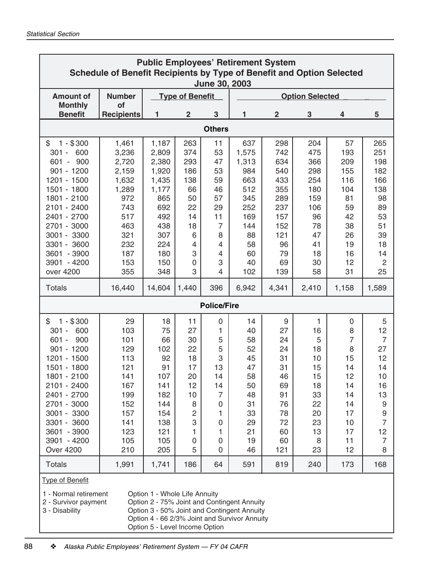| <b>Public Employees' Retirement System</b><br><b>Schedule of Benefit Recipients by Type of Benefit and Option Selected</b><br>June 30, 2003                                                                                                                   |                                                                                                                                                                                                                                                                 |                                                                                                            |                                                                                                      |                                                                                  |                                                                                                |                                                                                               |                                                                                            |                                                                                           |                                                                                                                                                             |  |
|---------------------------------------------------------------------------------------------------------------------------------------------------------------------------------------------------------------------------------------------------------------|-----------------------------------------------------------------------------------------------------------------------------------------------------------------------------------------------------------------------------------------------------------------|------------------------------------------------------------------------------------------------------------|------------------------------------------------------------------------------------------------------|----------------------------------------------------------------------------------|------------------------------------------------------------------------------------------------|-----------------------------------------------------------------------------------------------|--------------------------------------------------------------------------------------------|-------------------------------------------------------------------------------------------|-------------------------------------------------------------------------------------------------------------------------------------------------------------|--|
| <b>Amount of</b>                                                                                                                                                                                                                                              | <b>Number</b>                                                                                                                                                                                                                                                   |                                                                                                            | <b>Type of Benefit</b>                                                                               |                                                                                  |                                                                                                |                                                                                               | <b>Option Selected</b>                                                                     |                                                                                           |                                                                                                                                                             |  |
| <b>Monthly</b><br><b>Benefit</b>                                                                                                                                                                                                                              | of<br><b>Recipients</b>                                                                                                                                                                                                                                         | 1                                                                                                          | $\overline{2}$                                                                                       | 3                                                                                | 1                                                                                              | $\overline{\mathbf{2}}$                                                                       | 3                                                                                          | 4                                                                                         | 5                                                                                                                                                           |  |
| <b>Others</b>                                                                                                                                                                                                                                                 |                                                                                                                                                                                                                                                                 |                                                                                                            |                                                                                                      |                                                                                  |                                                                                                |                                                                                               |                                                                                            |                                                                                           |                                                                                                                                                             |  |
| $1 - $300$<br>\$<br>600<br>$301 -$<br>900<br>601<br>$\sim$<br>$901 - 1200$<br>1201 - 1500<br>1501 - 1800<br>1801 - 2100<br>2101 - 2400<br>2401 - 2700<br>2701 - 3000<br>3001 - 3300<br>3301 - 3600<br>3601 - 3900<br>3901 - 4200                              | 1,461<br>3,236<br>2,720<br>2,159<br>1,632<br>1,289<br>972<br>743<br>517<br>463<br>321<br>232<br>187<br>153                                                                                                                                                      | 1,187<br>2,809<br>2,380<br>1,920<br>1,435<br>1,177<br>865<br>692<br>492<br>438<br>307<br>224<br>180<br>150 | 263<br>374<br>293<br>186<br>138<br>66<br>50<br>22<br>14<br>18<br>6<br>4<br>3<br>0                    | 11<br>53<br>47<br>53<br>59<br>46<br>57<br>29<br>11<br>7<br>8<br>4<br>4<br>3      | 637<br>1,575<br>1,313<br>984<br>663<br>512<br>345<br>252<br>169<br>144<br>88<br>58<br>60<br>40 | 298<br>742<br>634<br>540<br>433<br>355<br>289<br>237<br>157<br>152<br>121<br>96<br>79<br>69   | 204<br>475<br>366<br>298<br>254<br>180<br>159<br>106<br>96<br>78<br>47<br>41<br>18<br>30   | 57<br>193<br>209<br>155<br>116<br>104<br>81<br>59<br>42<br>38<br>26<br>19<br>16<br>12     | 265<br>251<br>198<br>182<br>166<br>138<br>98<br>89<br>53<br>51<br>39<br>18<br>14<br>$\overline{c}$                                                          |  |
| over 4200                                                                                                                                                                                                                                                     | 355                                                                                                                                                                                                                                                             | 348                                                                                                        | 3                                                                                                    | $\overline{4}$                                                                   | 102                                                                                            | 139                                                                                           | 58                                                                                         | 31                                                                                        | 25                                                                                                                                                          |  |
| <b>Totals</b>                                                                                                                                                                                                                                                 | 16,440                                                                                                                                                                                                                                                          | 14,604                                                                                                     | 1,440                                                                                                | 396                                                                              | 6,942                                                                                          | 4,341                                                                                         | 2,410                                                                                      | 1,158                                                                                     | 1,589                                                                                                                                                       |  |
|                                                                                                                                                                                                                                                               |                                                                                                                                                                                                                                                                 |                                                                                                            |                                                                                                      | <b>Police/Fire</b>                                                               |                                                                                                |                                                                                               |                                                                                            |                                                                                           |                                                                                                                                                             |  |
| $1 - $300$<br>\$<br>600<br>$301 -$<br>$601 -$<br>900<br>901 - 1200<br>1201 - 1500<br>1501 - 1800<br>1801 - 2100<br>2101 - 2400<br>2401 - 2700<br>2701 - 3000<br>3001 - 3300<br>3301 - 3600<br>3601 - 3900<br>3901 - 4200<br><b>Over 4200</b><br><b>Totals</b> | 29<br>103<br>101<br>129<br>113<br>121<br>141<br>167<br>199<br>152<br>157<br>141<br>123<br>105<br>210<br>1,991                                                                                                                                                   | 18<br>75<br>66<br>102<br>92<br>91<br>107<br>141<br>182<br>144<br>154<br>138<br>121<br>105<br>205<br>1,741  | 11<br>27<br>30<br>22<br>18<br>17<br>20<br>12<br>10<br>8<br>$\overline{c}$<br>3<br>1<br>0<br>5<br>186 | 0<br>1<br>5<br>5<br>3<br>13<br>14<br>14<br>7<br>0<br>1<br>0<br>1<br>0<br>0<br>64 | 14<br>40<br>58<br>52<br>45<br>47<br>58<br>50<br>48<br>31<br>33<br>29<br>21<br>19<br>46<br>591  | 9<br>27<br>24<br>24<br>31<br>31<br>46<br>69<br>91<br>76<br>78<br>72<br>60<br>60<br>121<br>819 | 1<br>16<br>5<br>18<br>10<br>15<br>15<br>18<br>33<br>22<br>20<br>23<br>13<br>8<br>23<br>240 | 0<br>8<br>7<br>8<br>15<br>14<br>12<br>14<br>14<br>14<br>17<br>10<br>17<br>11<br>12<br>173 | 5<br>12<br>$\overline{7}$<br>27<br>12<br>14<br>10<br>16<br>13<br>$\boldsymbol{9}$<br>$\boldsymbol{9}$<br>$\overline{7}$<br>12<br>$\overline{7}$<br>8<br>168 |  |
| <b>Type of Benefit</b><br>3 - Disability                                                                                                                                                                                                                      | 1 - Normal retirement<br>Option 1 - Whole Life Annuity<br>Option 2 - 75% Joint and Contingent Annuity<br>2 - Survivor payment<br>Option 3 - 50% Joint and Contingent Annuity<br>Option 4 - 66 2/3% Joint and Survivor Annuity<br>Option 5 - Level Income Option |                                                                                                            |                                                                                                      |                                                                                  |                                                                                                |                                                                                               |                                                                                            |                                                                                           |                                                                                                                                                             |  |

 $\overline{\phantom{a}}$ 

L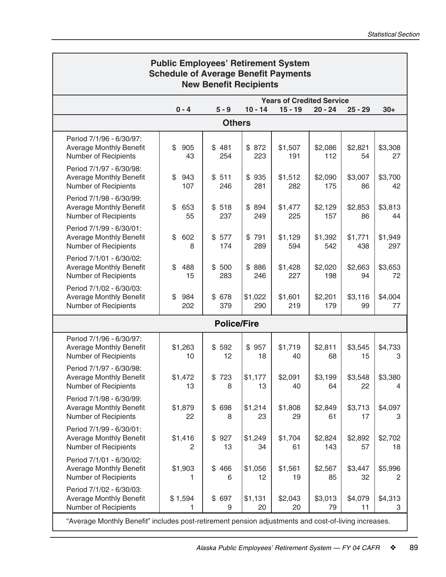| <b>Public Employees' Retirement System</b><br><b>Schedule of Average Benefit Payments</b><br><b>New Benefit Recipients</b> |                                                                                                                     |                |                |                |                |                |                           |
|----------------------------------------------------------------------------------------------------------------------------|---------------------------------------------------------------------------------------------------------------------|----------------|----------------|----------------|----------------|----------------|---------------------------|
|                                                                                                                            | <b>Years of Credited Service</b><br>$5 - 9$<br>$10 - 14$<br>$0 - 4$<br>$15 - 19$<br>$20 - 24$<br>$25 - 29$<br>$30+$ |                |                |                |                |                |                           |
|                                                                                                                            |                                                                                                                     | <b>Others</b>  |                |                |                |                |                           |
| Period 7/1/96 - 6/30/97:<br><b>Average Monthly Benefit</b><br><b>Number of Recipients</b>                                  | \$<br>905<br>43                                                                                                     | \$481<br>254   | \$872<br>223   | \$1,507<br>191 | \$2,086<br>112 | \$2,821<br>54  | \$3,308<br>27             |
| Period 7/1/97 - 6/30/98:<br><b>Average Monthly Benefit</b><br>Number of Recipients                                         | \$<br>943<br>107                                                                                                    | \$511<br>246   | \$935<br>281   | \$1,512<br>282 | \$2,090<br>175 | \$3,007<br>86  | \$3,700<br>42             |
| Period 7/1/98 - 6/30/99:<br><b>Average Monthly Benefit</b><br>Number of Recipients                                         | \$<br>653<br>55                                                                                                     | \$518<br>237   | \$894<br>249   | \$1,477<br>225 | \$2,129<br>157 | \$2,853<br>86  | \$3,813<br>44             |
| Period 7/1/99 - 6/30/01:<br><b>Average Monthly Benefit</b><br>Number of Recipients                                         | \$<br>602<br>8                                                                                                      | \$577<br>174   | \$791<br>289   | \$1,129<br>594 | \$1,392<br>542 | \$1,771<br>438 | \$1,949<br>297            |
| Period 7/1/01 - 6/30/02:<br><b>Average Monthly Benefit</b><br>Number of Recipients                                         | \$<br>488<br>15                                                                                                     | \$500<br>283   | \$886<br>246   | \$1,428<br>227 | \$2,020<br>198 | \$2,663<br>94  | \$3,653<br>72             |
| Period 7/1/02 - 6/30/03:<br><b>Average Monthly Benefit</b><br>Number of Recipients                                         | \$<br>984<br>202                                                                                                    | \$ 678<br>379  | \$1,022<br>290 | \$1,601<br>219 | \$2,201<br>179 | \$3,116<br>99  | \$4,004<br>77             |
| <b>Police/Fire</b>                                                                                                         |                                                                                                                     |                |                |                |                |                |                           |
| Period 7/1/96 - 6/30/97:<br><b>Average Monthly Benefit</b><br>Number of Recipients                                         | \$1,263<br>10                                                                                                       | \$592<br>12    | \$957<br>18    | \$1,719<br>40  | \$2,811<br>68  | \$3,545<br>15  | \$4,733<br>3              |
| Period 7/1/97 - 6/30/98:<br><b>Average Monthly Benefit</b><br>Number of Recipients                                         | \$1,472<br>13                                                                                                       | \$723<br>8     | \$1,177<br>13  | \$2,091<br>40  | \$3,199<br>64  | \$3,548<br>22  | \$3,380<br>$\overline{4}$ |
| Period 7/1/98 - 6/30/99:<br><b>Average Monthly Benefit</b><br>Number of Recipients                                         | \$1,879<br>22                                                                                                       | \$ 698<br>8    | \$1,214<br>23  | \$1,808<br>29  | \$2,849<br>61  | \$3,713<br>17  | \$4,097<br>З              |
| Period 7/1/99 - 6/30/01:<br><b>Average Monthly Benefit</b><br>Number of Recipients                                         | \$1,416<br>2                                                                                                        | \$927<br>13    | \$1,249<br>34  | \$1,704<br>61  | \$2,824<br>143 | \$2,892<br>57  | \$2,702<br>18             |
| Period 7/1/01 - 6/30/02:<br><b>Average Monthly Benefit</b><br>Number of Recipients                                         | \$1,903<br>1.                                                                                                       | \$466<br>6     | \$1,056<br>12  | \$1,561<br>19  | \$2,567<br>85  | \$3,447<br>32  | \$5,996<br>2              |
| Period 7/1/02 - 6/30/03:<br><b>Average Monthly Benefit</b><br>Number of Recipients                                         | \$1,594<br>1                                                                                                        | \$<br>697<br>9 | \$1,131<br>20  | \$2,043<br>20  | \$3,013<br>79  | \$4,079<br>11  | \$4,313<br>3              |
| "Average Monthly Benefit" includes post-retirement pension adjustments and cost-of-living increases.                       |                                                                                                                     |                |                |                |                |                |                           |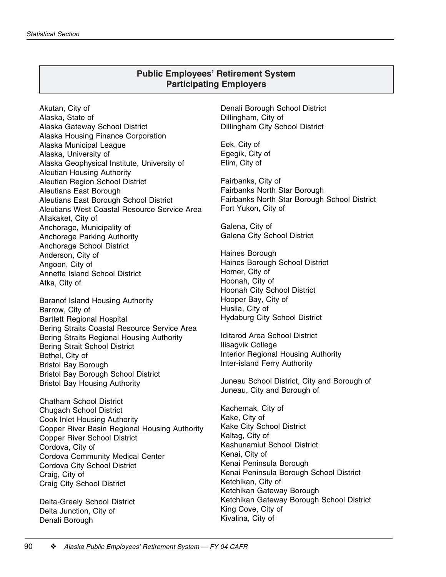# **Public Employees' Retirement System Participating Employers**

Akutan, City of Alaska, State of Alaska Gateway School District Alaska Housing Finance Corporation Alaska Municipal League Alaska, University of Alaska Geophysical Institute, University of Aleutian Housing Authority Aleutian Region School District Aleutians East Borough Aleutians East Borough School District Aleutians West Coastal Resource Service Area Allakaket, City of Anchorage, Municipality of Anchorage Parking Authority Anchorage School District Anderson, City of Angoon, City of Annette Island School District Atka, City of

Baranof Island Housing Authority Barrow, City of Bartlett Regional Hospital Bering Straits Coastal Resource Service Area Bering Straits Regional Housing Authority Bering Strait School District Bethel, City of Bristol Bay Borough Bristol Bay Borough School District Bristol Bay Housing Authority

Chatham School District Chugach School District Cook Inlet Housing Authority Copper River Basin Regional Housing Authority Copper River School District Cordova, City of Cordova Community Medical Center Cordova City School District Craig, City of Craig City School District

Delta-Greely School District Delta Junction, City of Denali Borough

Denali Borough School District Dillingham, City of Dillingham City School District

Eek, City of Egegik, City of Elim, City of

Fairbanks, City of Fairbanks North Star Borough Fairbanks North Star Borough School District Fort Yukon, City of

Galena, City of Galena City School District

Haines Borough Haines Borough School District Homer, City of Hoonah, City of Hoonah City School District Hooper Bay, City of Huslia, City of Hydaburg City School District

Iditarod Area School District Ilisagvik College Interior Regional Housing Authority Inter-island Ferry Authority

Juneau School District, City and Borough of Juneau, City and Borough of

Kachemak, City of Kake, City of Kake City School District Kaltag, City of Kashunamiut School District Kenai, City of Kenai Peninsula Borough Kenai Peninsula Borough School District Ketchikan, City of Ketchikan Gateway Borough Ketchikan Gateway Borough School District King Cove, City of Kivalina, City of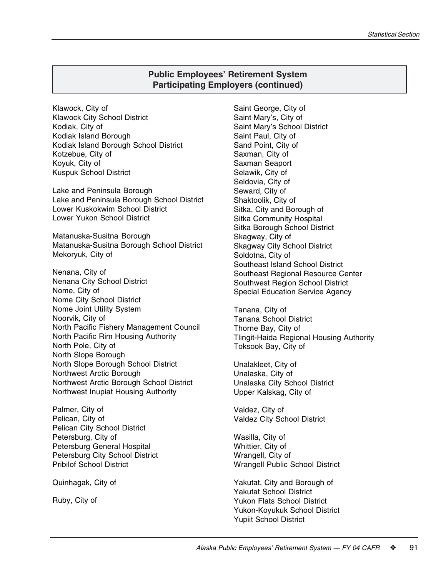# **Public Employees' Retirement System Participating Employers (continued)**

Klawock, City of Klawock City School District Kodiak, City of Kodiak Island Borough Kodiak Island Borough School District Kotzebue, City of Koyuk, City of Kuspuk School District

Lake and Peninsula Borough Lake and Peninsula Borough School District Lower Kuskokwim School District Lower Yukon School District

Matanuska-Susitna Borough Matanuska-Susitna Borough School District Mekoryuk, City of

Nenana, City of Nenana City School District Nome, City of Nome City School District Nome Joint Utility System Noorvik, City of North Pacific Fishery Management Council North Pacific Rim Housing Authority North Pole, City of North Slope Borough North Slope Borough School District Northwest Arctic Borough Northwest Arctic Borough School District Northwest Inupiat Housing Authority

Palmer, City of Pelican, City of Pelican City School District Petersburg, City of Petersburg General Hospital Petersburg City School District Pribilof School District

Quinhagak, City of

Ruby, City of

Saint George, City of Saint Mary's, City of Saint Mary's School District Saint Paul, City of Sand Point, City of Saxman, City of Saxman Seaport Selawik, City of Seldovia, City of Seward, City of Shaktoolik, City of Sitka, City and Borough of Sitka Community Hospital Sitka Borough School District Skagway, City of Skagway City School District Soldotna, City of Southeast Island School District Southeast Regional Resource Center Southwest Region School District Special Education Service Agency

Tanana, City of Tanana School District Thorne Bay, City of Tlingit-Haida Regional Housing Authority Toksook Bay, City of

Unalakleet, City of Unalaska, City of Unalaska City School District Upper Kalskag, City of

Valdez, City of Valdez City School District

Wasilla, City of Whittier, City of Wrangell, City of Wrangell Public School District

Yakutat, City and Borough of Yakutat School District Yukon Flats School District Yukon-Koyukuk School District Yupiit School District